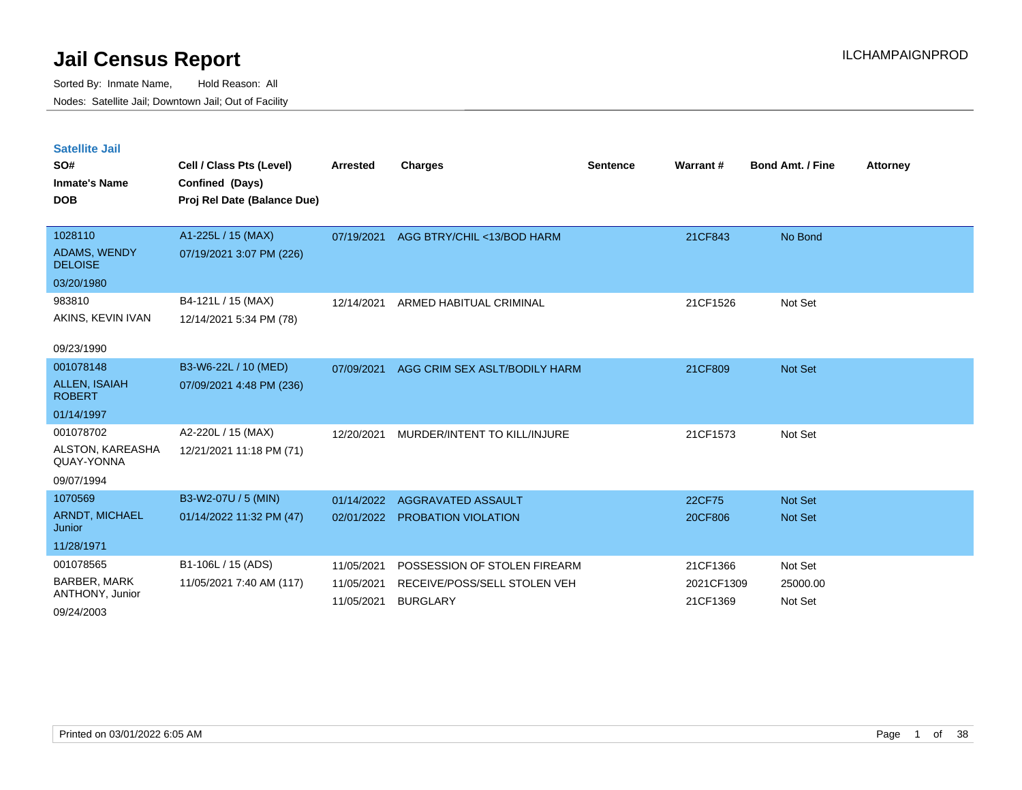Sorted By: Inmate Name, Hold Reason: All Nodes: Satellite Jail; Downtown Jail; Out of Facility

| <b>Satellite Jail</b>                                                                                |                             |                 |                               |                 |            |                         |                 |
|------------------------------------------------------------------------------------------------------|-----------------------------|-----------------|-------------------------------|-----------------|------------|-------------------------|-----------------|
| SO#                                                                                                  | Cell / Class Pts (Level)    | <b>Arrested</b> | <b>Charges</b>                | <b>Sentence</b> | Warrant#   | <b>Bond Amt. / Fine</b> | <b>Attorney</b> |
| <b>Inmate's Name</b>                                                                                 | Confined (Days)             |                 |                               |                 |            |                         |                 |
| <b>DOB</b>                                                                                           | Proj Rel Date (Balance Due) |                 |                               |                 |            |                         |                 |
| 1028110                                                                                              | A1-225L / 15 (MAX)          | 07/19/2021      | AGG BTRY/CHIL <13/BOD HARM    |                 | 21CF843    | No Bond                 |                 |
| <b>ADAMS, WENDY</b><br><b>DELOISE</b>                                                                | 07/19/2021 3:07 PM (226)    |                 |                               |                 |            |                         |                 |
| 03/20/1980                                                                                           |                             |                 |                               |                 |            |                         |                 |
| 983810                                                                                               | B4-121L / 15 (MAX)          | 12/14/2021      | ARMED HABITUAL CRIMINAL       |                 | 21CF1526   | Not Set                 |                 |
| AKINS, KEVIN IVAN                                                                                    | 12/14/2021 5:34 PM (78)     |                 |                               |                 |            |                         |                 |
| 09/23/1990                                                                                           |                             |                 |                               |                 |            |                         |                 |
| 001078148                                                                                            | B3-W6-22L / 10 (MED)        | 07/09/2021      | AGG CRIM SEX ASLT/BODILY HARM |                 | 21CF809    | Not Set                 |                 |
| <b>ALLEN, ISAIAH</b><br><b>ROBERT</b>                                                                | 07/09/2021 4:48 PM (236)    |                 |                               |                 |            |                         |                 |
| 01/14/1997                                                                                           |                             |                 |                               |                 |            |                         |                 |
| 001078702                                                                                            | A2-220L / 15 (MAX)          | 12/20/2021      | MURDER/INTENT TO KILL/INJURE  |                 | 21CF1573   | Not Set                 |                 |
| ALSTON, KAREASHA<br>QUAY-YONNA                                                                       | 12/21/2021 11:18 PM (71)    |                 |                               |                 |            |                         |                 |
| 09/07/1994                                                                                           |                             |                 |                               |                 |            |                         |                 |
| 1070569                                                                                              | B3-W2-07U / 5 (MIN)         | 01/14/2022      | AGGRAVATED ASSAULT            |                 | 22CF75     | <b>Not Set</b>          |                 |
| <b>ARNDT, MICHAEL</b><br>Junior                                                                      | 01/14/2022 11:32 PM (47)    | 02/01/2022      | PROBATION VIOLATION           |                 | 20CF806    | <b>Not Set</b>          |                 |
| 11/28/1971                                                                                           |                             |                 |                               |                 |            |                         |                 |
| 001078565                                                                                            | B1-106L / 15 (ADS)          | 11/05/2021      | POSSESSION OF STOLEN FIREARM  |                 | 21CF1366   | Not Set                 |                 |
| BARBER, MARK<br>ANTHONY, Junior                                                                      | 11/05/2021 7:40 AM (117)    | 11/05/2021      | RECEIVE/POSS/SELL STOLEN VEH  |                 | 2021CF1309 | 25000.00                |                 |
| $\begin{array}{c}\n\bullet & \bullet & \bullet & \bullet & \bullet & \bullet & \bullet\n\end{array}$ |                             | 11/05/2021      | <b>BURGLARY</b>               |                 | 21CF1369   | Not Set                 |                 |

09/24/2003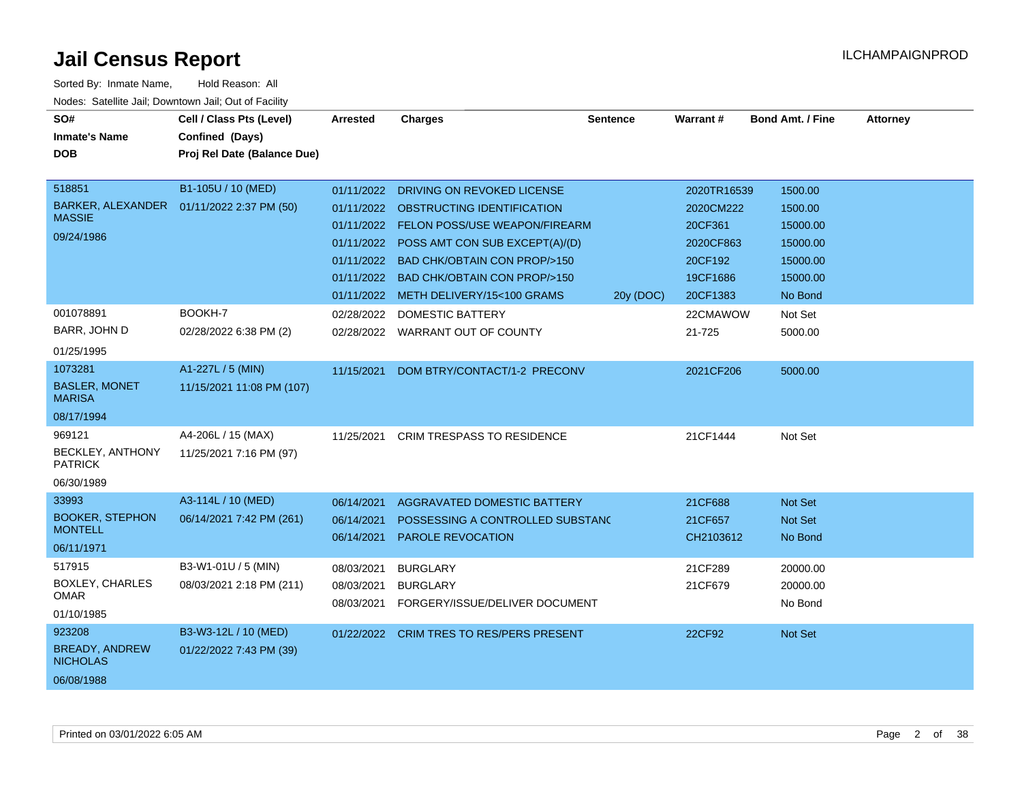| SO#<br><b>Inmate's Name</b>               | Cell / Class Pts (Level)<br>Confined (Days) | Arrested                 | <b>Charges</b>                                        | <b>Sentence</b> | <b>Warrant#</b>      | <b>Bond Amt. / Fine</b> | <b>Attorney</b> |
|-------------------------------------------|---------------------------------------------|--------------------------|-------------------------------------------------------|-----------------|----------------------|-------------------------|-----------------|
| <b>DOB</b>                                | Proj Rel Date (Balance Due)                 |                          |                                                       |                 |                      |                         |                 |
| 518851                                    | B1-105U / 10 (MED)                          |                          |                                                       |                 |                      |                         |                 |
| <b>BARKER, ALEXANDER</b>                  | 01/11/2022 2:37 PM (50)                     | 01/11/2022               | DRIVING ON REVOKED LICENSE                            |                 | 2020TR16539          | 1500.00                 |                 |
| <b>MASSIE</b>                             |                                             |                          | 01/11/2022 OBSTRUCTING IDENTIFICATION                 |                 | 2020CM222            | 1500.00                 |                 |
| 09/24/1986                                |                                             |                          | 01/11/2022 FELON POSS/USE WEAPON/FIREARM              |                 | 20CF361              | 15000.00                |                 |
|                                           |                                             | 01/11/2022               | POSS AMT CON SUB EXCEPT(A)/(D)                        |                 | 2020CF863            | 15000.00                |                 |
|                                           |                                             | 01/11/2022               | <b>BAD CHK/OBTAIN CON PROP/&gt;150</b>                |                 | 20CF192              | 15000.00                |                 |
|                                           |                                             |                          | 01/11/2022 BAD CHK/OBTAIN CON PROP/>150               |                 | 19CF1686             | 15000.00                |                 |
|                                           |                                             |                          | 01/11/2022 METH DELIVERY/15<100 GRAMS                 | 20y (DOC)       | 20CF1383             | No Bond                 |                 |
| 001078891                                 | BOOKH-7                                     | 02/28/2022               | <b>DOMESTIC BATTERY</b>                               |                 | 22CMAWOW             | Not Set                 |                 |
| BARR, JOHN D                              | 02/28/2022 6:38 PM (2)                      |                          | 02/28/2022 WARRANT OUT OF COUNTY                      |                 | 21-725               | 5000.00                 |                 |
| 01/25/1995                                |                                             |                          |                                                       |                 |                      |                         |                 |
| 1073281                                   | A1-227L / 5 (MIN)                           | 11/15/2021               | DOM BTRY/CONTACT/1-2 PRECONV                          |                 | 2021CF206            | 5000.00                 |                 |
| <b>BASLER, MONET</b><br><b>MARISA</b>     | 11/15/2021 11:08 PM (107)                   |                          |                                                       |                 |                      |                         |                 |
| 08/17/1994                                |                                             |                          |                                                       |                 |                      |                         |                 |
| 969121                                    | A4-206L / 15 (MAX)                          | 11/25/2021               | <b>CRIM TRESPASS TO RESIDENCE</b>                     |                 | 21CF1444             | Not Set                 |                 |
| <b>BECKLEY, ANTHONY</b><br><b>PATRICK</b> | 11/25/2021 7:16 PM (97)                     |                          |                                                       |                 |                      |                         |                 |
| 06/30/1989                                |                                             |                          |                                                       |                 |                      |                         |                 |
| 33993                                     | A3-114L / 10 (MED)                          | 06/14/2021               | AGGRAVATED DOMESTIC BATTERY                           |                 | 21CF688              | Not Set                 |                 |
| <b>BOOKER, STEPHON</b><br><b>MONTELL</b>  | 06/14/2021 7:42 PM (261)                    | 06/14/2021<br>06/14/2021 | POSSESSING A CONTROLLED SUBSTAND<br>PAROLE REVOCATION |                 | 21CF657<br>CH2103612 | Not Set<br>No Bond      |                 |
| 06/11/1971                                |                                             |                          |                                                       |                 |                      |                         |                 |
| 517915                                    | B3-W1-01U / 5 (MIN)                         | 08/03/2021               | <b>BURGLARY</b>                                       |                 | 21CF289              | 20000.00                |                 |
| <b>BOXLEY, CHARLES</b>                    | 08/03/2021 2:18 PM (211)                    | 08/03/2021               | <b>BURGLARY</b>                                       |                 | 21CF679              | 20000.00                |                 |
| <b>OMAR</b>                               |                                             | 08/03/2021               | FORGERY/ISSUE/DELIVER DOCUMENT                        |                 |                      | No Bond                 |                 |
| 01/10/1985                                |                                             |                          |                                                       |                 |                      |                         |                 |
| 923208                                    | B3-W3-12L / 10 (MED)                        | 01/22/2022               | <b>CRIM TRES TO RES/PERS PRESENT</b>                  |                 | 22CF92               | <b>Not Set</b>          |                 |
| <b>BREADY, ANDREW</b><br><b>NICHOLAS</b>  | 01/22/2022 7:43 PM (39)                     |                          |                                                       |                 |                      |                         |                 |
| 06/08/1988                                |                                             |                          |                                                       |                 |                      |                         |                 |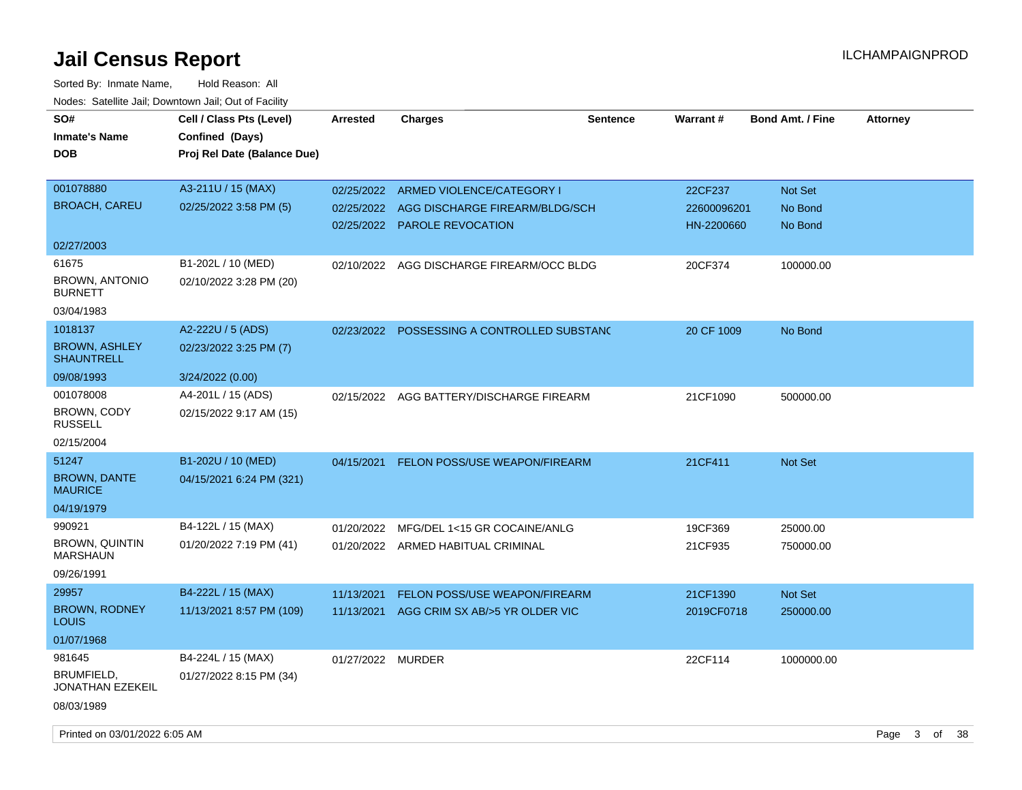| SO#<br><b>Inmate's Name</b><br><b>DOB</b>        | Cell / Class Pts (Level)<br>Confined (Days)<br>Proj Rel Date (Balance Due) | <b>Arrested</b>   | <b>Charges</b>                           | <b>Sentence</b> | Warrant#    | <b>Bond Amt. / Fine</b> | <b>Attorney</b> |
|--------------------------------------------------|----------------------------------------------------------------------------|-------------------|------------------------------------------|-----------------|-------------|-------------------------|-----------------|
| 001078880                                        | A3-211U / 15 (MAX)                                                         |                   | 02/25/2022 ARMED VIOLENCE/CATEGORY I     |                 | 22CF237     | <b>Not Set</b>          |                 |
| <b>BROACH, CAREU</b>                             | 02/25/2022 3:58 PM (5)                                                     | 02/25/2022        | AGG DISCHARGE FIREARM/BLDG/SCH           |                 | 22600096201 | No Bond                 |                 |
|                                                  |                                                                            |                   | 02/25/2022 PAROLE REVOCATION             |                 | HN-2200660  | No Bond                 |                 |
| 02/27/2003                                       |                                                                            |                   |                                          |                 |             |                         |                 |
| 61675<br><b>BROWN, ANTONIO</b><br><b>BURNETT</b> | B1-202L / 10 (MED)<br>02/10/2022 3:28 PM (20)                              | 02/10/2022        | AGG DISCHARGE FIREARM/OCC BLDG           |                 | 20CF374     | 100000.00               |                 |
| 03/04/1983                                       |                                                                            |                   |                                          |                 |             |                         |                 |
| 1018137                                          | A2-222U / 5 (ADS)                                                          | 02/23/2022        | POSSESSING A CONTROLLED SUBSTANC         |                 | 20 CF 1009  | No Bond                 |                 |
| <b>BROWN, ASHLEY</b><br><b>SHAUNTRELL</b>        | 02/23/2022 3:25 PM (7)                                                     |                   |                                          |                 |             |                         |                 |
| 09/08/1993                                       | 3/24/2022 (0.00)                                                           |                   |                                          |                 |             |                         |                 |
| 001078008<br>BROWN, CODY<br><b>RUSSELL</b>       | A4-201L / 15 (ADS)<br>02/15/2022 9:17 AM (15)                              |                   | 02/15/2022 AGG BATTERY/DISCHARGE FIREARM |                 | 21CF1090    | 500000.00               |                 |
| 02/15/2004                                       |                                                                            |                   |                                          |                 |             |                         |                 |
| 51247                                            | B1-202U / 10 (MED)                                                         | 04/15/2021        | FELON POSS/USE WEAPON/FIREARM            |                 | 21CF411     | Not Set                 |                 |
| <b>BROWN, DANTE</b><br><b>MAURICE</b>            | 04/15/2021 6:24 PM (321)                                                   |                   |                                          |                 |             |                         |                 |
| 04/19/1979                                       |                                                                            |                   |                                          |                 |             |                         |                 |
| 990921                                           | B4-122L / 15 (MAX)                                                         | 01/20/2022        | MFG/DEL 1<15 GR COCAINE/ANLG             |                 | 19CF369     | 25000.00                |                 |
| <b>BROWN, QUINTIN</b><br><b>MARSHAUN</b>         | 01/20/2022 7:19 PM (41)                                                    |                   | 01/20/2022 ARMED HABITUAL CRIMINAL       |                 | 21CF935     | 750000.00               |                 |
| 09/26/1991                                       |                                                                            |                   |                                          |                 |             |                         |                 |
| 29957                                            | B4-222L / 15 (MAX)                                                         | 11/13/2021        | FELON POSS/USE WEAPON/FIREARM            |                 | 21CF1390    | Not Set                 |                 |
| <b>BROWN, RODNEY</b><br><b>LOUIS</b>             | 11/13/2021 8:57 PM (109)                                                   | 11/13/2021        | AGG CRIM SX AB/>5 YR OLDER VIC           |                 | 2019CF0718  | 250000.00               |                 |
| 01/07/1968                                       |                                                                            |                   |                                          |                 |             |                         |                 |
| 981645                                           | B4-224L / 15 (MAX)                                                         | 01/27/2022 MURDER |                                          |                 | 22CF114     | 1000000.00              |                 |
| BRUMFIELD,<br>JONATHAN EZEKEIL                   | 01/27/2022 8:15 PM (34)                                                    |                   |                                          |                 |             |                         |                 |
| 08/03/1989                                       |                                                                            |                   |                                          |                 |             |                         |                 |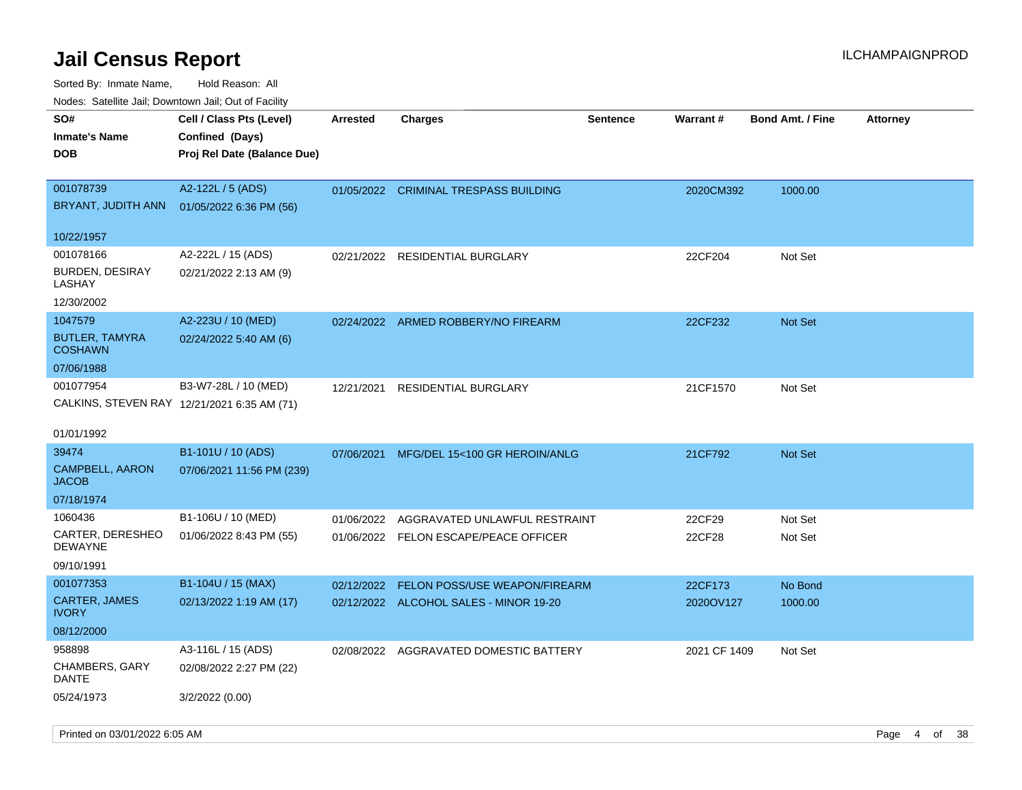| Nodes. Satellite Jali, Downtown Jali, Out of Facility<br>SO# | Cell / Class Pts (Level)                    | <b>Arrested</b> | <b>Charges</b>                         | <b>Sentence</b> | Warrant#     | <b>Bond Amt. / Fine</b> |                 |
|--------------------------------------------------------------|---------------------------------------------|-----------------|----------------------------------------|-----------------|--------------|-------------------------|-----------------|
|                                                              |                                             |                 |                                        |                 |              |                         | <b>Attorney</b> |
| Inmate's Name                                                | Confined (Days)                             |                 |                                        |                 |              |                         |                 |
| DOB                                                          | Proj Rel Date (Balance Due)                 |                 |                                        |                 |              |                         |                 |
| 001078739                                                    | A2-122L / 5 (ADS)                           |                 | 01/05/2022 CRIMINAL TRESPASS BUILDING  |                 | 2020CM392    | 1000.00                 |                 |
| BRYANT, JUDITH ANN                                           | 01/05/2022 6:36 PM (56)                     |                 |                                        |                 |              |                         |                 |
|                                                              |                                             |                 |                                        |                 |              |                         |                 |
| 10/22/1957                                                   |                                             |                 |                                        |                 |              |                         |                 |
| 001078166                                                    | A2-222L / 15 (ADS)                          | 02/21/2022      | <b>RESIDENTIAL BURGLARY</b>            |                 | 22CF204      | Not Set                 |                 |
| <b>BURDEN, DESIRAY</b>                                       | 02/21/2022 2:13 AM (9)                      |                 |                                        |                 |              |                         |                 |
| LASHAY                                                       |                                             |                 |                                        |                 |              |                         |                 |
| 12/30/2002                                                   |                                             |                 |                                        |                 |              |                         |                 |
| 1047579                                                      | A2-223U / 10 (MED)                          | 02/24/2022      | ARMED ROBBERY/NO FIREARM               |                 | 22CF232      | <b>Not Set</b>          |                 |
| <b>BUTLER, TAMYRA</b><br><b>COSHAWN</b>                      | 02/24/2022 5:40 AM (6)                      |                 |                                        |                 |              |                         |                 |
| 07/06/1988                                                   |                                             |                 |                                        |                 |              |                         |                 |
| 001077954                                                    |                                             |                 |                                        |                 |              |                         |                 |
|                                                              | B3-W7-28L / 10 (MED)                        | 12/21/2021      | <b>RESIDENTIAL BURGLARY</b>            |                 | 21CF1570     | Not Set                 |                 |
|                                                              | CALKINS, STEVEN RAY 12/21/2021 6:35 AM (71) |                 |                                        |                 |              |                         |                 |
| 01/01/1992                                                   |                                             |                 |                                        |                 |              |                         |                 |
| 39474                                                        | B1-101U / 10 (ADS)                          | 07/06/2021      | MFG/DEL 15<100 GR HEROIN/ANLG          |                 | 21CF792      | <b>Not Set</b>          |                 |
| <b>CAMPBELL, AARON</b>                                       | 07/06/2021 11:56 PM (239)                   |                 |                                        |                 |              |                         |                 |
| JACOB                                                        |                                             |                 |                                        |                 |              |                         |                 |
| 07/18/1974                                                   |                                             |                 |                                        |                 |              |                         |                 |
| 1060436                                                      | B1-106U / 10 (MED)                          | 01/06/2022      | AGGRAVATED UNLAWFUL RESTRAINT          |                 | 22CF29       | Not Set                 |                 |
| CARTER, DERESHEO                                             | 01/06/2022 8:43 PM (55)                     |                 | 01/06/2022 FELON ESCAPE/PEACE OFFICER  |                 | 22CF28       | Not Set                 |                 |
| DEWAYNE                                                      |                                             |                 |                                        |                 |              |                         |                 |
| 09/10/1991                                                   |                                             |                 |                                        |                 |              |                         |                 |
| 001077353                                                    | B1-104U / 15 (MAX)                          | 02/12/2022      | FELON POSS/USE WEAPON/FIREARM          |                 | 22CF173      | No Bond                 |                 |
| <b>CARTER, JAMES</b><br>IVORY                                | 02/13/2022 1:19 AM (17)                     |                 | 02/12/2022 ALCOHOL SALES - MINOR 19-20 |                 | 2020OV127    | 1000.00                 |                 |
| 08/12/2000                                                   |                                             |                 |                                        |                 |              |                         |                 |
| 958898                                                       | A3-116L / 15 (ADS)                          | 02/08/2022      | AGGRAVATED DOMESTIC BATTERY            |                 | 2021 CF 1409 | Not Set                 |                 |
| <b>CHAMBERS, GARY</b><br>DANTE                               | 02/08/2022 2:27 PM (22)                     |                 |                                        |                 |              |                         |                 |
| 05/24/1973                                                   | 3/2/2022 (0.00)                             |                 |                                        |                 |              |                         |                 |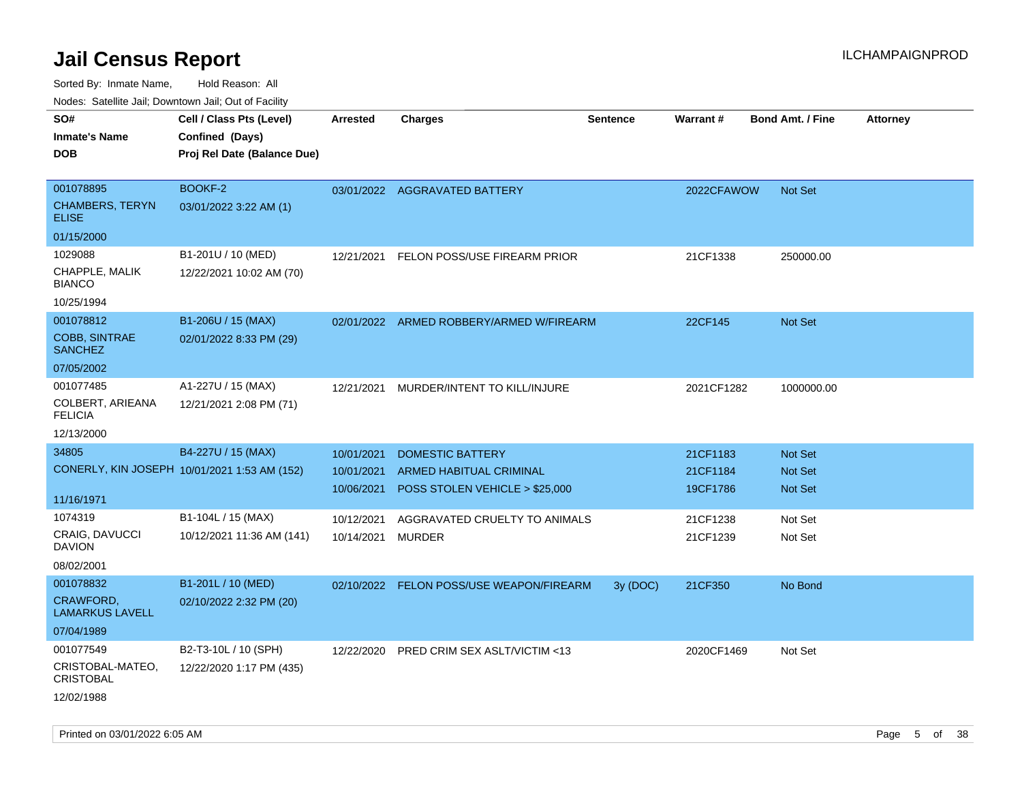| rouco. Calcinic Jan, Downtown Jan, Out of Facility |                                              |                 |                                          |                 |                 |                         |                 |
|----------------------------------------------------|----------------------------------------------|-----------------|------------------------------------------|-----------------|-----------------|-------------------------|-----------------|
| SO#                                                | Cell / Class Pts (Level)                     | <b>Arrested</b> | <b>Charges</b>                           | <b>Sentence</b> | <b>Warrant#</b> | <b>Bond Amt. / Fine</b> | <b>Attorney</b> |
| <b>Inmate's Name</b>                               | Confined (Days)                              |                 |                                          |                 |                 |                         |                 |
| DOB                                                | Proj Rel Date (Balance Due)                  |                 |                                          |                 |                 |                         |                 |
|                                                    |                                              |                 |                                          |                 |                 |                         |                 |
| 001078895                                          | BOOKF-2                                      |                 | 03/01/2022 AGGRAVATED BATTERY            |                 | 2022CFAWOW      | <b>Not Set</b>          |                 |
| <b>CHAMBERS, TERYN</b><br>ELISE                    | 03/01/2022 3:22 AM (1)                       |                 |                                          |                 |                 |                         |                 |
| 01/15/2000                                         |                                              |                 |                                          |                 |                 |                         |                 |
| 1029088                                            | B1-201U / 10 (MED)                           | 12/21/2021      | FELON POSS/USE FIREARM PRIOR             |                 | 21CF1338        | 250000.00               |                 |
| CHAPPLE, MALIK<br>BIANCO                           | 12/22/2021 10:02 AM (70)                     |                 |                                          |                 |                 |                         |                 |
| 10/25/1994                                         |                                              |                 |                                          |                 |                 |                         |                 |
| 001078812                                          | B1-206U / 15 (MAX)                           | 02/01/2022      | ARMED ROBBERY/ARMED W/FIREARM            |                 | 22CF145         | Not Set                 |                 |
| <b>COBB, SINTRAE</b><br><b>SANCHEZ</b>             | 02/01/2022 8:33 PM (29)                      |                 |                                          |                 |                 |                         |                 |
| 07/05/2002                                         |                                              |                 |                                          |                 |                 |                         |                 |
| 001077485                                          | A1-227U / 15 (MAX)                           | 12/21/2021      | MURDER/INTENT TO KILL/INJURE             |                 | 2021CF1282      | 1000000.00              |                 |
| COLBERT, ARIEANA<br><b>FELICIA</b>                 | 12/21/2021 2:08 PM (71)                      |                 |                                          |                 |                 |                         |                 |
| 12/13/2000                                         |                                              |                 |                                          |                 |                 |                         |                 |
| 34805                                              | B4-227U / 15 (MAX)                           | 10/01/2021      | <b>DOMESTIC BATTERY</b>                  |                 | 21CF1183        | <b>Not Set</b>          |                 |
|                                                    | CONERLY, KIN JOSEPH 10/01/2021 1:53 AM (152) | 10/01/2021      | ARMED HABITUAL CRIMINAL                  |                 | 21CF1184        | <b>Not Set</b>          |                 |
|                                                    |                                              | 10/06/2021      | POSS STOLEN VEHICLE > \$25,000           |                 | 19CF1786        | <b>Not Set</b>          |                 |
| 11/16/1971                                         |                                              |                 |                                          |                 |                 |                         |                 |
| 1074319                                            | B1-104L / 15 (MAX)                           | 10/12/2021      | AGGRAVATED CRUELTY TO ANIMALS            |                 | 21CF1238        | Not Set                 |                 |
| CRAIG, DAVUCCI<br>DAVION                           | 10/12/2021 11:36 AM (141)                    | 10/14/2021      | <b>MURDER</b>                            |                 | 21CF1239        | Not Set                 |                 |
| 08/02/2001                                         |                                              |                 |                                          |                 |                 |                         |                 |
| 001078832                                          | B1-201L / 10 (MED)                           |                 | 02/10/2022 FELON POSS/USE WEAPON/FIREARM | 3y (DOC)        | 21CF350         | No Bond                 |                 |
| <b>CRAWFORD,</b><br>LAMARKUS LAVELL                | 02/10/2022 2:32 PM (20)                      |                 |                                          |                 |                 |                         |                 |
| 07/04/1989                                         |                                              |                 |                                          |                 |                 |                         |                 |
| 001077549                                          | B2-T3-10L / 10 (SPH)                         | 12/22/2020      | PRED CRIM SEX ASLT/VICTIM <13            |                 | 2020CF1469      | Not Set                 |                 |
| CRISTOBAL-MATEO,<br>CRISTOBAL                      | 12/22/2020 1:17 PM (435)                     |                 |                                          |                 |                 |                         |                 |
| 12/02/1988                                         |                                              |                 |                                          |                 |                 |                         |                 |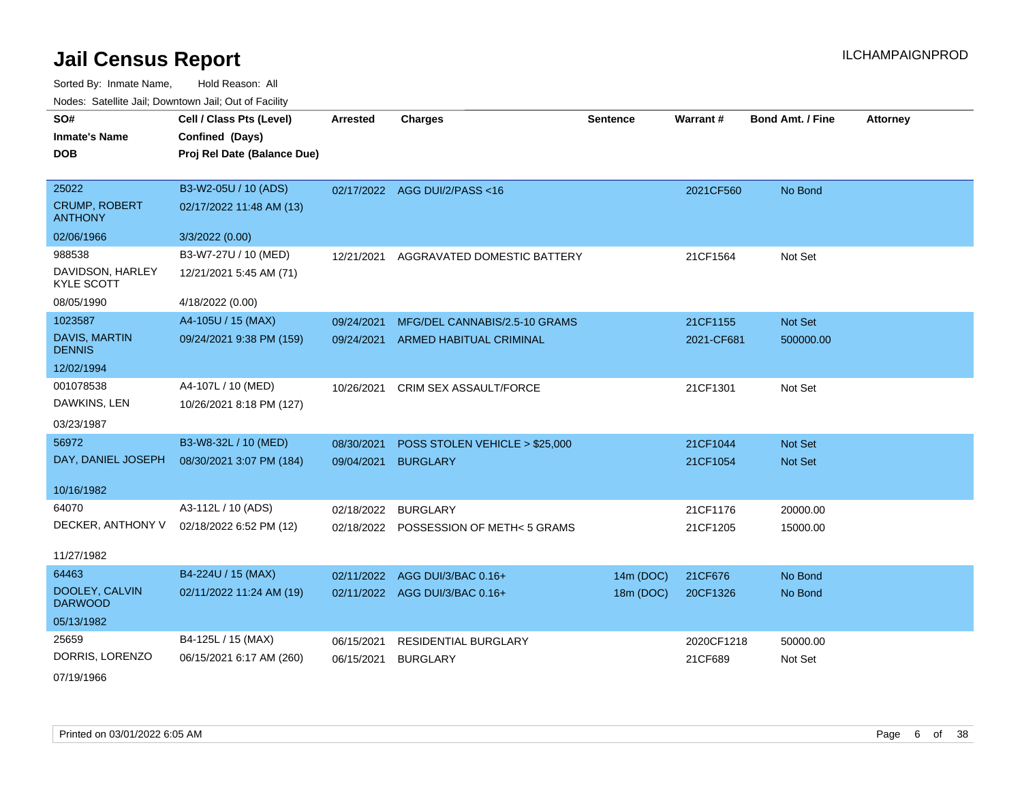Sorted By: Inmate Name, Hold Reason: All Nodes: Satellite Jail; Downtown Jail; Out of Facility

| SO#<br><b>Inmate's Name</b><br><b>DOB</b>       | Cell / Class Pts (Level)<br>Confined (Days)<br>Proj Rel Date (Balance Due) | <b>Arrested</b> | <b>Charges</b>                        | <b>Sentence</b> | <b>Warrant#</b> | <b>Bond Amt. / Fine</b> | <b>Attorney</b> |
|-------------------------------------------------|----------------------------------------------------------------------------|-----------------|---------------------------------------|-----------------|-----------------|-------------------------|-----------------|
| 25022<br><b>CRUMP, ROBERT</b><br><b>ANTHONY</b> | B3-W2-05U / 10 (ADS)<br>02/17/2022 11:48 AM (13)                           |                 | 02/17/2022 AGG DUI/2/PASS<16          |                 | 2021CF560       | No Bond                 |                 |
| 02/06/1966                                      | 3/3/2022 (0.00)                                                            |                 |                                       |                 |                 |                         |                 |
| 988538                                          | B3-W7-27U / 10 (MED)                                                       | 12/21/2021      | AGGRAVATED DOMESTIC BATTERY           |                 | 21CF1564        | Not Set                 |                 |
| DAVIDSON, HARLEY<br><b>KYLE SCOTT</b>           | 12/21/2021 5:45 AM (71)                                                    |                 |                                       |                 |                 |                         |                 |
| 08/05/1990                                      | 4/18/2022 (0.00)                                                           |                 |                                       |                 |                 |                         |                 |
| 1023587                                         | A4-105U / 15 (MAX)                                                         | 09/24/2021      | MFG/DEL CANNABIS/2.5-10 GRAMS         |                 | 21CF1155        | Not Set                 |                 |
| <b>DAVIS, MARTIN</b><br><b>DENNIS</b>           | 09/24/2021 9:38 PM (159)                                                   |                 | 09/24/2021 ARMED HABITUAL CRIMINAL    |                 | 2021-CF681      | 500000.00               |                 |
| 12/02/1994                                      |                                                                            |                 |                                       |                 |                 |                         |                 |
| 001078538                                       | A4-107L / 10 (MED)                                                         | 10/26/2021      | <b>CRIM SEX ASSAULT/FORCE</b>         |                 | 21CF1301        | Not Set                 |                 |
| DAWKINS, LEN                                    | 10/26/2021 8:18 PM (127)                                                   |                 |                                       |                 |                 |                         |                 |
| 03/23/1987                                      |                                                                            |                 |                                       |                 |                 |                         |                 |
| 56972                                           | B3-W8-32L / 10 (MED)                                                       | 08/30/2021      | POSS STOLEN VEHICLE > \$25,000        |                 | 21CF1044        | <b>Not Set</b>          |                 |
| DAY, DANIEL JOSEPH                              | 08/30/2021 3:07 PM (184)                                                   | 09/04/2021      | <b>BURGLARY</b>                       |                 | 21CF1054        | Not Set                 |                 |
| 10/16/1982                                      |                                                                            |                 |                                       |                 |                 |                         |                 |
| 64070                                           | A3-112L / 10 (ADS)                                                         | 02/18/2022      | <b>BURGLARY</b>                       |                 | 21CF1176        | 20000.00                |                 |
| DECKER, ANTHONY V                               | 02/18/2022 6:52 PM (12)                                                    |                 | 02/18/2022 POSSESSION OF METH<5 GRAMS |                 | 21CF1205        | 15000.00                |                 |
| 11/27/1982                                      |                                                                            |                 |                                       |                 |                 |                         |                 |
| 64463                                           | B4-224U / 15 (MAX)                                                         |                 | 02/11/2022 AGG DUI/3/BAC 0.16+        | 14m (DOC)       | 21CF676         | No Bond                 |                 |
| DOOLEY, CALVIN<br><b>DARWOOD</b>                | 02/11/2022 11:24 AM (19)                                                   |                 | 02/11/2022 AGG DUI/3/BAC 0.16+        | 18m (DOC)       | 20CF1326        | No Bond                 |                 |
| 05/13/1982                                      |                                                                            |                 |                                       |                 |                 |                         |                 |
| 25659                                           | B4-125L / 15 (MAX)                                                         | 06/15/2021      | RESIDENTIAL BURGLARY                  |                 | 2020CF1218      | 50000.00                |                 |
| DORRIS, LORENZO                                 | 06/15/2021 6:17 AM (260)                                                   | 06/15/2021      | <b>BURGLARY</b>                       |                 | 21CF689         | Not Set                 |                 |

07/19/1966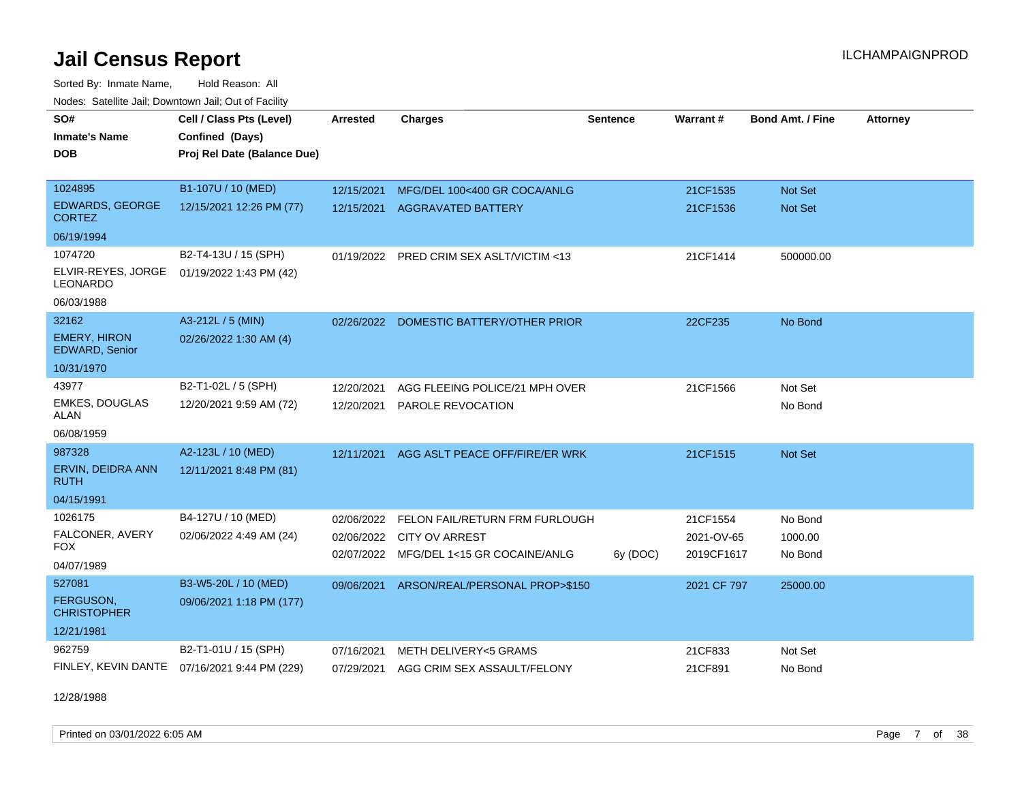Sorted By: Inmate Name, Hold Reason: All Nodes: Satellite Jail; Downtown Jail; Out of Facility

| SO#                                          |                                              | <b>Arrested</b> |                                          | <b>Sentence</b> | Warrant#    | <b>Bond Amt. / Fine</b> |                 |
|----------------------------------------------|----------------------------------------------|-----------------|------------------------------------------|-----------------|-------------|-------------------------|-----------------|
|                                              | Cell / Class Pts (Level)                     |                 | <b>Charges</b>                           |                 |             |                         | <b>Attorney</b> |
| <b>Inmate's Name</b>                         | Confined (Days)                              |                 |                                          |                 |             |                         |                 |
| <b>DOB</b>                                   | Proj Rel Date (Balance Due)                  |                 |                                          |                 |             |                         |                 |
|                                              |                                              |                 |                                          |                 |             |                         |                 |
| 1024895                                      | B1-107U / 10 (MED)                           | 12/15/2021      | MFG/DEL 100<400 GR COCA/ANLG             |                 | 21CF1535    | Not Set                 |                 |
| <b>EDWARDS, GEORGE</b><br><b>CORTEZ</b>      | 12/15/2021 12:26 PM (77)                     | 12/15/2021      | <b>AGGRAVATED BATTERY</b>                |                 | 21CF1536    | Not Set                 |                 |
| 06/19/1994                                   |                                              |                 |                                          |                 |             |                         |                 |
| 1074720                                      | B2-T4-13U / 15 (SPH)                         |                 | 01/19/2022 PRED CRIM SEX ASLT/VICTIM <13 |                 | 21CF1414    | 500000.00               |                 |
| ELVIR-REYES, JORGE<br><b>LEONARDO</b>        | 01/19/2022 1:43 PM (42)                      |                 |                                          |                 |             |                         |                 |
| 06/03/1988                                   |                                              |                 |                                          |                 |             |                         |                 |
| 32162                                        | A3-212L / 5 (MIN)                            | 02/26/2022      | DOMESTIC BATTERY/OTHER PRIOR             |                 | 22CF235     | No Bond                 |                 |
| <b>EMERY, HIRON</b><br><b>EDWARD, Senior</b> | 02/26/2022 1:30 AM (4)                       |                 |                                          |                 |             |                         |                 |
| 10/31/1970                                   |                                              |                 |                                          |                 |             |                         |                 |
| 43977                                        | B2-T1-02L / 5 (SPH)                          | 12/20/2021      | AGG FLEEING POLICE/21 MPH OVER           |                 | 21CF1566    | Not Set                 |                 |
| <b>EMKES, DOUGLAS</b><br>ALAN                | 12/20/2021 9:59 AM (72)                      | 12/20/2021      | PAROLE REVOCATION                        |                 |             | No Bond                 |                 |
| 06/08/1959                                   |                                              |                 |                                          |                 |             |                         |                 |
| 987328                                       | A2-123L / 10 (MED)                           | 12/11/2021      | AGG ASLT PEACE OFF/FIRE/ER WRK           |                 | 21CF1515    | Not Set                 |                 |
| ERVIN, DEIDRA ANN<br><b>RUTH</b>             | 12/11/2021 8:48 PM (81)                      |                 |                                          |                 |             |                         |                 |
| 04/15/1991                                   |                                              |                 |                                          |                 |             |                         |                 |
| 1026175                                      | B4-127U / 10 (MED)                           | 02/06/2022      | FELON FAIL/RETURN FRM FURLOUGH           |                 | 21CF1554    | No Bond                 |                 |
| FALCONER, AVERY                              | 02/06/2022 4:49 AM (24)                      |                 | 02/06/2022 CITY OV ARREST                |                 | 2021-OV-65  | 1000.00                 |                 |
| FOX                                          |                                              |                 | 02/07/2022 MFG/DEL 1<15 GR COCAINE/ANLG  | 6y (DOC)        | 2019CF1617  | No Bond                 |                 |
| 04/07/1989                                   |                                              |                 |                                          |                 |             |                         |                 |
| 527081                                       | B3-W5-20L / 10 (MED)                         | 09/06/2021      | ARSON/REAL/PERSONAL PROP>\$150           |                 | 2021 CF 797 | 25000.00                |                 |
| <b>FERGUSON.</b><br><b>CHRISTOPHER</b>       | 09/06/2021 1:18 PM (177)                     |                 |                                          |                 |             |                         |                 |
| 12/21/1981                                   |                                              |                 |                                          |                 |             |                         |                 |
| 962759                                       | B2-T1-01U / 15 (SPH)                         | 07/16/2021      | <b>METH DELIVERY&lt;5 GRAMS</b>          |                 | 21CF833     | Not Set                 |                 |
|                                              | FINLEY, KEVIN DANTE 07/16/2021 9:44 PM (229) | 07/29/2021      | AGG CRIM SEX ASSAULT/FELONY              |                 | 21CF891     | No Bond                 |                 |

12/28/1988

Printed on 03/01/2022 6:05 AM **Page 7** of 38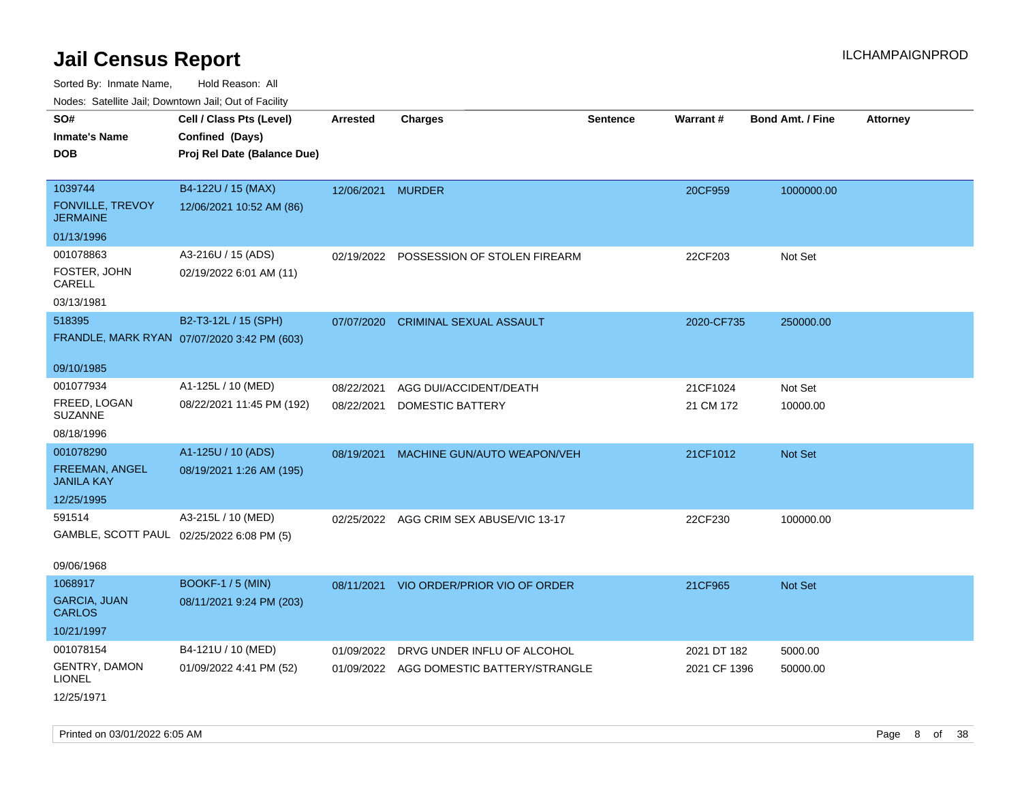| rouce. Calcinic Jan, Downtown Jan, Out or Facility |                                             |                   |                                          |                 |              |                         |                 |
|----------------------------------------------------|---------------------------------------------|-------------------|------------------------------------------|-----------------|--------------|-------------------------|-----------------|
| SO#                                                | Cell / Class Pts (Level)                    | <b>Arrested</b>   | <b>Charges</b>                           | <b>Sentence</b> | Warrant#     | <b>Bond Amt. / Fine</b> | <b>Attorney</b> |
| <b>Inmate's Name</b>                               | Confined (Days)                             |                   |                                          |                 |              |                         |                 |
| <b>DOB</b>                                         | Proj Rel Date (Balance Due)                 |                   |                                          |                 |              |                         |                 |
|                                                    |                                             |                   |                                          |                 |              |                         |                 |
| 1039744                                            | B4-122U / 15 (MAX)                          | 12/06/2021 MURDER |                                          |                 | 20CF959      | 1000000.00              |                 |
| FONVILLE, TREVOY<br><b>JERMAINE</b>                | 12/06/2021 10:52 AM (86)                    |                   |                                          |                 |              |                         |                 |
| 01/13/1996                                         |                                             |                   |                                          |                 |              |                         |                 |
| 001078863                                          | A3-216U / 15 (ADS)                          |                   | 02/19/2022 POSSESSION OF STOLEN FIREARM  |                 | 22CF203      | Not Set                 |                 |
| FOSTER, JOHN<br>CARELL                             | 02/19/2022 6:01 AM (11)                     |                   |                                          |                 |              |                         |                 |
| 03/13/1981                                         |                                             |                   |                                          |                 |              |                         |                 |
| 518395                                             | B2-T3-12L / 15 (SPH)                        | 07/07/2020        | <b>CRIMINAL SEXUAL ASSAULT</b>           |                 | 2020-CF735   | 250000.00               |                 |
|                                                    | FRANDLE, MARK RYAN 07/07/2020 3:42 PM (603) |                   |                                          |                 |              |                         |                 |
|                                                    |                                             |                   |                                          |                 |              |                         |                 |
| 09/10/1985                                         |                                             |                   |                                          |                 |              |                         |                 |
| 001077934                                          | A1-125L / 10 (MED)                          | 08/22/2021        | AGG DUI/ACCIDENT/DEATH                   |                 | 21CF1024     | Not Set                 |                 |
| FREED, LOGAN<br><b>SUZANNE</b>                     | 08/22/2021 11:45 PM (192)                   | 08/22/2021        | <b>DOMESTIC BATTERY</b>                  |                 | 21 CM 172    | 10000.00                |                 |
| 08/18/1996                                         |                                             |                   |                                          |                 |              |                         |                 |
| 001078290                                          | A1-125U / 10 (ADS)                          | 08/19/2021        | MACHINE GUN/AUTO WEAPON/VEH              |                 | 21CF1012     | Not Set                 |                 |
| FREEMAN, ANGEL<br><b>JANILA KAY</b>                | 08/19/2021 1:26 AM (195)                    |                   |                                          |                 |              |                         |                 |
| 12/25/1995                                         |                                             |                   |                                          |                 |              |                         |                 |
| 591514                                             | A3-215L / 10 (MED)                          |                   | 02/25/2022 AGG CRIM SEX ABUSE/VIC 13-17  |                 | 22CF230      | 100000.00               |                 |
| GAMBLE, SCOTT PAUL 02/25/2022 6:08 PM (5)          |                                             |                   |                                          |                 |              |                         |                 |
|                                                    |                                             |                   |                                          |                 |              |                         |                 |
| 09/06/1968                                         |                                             |                   |                                          |                 |              |                         |                 |
| 1068917                                            | <b>BOOKF-1 / 5 (MIN)</b>                    |                   | 08/11/2021 VIO ORDER/PRIOR VIO OF ORDER  |                 | 21CF965      | Not Set                 |                 |
| <b>GARCIA, JUAN</b><br><b>CARLOS</b>               | 08/11/2021 9:24 PM (203)                    |                   |                                          |                 |              |                         |                 |
| 10/21/1997                                         |                                             |                   |                                          |                 |              |                         |                 |
| 001078154                                          | B4-121U / 10 (MED)                          | 01/09/2022        | DRVG UNDER INFLU OF ALCOHOL              |                 | 2021 DT 182  | 5000.00                 |                 |
| <b>GENTRY, DAMON</b><br><b>LIONEL</b>              | 01/09/2022 4:41 PM (52)                     |                   | 01/09/2022 AGG DOMESTIC BATTERY/STRANGLE |                 | 2021 CF 1396 | 50000.00                |                 |
| 12/25/1971                                         |                                             |                   |                                          |                 |              |                         |                 |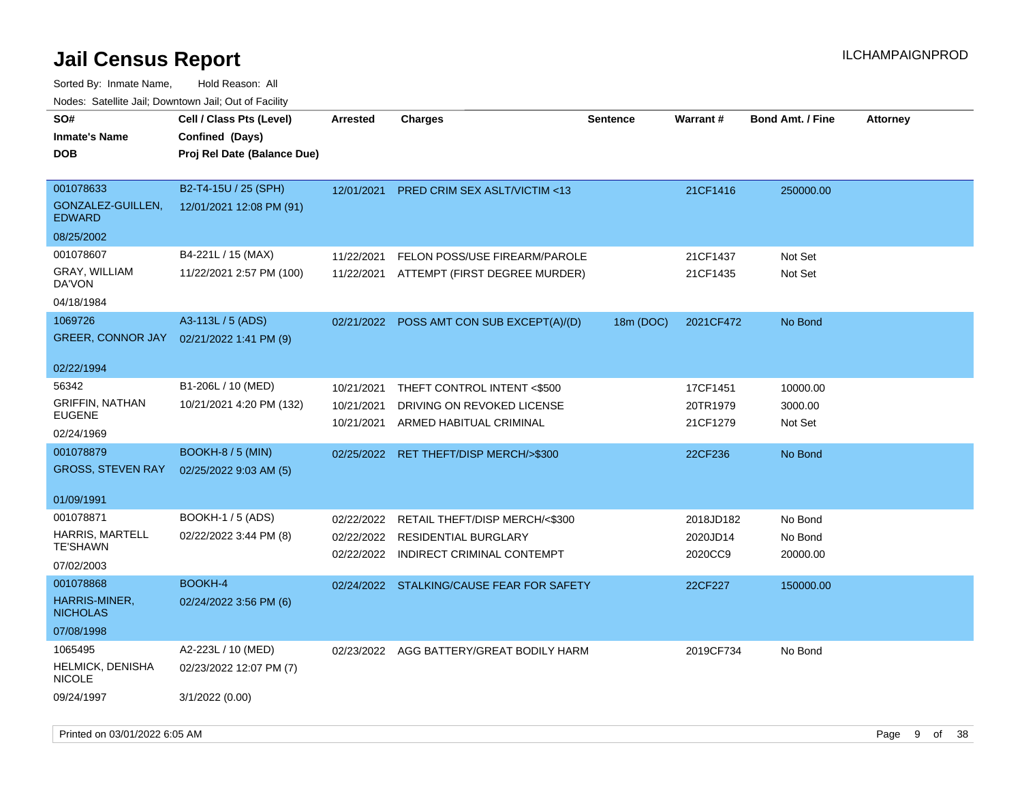| rougs. Calcing Jan, Downtown Jan, Out of Facility |                             |            |                                           |                 |                 |                         |                 |
|---------------------------------------------------|-----------------------------|------------|-------------------------------------------|-----------------|-----------------|-------------------------|-----------------|
| SO#                                               | Cell / Class Pts (Level)    | Arrested   | Charges                                   | <b>Sentence</b> | <b>Warrant#</b> | <b>Bond Amt. / Fine</b> | <b>Attorney</b> |
| <b>Inmate's Name</b>                              | Confined (Days)             |            |                                           |                 |                 |                         |                 |
| <b>DOB</b>                                        | Proj Rel Date (Balance Due) |            |                                           |                 |                 |                         |                 |
|                                                   |                             |            |                                           |                 |                 |                         |                 |
| 001078633                                         | B2-T4-15U / 25 (SPH)        | 12/01/2021 | <b>PRED CRIM SEX ASLT/VICTIM &lt;13</b>   |                 | 21CF1416        | 250000.00               |                 |
| GONZALEZ-GUILLEN,<br><b>EDWARD</b>                | 12/01/2021 12:08 PM (91)    |            |                                           |                 |                 |                         |                 |
| 08/25/2002                                        |                             |            |                                           |                 |                 |                         |                 |
| 001078607                                         | B4-221L / 15 (MAX)          | 11/22/2021 | FELON POSS/USE FIREARM/PAROLE             |                 | 21CF1437        | Not Set                 |                 |
| GRAY, WILLIAM<br>DA'VON                           | 11/22/2021 2:57 PM (100)    |            | 11/22/2021 ATTEMPT (FIRST DEGREE MURDER)  |                 | 21CF1435        | Not Set                 |                 |
| 04/18/1984                                        |                             |            |                                           |                 |                 |                         |                 |
| 1069726                                           | A3-113L / 5 (ADS)           | 02/21/2022 | POSS AMT CON SUB EXCEPT(A)/(D)            | 18m (DOC)       | 2021CF472       | No Bond                 |                 |
| <b>GREER, CONNOR JAY</b>                          | 02/21/2022 1:41 PM (9)      |            |                                           |                 |                 |                         |                 |
|                                                   |                             |            |                                           |                 |                 |                         |                 |
| 02/22/1994                                        |                             |            |                                           |                 |                 |                         |                 |
| 56342                                             | B1-206L / 10 (MED)          | 10/21/2021 | THEFT CONTROL INTENT <\$500               |                 | 17CF1451        | 10000.00                |                 |
| <b>GRIFFIN, NATHAN</b>                            | 10/21/2021 4:20 PM (132)    | 10/21/2021 | DRIVING ON REVOKED LICENSE                |                 | 20TR1979        | 3000.00                 |                 |
| <b>EUGENE</b>                                     |                             | 10/21/2021 | ARMED HABITUAL CRIMINAL                   |                 | 21CF1279        | Not Set                 |                 |
| 02/24/1969                                        |                             |            |                                           |                 |                 |                         |                 |
| 001078879                                         | <b>BOOKH-8 / 5 (MIN)</b>    | 02/25/2022 | RET THEFT/DISP MERCH/>\$300               |                 | 22CF236         | No Bond                 |                 |
| <b>GROSS, STEVEN RAY</b>                          | 02/25/2022 9:03 AM (5)      |            |                                           |                 |                 |                         |                 |
| 01/09/1991                                        |                             |            |                                           |                 |                 |                         |                 |
| 001078871                                         | <b>BOOKH-1 / 5 (ADS)</b>    | 02/22/2022 | RETAIL THEFT/DISP MERCH/<\$300            |                 | 2018JD182       | No Bond                 |                 |
| <b>HARRIS, MARTELL</b>                            | 02/22/2022 3:44 PM (8)      | 02/22/2022 | <b>RESIDENTIAL BURGLARY</b>               |                 | 2020JD14        | No Bond                 |                 |
| <b>TE'SHAWN</b>                                   |                             | 02/22/2022 | INDIRECT CRIMINAL CONTEMPT                |                 | 2020CC9         | 20000.00                |                 |
| 07/02/2003                                        |                             |            |                                           |                 |                 |                         |                 |
| 001078868                                         | <b>BOOKH-4</b>              |            | 02/24/2022 STALKING/CAUSE FEAR FOR SAFETY |                 | 22CF227         | 150000.00               |                 |
| HARRIS-MINER,<br><b>NICHOLAS</b>                  | 02/24/2022 3:56 PM (6)      |            |                                           |                 |                 |                         |                 |
| 07/08/1998                                        |                             |            |                                           |                 |                 |                         |                 |
| 1065495                                           | A2-223L / 10 (MED)          | 02/23/2022 | AGG BATTERY/GREAT BODILY HARM             |                 | 2019CF734       | No Bond                 |                 |
| <b>HELMICK, DENISHA</b><br><b>NICOLE</b>          | 02/23/2022 12:07 PM (7)     |            |                                           |                 |                 |                         |                 |
| 09/24/1997                                        | 3/1/2022 (0.00)             |            |                                           |                 |                 |                         |                 |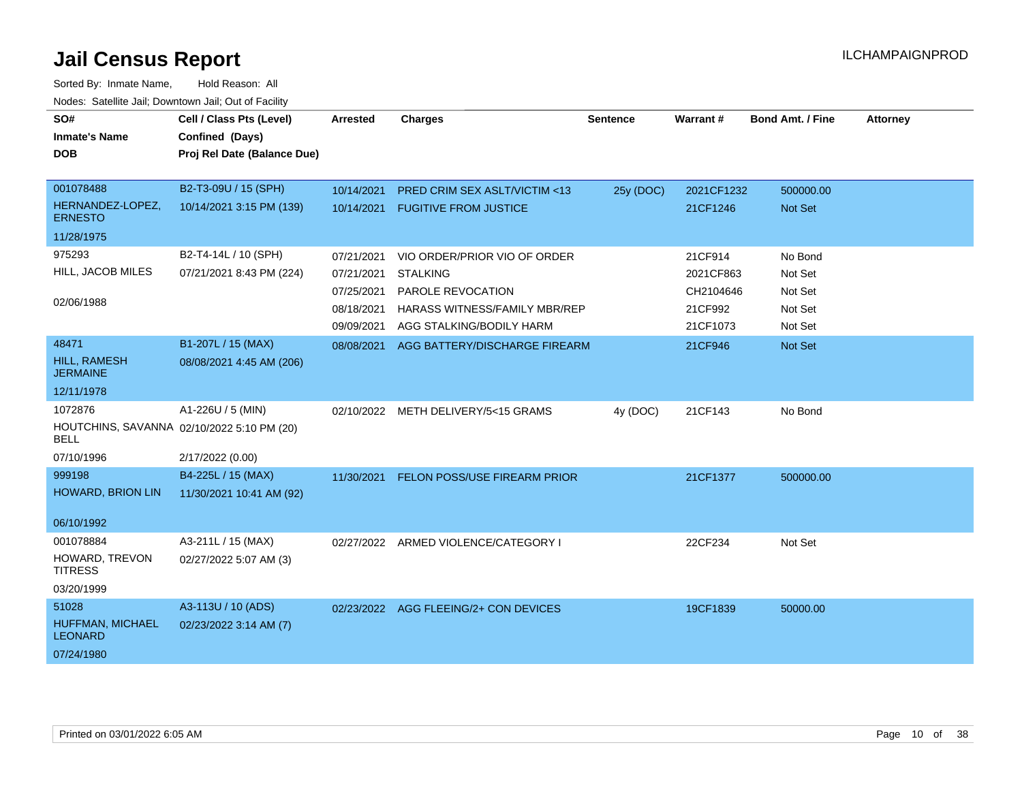| SO#                                                | Cell / Class Pts (Level)    | <b>Arrested</b> | <b>Charges</b>                          | <b>Sentence</b> | Warrant#   | <b>Bond Amt. / Fine</b> | <b>Attorney</b> |
|----------------------------------------------------|-----------------------------|-----------------|-----------------------------------------|-----------------|------------|-------------------------|-----------------|
| <b>Inmate's Name</b>                               | Confined (Days)             |                 |                                         |                 |            |                         |                 |
| <b>DOB</b>                                         | Proj Rel Date (Balance Due) |                 |                                         |                 |            |                         |                 |
|                                                    |                             |                 |                                         |                 |            |                         |                 |
| 001078488                                          | B2-T3-09U / 15 (SPH)        | 10/14/2021      | PRED CRIM SEX ASLT/VICTIM <13           | 25y (DOC)       | 2021CF1232 | 500000.00               |                 |
| HERNANDEZ-LOPEZ,<br><b>ERNESTO</b>                 | 10/14/2021 3:15 PM (139)    |                 | 10/14/2021 FUGITIVE FROM JUSTICE        |                 | 21CF1246   | <b>Not Set</b>          |                 |
| 11/28/1975                                         |                             |                 |                                         |                 |            |                         |                 |
| 975293                                             | B2-T4-14L / 10 (SPH)        | 07/21/2021      | VIO ORDER/PRIOR VIO OF ORDER            |                 | 21CF914    | No Bond                 |                 |
| HILL, JACOB MILES                                  | 07/21/2021 8:43 PM (224)    | 07/21/2021      | <b>STALKING</b>                         |                 | 2021CF863  | Not Set                 |                 |
|                                                    |                             | 07/25/2021      | PAROLE REVOCATION                       |                 | CH2104646  | Not Set                 |                 |
| 02/06/1988                                         |                             | 08/18/2021      | HARASS WITNESS/FAMILY MBR/REP           |                 | 21CF992    | Not Set                 |                 |
|                                                    |                             | 09/09/2021      | AGG STALKING/BODILY HARM                |                 | 21CF1073   | Not Set                 |                 |
| 48471                                              | B1-207L / 15 (MAX)          | 08/08/2021      | AGG BATTERY/DISCHARGE FIREARM           |                 | 21CF946    | Not Set                 |                 |
| <b>HILL, RAMESH</b><br><b>JERMAINE</b>             | 08/08/2021 4:45 AM (206)    |                 |                                         |                 |            |                         |                 |
| 12/11/1978                                         |                             |                 |                                         |                 |            |                         |                 |
| 1072876                                            | A1-226U / 5 (MIN)           | 02/10/2022      | METH DELIVERY/5<15 GRAMS                | 4y (DOC)        | 21CF143    | No Bond                 |                 |
| HOUTCHINS, SAVANNA 02/10/2022 5:10 PM (20)<br>BELL |                             |                 |                                         |                 |            |                         |                 |
| 07/10/1996                                         | 2/17/2022 (0.00)            |                 |                                         |                 |            |                         |                 |
| 999198                                             | B4-225L / 15 (MAX)          |                 | 11/30/2021 FELON POSS/USE FIREARM PRIOR |                 | 21CF1377   | 500000.00               |                 |
| <b>HOWARD, BRION LIN</b>                           | 11/30/2021 10:41 AM (92)    |                 |                                         |                 |            |                         |                 |
| 06/10/1992                                         |                             |                 |                                         |                 |            |                         |                 |
| 001078884                                          | A3-211L / 15 (MAX)          |                 | 02/27/2022 ARMED VIOLENCE/CATEGORY I    |                 | 22CF234    | Not Set                 |                 |
| HOWARD, TREVON<br><b>TITRESS</b>                   | 02/27/2022 5:07 AM (3)      |                 |                                         |                 |            |                         |                 |
| 03/20/1999                                         |                             |                 |                                         |                 |            |                         |                 |
| 51028                                              | A3-113U / 10 (ADS)          |                 | 02/23/2022 AGG FLEEING/2+ CON DEVICES   |                 | 19CF1839   | 50000.00                |                 |
| HUFFMAN, MICHAEL<br><b>LEONARD</b>                 | 02/23/2022 3:14 AM (7)      |                 |                                         |                 |            |                         |                 |
| 07/24/1980                                         |                             |                 |                                         |                 |            |                         |                 |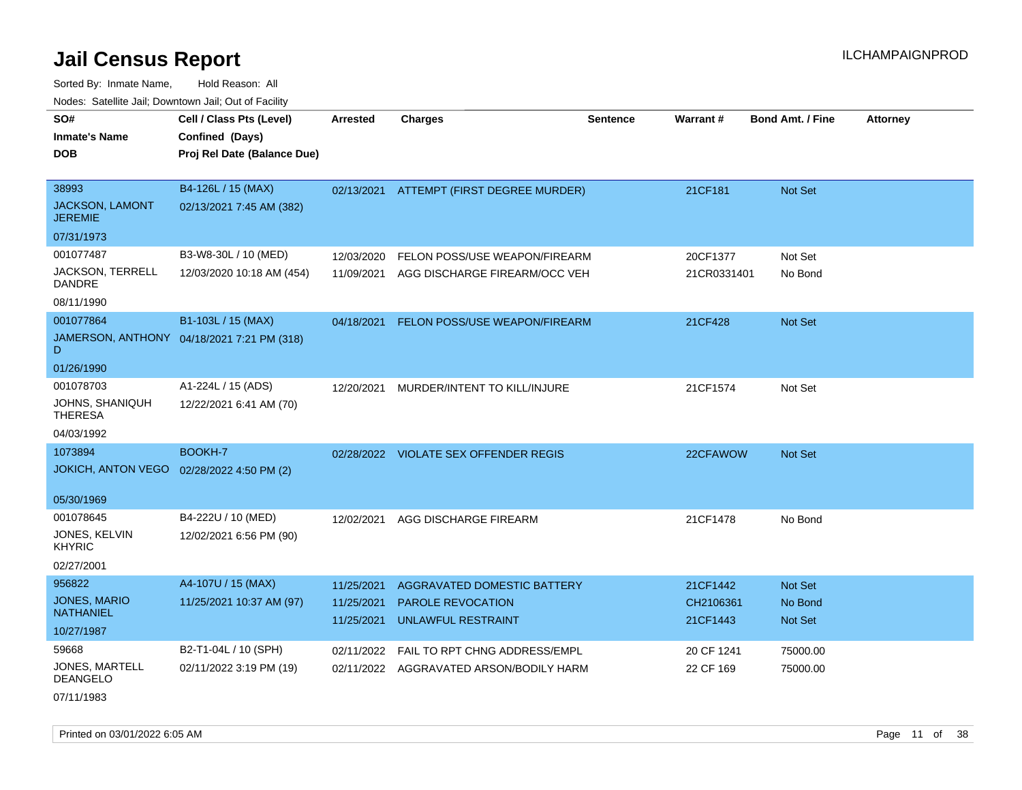Sorted By: Inmate Name, Hold Reason: All Nodes: Satellite Jail; Downtown Jail; Out of Facility

| <b>NOULD:</b> Catoline can, Downtown can, Out of Fability |                                                                            |                          |                                          |                 |                       |                         |                 |
|-----------------------------------------------------------|----------------------------------------------------------------------------|--------------------------|------------------------------------------|-----------------|-----------------------|-------------------------|-----------------|
| SO#<br><b>Inmate's Name</b><br><b>DOB</b>                 | Cell / Class Pts (Level)<br>Confined (Days)<br>Proj Rel Date (Balance Due) | <b>Arrested</b>          | <b>Charges</b>                           | <b>Sentence</b> | Warrant#              | <b>Bond Amt. / Fine</b> | <b>Attorney</b> |
| 38993<br>JACKSON, LAMONT<br><b>JEREMIE</b>                | B4-126L / 15 (MAX)<br>02/13/2021 7:45 AM (382)                             |                          | 02/13/2021 ATTEMPT (FIRST DEGREE MURDER) |                 | 21CF181               | <b>Not Set</b>          |                 |
| 07/31/1973                                                |                                                                            |                          |                                          |                 |                       |                         |                 |
| 001077487                                                 | B3-W8-30L / 10 (MED)                                                       | 12/03/2020               | FELON POSS/USE WEAPON/FIREARM            |                 | 20CF1377              | Not Set                 |                 |
| <b>JACKSON, TERRELL</b><br><b>DANDRE</b>                  | 12/03/2020 10:18 AM (454)                                                  | 11/09/2021               | AGG DISCHARGE FIREARM/OCC VEH            |                 | 21CR0331401           | No Bond                 |                 |
| 08/11/1990                                                |                                                                            |                          |                                          |                 |                       |                         |                 |
| 001077864                                                 | B1-103L / 15 (MAX)                                                         | 04/18/2021               | FELON POSS/USE WEAPON/FIREARM            |                 | 21CF428               | <b>Not Set</b>          |                 |
| D                                                         | JAMERSON, ANTHONY 04/18/2021 7:21 PM (318)                                 |                          |                                          |                 |                       |                         |                 |
| 01/26/1990                                                |                                                                            |                          |                                          |                 |                       |                         |                 |
| 001078703                                                 | A1-224L / 15 (ADS)                                                         | 12/20/2021               | MURDER/INTENT TO KILL/INJURE             |                 | 21CF1574              | Not Set                 |                 |
| JOHNS, SHANIQUH<br><b>THERESA</b>                         | 12/22/2021 6:41 AM (70)                                                    |                          |                                          |                 |                       |                         |                 |
| 04/03/1992                                                |                                                                            |                          |                                          |                 |                       |                         |                 |
| 1073894                                                   | BOOKH-7                                                                    |                          | 02/28/2022 VIOLATE SEX OFFENDER REGIS    |                 | 22CFAWOW              | Not Set                 |                 |
| <b>JOKICH, ANTON VEGO</b>                                 | 02/28/2022 4:50 PM (2)                                                     |                          |                                          |                 |                       |                         |                 |
| 05/30/1969                                                |                                                                            |                          |                                          |                 |                       |                         |                 |
| 001078645                                                 | B4-222U / 10 (MED)                                                         | 12/02/2021               | AGG DISCHARGE FIREARM                    |                 | 21CF1478              | No Bond                 |                 |
| JONES, KELVIN<br><b>KHYRIC</b>                            | 12/02/2021 6:56 PM (90)                                                    |                          |                                          |                 |                       |                         |                 |
| 02/27/2001                                                |                                                                            |                          |                                          |                 |                       |                         |                 |
| 956822                                                    | A4-107U / 15 (MAX)                                                         | 11/25/2021               | AGGRAVATED DOMESTIC BATTERY              |                 | 21CF1442              | <b>Not Set</b>          |                 |
| <b>JONES, MARIO</b><br><b>NATHANIEL</b>                   | 11/25/2021 10:37 AM (97)                                                   | 11/25/2021<br>11/25/2021 | PAROLE REVOCATION<br>UNLAWFUL RESTRAINT  |                 | CH2106361<br>21CF1443 | No Bond<br>Not Set      |                 |
| 10/27/1987                                                |                                                                            |                          |                                          |                 |                       |                         |                 |
| 59668                                                     | B2-T1-04L / 10 (SPH)                                                       | 02/11/2022               | <b>FAIL TO RPT CHNG ADDRESS/EMPL</b>     |                 | 20 CF 1241            | 75000.00                |                 |
| JONES, MARTELL<br><b>DEANGELO</b>                         | 02/11/2022 3:19 PM (19)                                                    |                          | 02/11/2022 AGGRAVATED ARSON/BODILY HARM  |                 | 22 CF 169             | 75000.00                |                 |

07/11/1983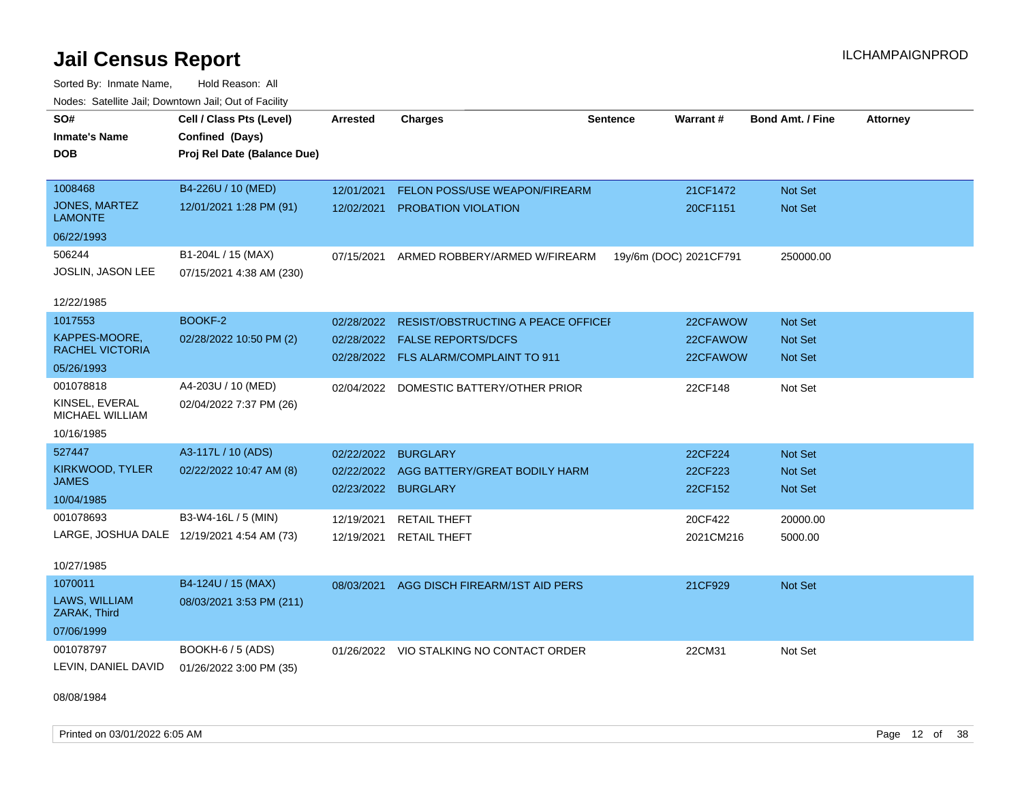Sorted By: Inmate Name, Hold Reason: All Nodes: Satellite Jail; Downtown Jail; Out of Facility

| SO#<br><b>Inmate's Name</b><br><b>DOB</b>                        | Cell / Class Pts (Level)<br>Confined (Days)<br>Proj Rel Date (Balance Due) | <b>Arrested</b>                                 | <b>Charges</b>                                                                                           | <b>Sentence</b> | Warrant#                         | <b>Bond Amt. / Fine</b>                            | <b>Attorney</b> |
|------------------------------------------------------------------|----------------------------------------------------------------------------|-------------------------------------------------|----------------------------------------------------------------------------------------------------------|-----------------|----------------------------------|----------------------------------------------------|-----------------|
| 1008468<br>JONES, MARTEZ<br>LAMONTE<br>06/22/1993                | B4-226U / 10 (MED)<br>12/01/2021 1:28 PM (91)                              | 12/01/2021<br>12/02/2021                        | FELON POSS/USE WEAPON/FIREARM<br>PROBATION VIOLATION                                                     |                 | 21CF1472<br>20CF1151             | Not Set<br>Not Set                                 |                 |
| 506244<br><b>JOSLIN, JASON LEE</b><br>12/22/1985                 | B1-204L / 15 (MAX)<br>07/15/2021 4:38 AM (230)                             | 07/15/2021                                      | ARMED ROBBERY/ARMED W/FIREARM                                                                            |                 | 19y/6m (DOC) 2021CF791           | 250000.00                                          |                 |
| 1017553<br>KAPPES-MOORE,<br><b>RACHEL VICTORIA</b><br>05/26/1993 | BOOKF-2<br>02/28/2022 10:50 PM (2)                                         | 02/28/2022<br>02/28/2022                        | RESIST/OBSTRUCTING A PEACE OFFICEI<br><b>FALSE REPORTS/DCFS</b><br>02/28/2022 FLS ALARM/COMPLAINT TO 911 |                 | 22CFAWOW<br>22CFAWOW<br>22CFAWOW | Not Set<br><b>Not Set</b><br><b>Not Set</b>        |                 |
| 001078818<br>KINSEL, EVERAL<br>MICHAEL WILLIAM<br>10/16/1985     | A4-203U / 10 (MED)<br>02/04/2022 7:37 PM (26)                              |                                                 | 02/04/2022 DOMESTIC BATTERY/OTHER PRIOR                                                                  |                 | 22CF148                          | Not Set                                            |                 |
| 527447<br>KIRKWOOD, TYLER<br><b>JAMES</b><br>10/04/1985          | A3-117L / 10 (ADS)<br>02/22/2022 10:47 AM (8)                              | 02/22/2022<br>02/22/2022<br>02/23/2022 BURGLARY | <b>BURGLARY</b><br>AGG BATTERY/GREAT BODILY HARM                                                         |                 | 22CF224<br>22CF223<br>22CF152    | <b>Not Set</b><br><b>Not Set</b><br><b>Not Set</b> |                 |
| 001078693<br>10/27/1985                                          | B3-W4-16L / 5 (MIN)<br>LARGE, JOSHUA DALE 12/19/2021 4:54 AM (73)          | 12/19/2021<br>12/19/2021                        | <b>RETAIL THEFT</b><br><b>RETAIL THEFT</b>                                                               |                 | 20CF422<br>2021CM216             | 20000.00<br>5000.00                                |                 |
| 1070011<br>LAWS, WILLIAM<br>ZARAK, Third<br>07/06/1999           | B4-124U / 15 (MAX)<br>08/03/2021 3:53 PM (211)                             | 08/03/2021                                      | AGG DISCH FIREARM/1ST AID PERS                                                                           |                 | 21CF929                          | <b>Not Set</b>                                     |                 |
| 001078797<br>LEVIN, DANIEL DAVID                                 | <b>BOOKH-6 / 5 (ADS)</b><br>01/26/2022 3:00 PM (35)                        |                                                 | 01/26/2022 VIO STALKING NO CONTACT ORDER                                                                 |                 | 22CM31                           | Not Set                                            |                 |

08/08/1984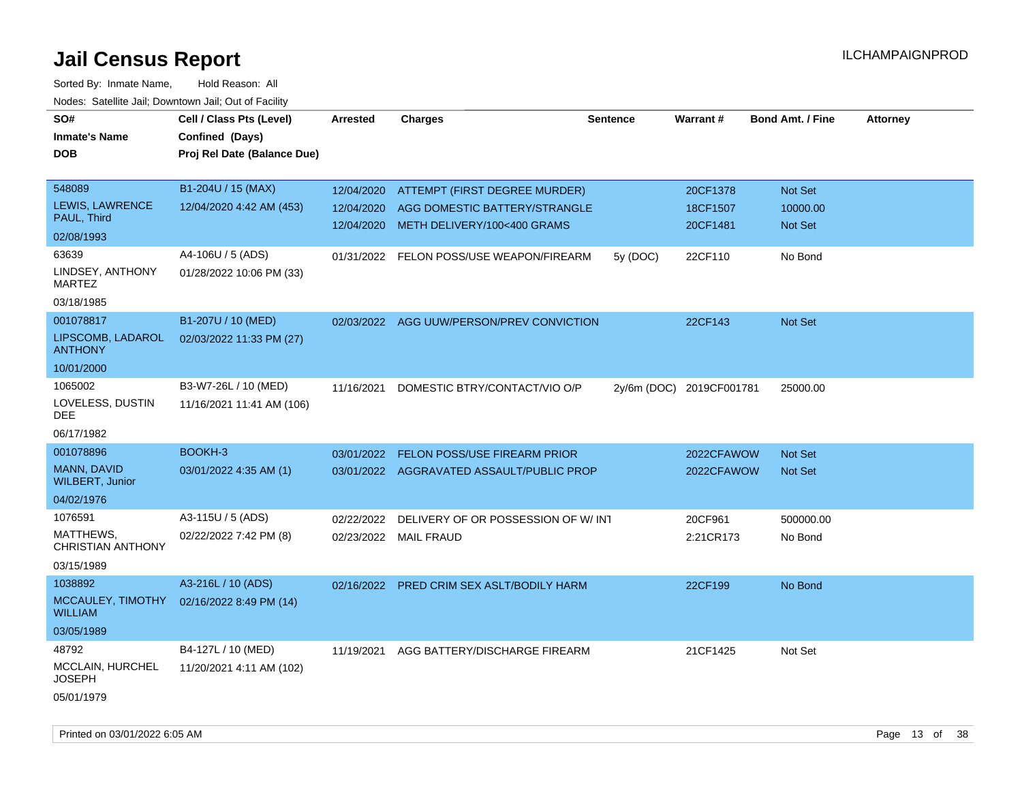| SO#<br><b>Inmate's Name</b><br>DOB           | Cell / Class Pts (Level)<br>Confined (Days)<br>Proj Rel Date (Balance Due) | Arrested   | <b>Charges</b>                            | <b>Sentence</b> | Warrant#                 | <b>Bond Amt. / Fine</b> | <b>Attorney</b> |
|----------------------------------------------|----------------------------------------------------------------------------|------------|-------------------------------------------|-----------------|--------------------------|-------------------------|-----------------|
| 548089                                       | B1-204U / 15 (MAX)                                                         | 12/04/2020 | ATTEMPT (FIRST DEGREE MURDER)             |                 | 20CF1378                 | Not Set                 |                 |
| <b>LEWIS, LAWRENCE</b><br>PAUL, Third        | 12/04/2020 4:42 AM (453)                                                   | 12/04/2020 | AGG DOMESTIC BATTERY/STRANGLE             |                 | 18CF1507                 | 10000.00                |                 |
| 02/08/1993                                   |                                                                            | 12/04/2020 | METH DELIVERY/100<400 GRAMS               |                 | 20CF1481                 | Not Set                 |                 |
| 63639                                        | A4-106U / 5 (ADS)                                                          | 01/31/2022 | FELON POSS/USE WEAPON/FIREARM             | 5y (DOC)        | 22CF110                  | No Bond                 |                 |
| LINDSEY, ANTHONY<br><b>MARTEZ</b>            | 01/28/2022 10:06 PM (33)                                                   |            |                                           |                 |                          |                         |                 |
| 03/18/1985                                   |                                                                            |            |                                           |                 |                          |                         |                 |
| 001078817                                    | B1-207U / 10 (MED)                                                         |            | 02/03/2022 AGG UUW/PERSON/PREV CONVICTION |                 | 22CF143                  | Not Set                 |                 |
| LIPSCOMB, LADAROL<br><b>ANTHONY</b>          | 02/03/2022 11:33 PM (27)                                                   |            |                                           |                 |                          |                         |                 |
| 10/01/2000                                   |                                                                            |            |                                           |                 |                          |                         |                 |
| 1065002<br>LOVELESS, DUSTIN<br>DEE           | B3-W7-26L / 10 (MED)<br>11/16/2021 11:41 AM (106)                          | 11/16/2021 | DOMESTIC BTRY/CONTACT/VIO O/P             |                 | 2y/6m (DOC) 2019CF001781 | 25000.00                |                 |
| 06/17/1982                                   |                                                                            |            |                                           |                 |                          |                         |                 |
| 001078896                                    | BOOKH-3                                                                    | 03/01/2022 | FELON POSS/USE FIREARM PRIOR              |                 | 2022CFAWOW               | <b>Not Set</b>          |                 |
| <b>MANN, DAVID</b><br><b>WILBERT, Junior</b> | 03/01/2022 4:35 AM (1)                                                     |            | 03/01/2022 AGGRAVATED ASSAULT/PUBLIC PROP |                 | 2022CFAWOW               | <b>Not Set</b>          |                 |
| 04/02/1976                                   |                                                                            |            |                                           |                 |                          |                         |                 |
| 1076591                                      | A3-115U / 5 (ADS)                                                          | 02/22/2022 | DELIVERY OF OR POSSESSION OF W/INT        |                 | 20CF961                  | 500000.00               |                 |
| MATTHEWS,<br><b>CHRISTIAN ANTHONY</b>        | 02/22/2022 7:42 PM (8)                                                     | 02/23/2022 | <b>MAIL FRAUD</b>                         |                 | 2:21CR173                | No Bond                 |                 |
| 03/15/1989                                   |                                                                            |            |                                           |                 |                          |                         |                 |
| 1038892                                      | A3-216L / 10 (ADS)                                                         | 02/16/2022 | PRED CRIM SEX ASLT/BODILY HARM            |                 | 22CF199                  | No Bond                 |                 |
| MCCAULEY, TIMOTHY<br><b>WILLIAM</b>          | 02/16/2022 8:49 PM (14)                                                    |            |                                           |                 |                          |                         |                 |
| 03/05/1989                                   |                                                                            |            |                                           |                 |                          |                         |                 |
| 48792                                        | B4-127L / 10 (MED)                                                         | 11/19/2021 | AGG BATTERY/DISCHARGE FIREARM             |                 | 21CF1425                 | Not Set                 |                 |
| MCCLAIN, HURCHEL<br>JOSEPH                   | 11/20/2021 4:11 AM (102)                                                   |            |                                           |                 |                          |                         |                 |
| 05/01/1979                                   |                                                                            |            |                                           |                 |                          |                         |                 |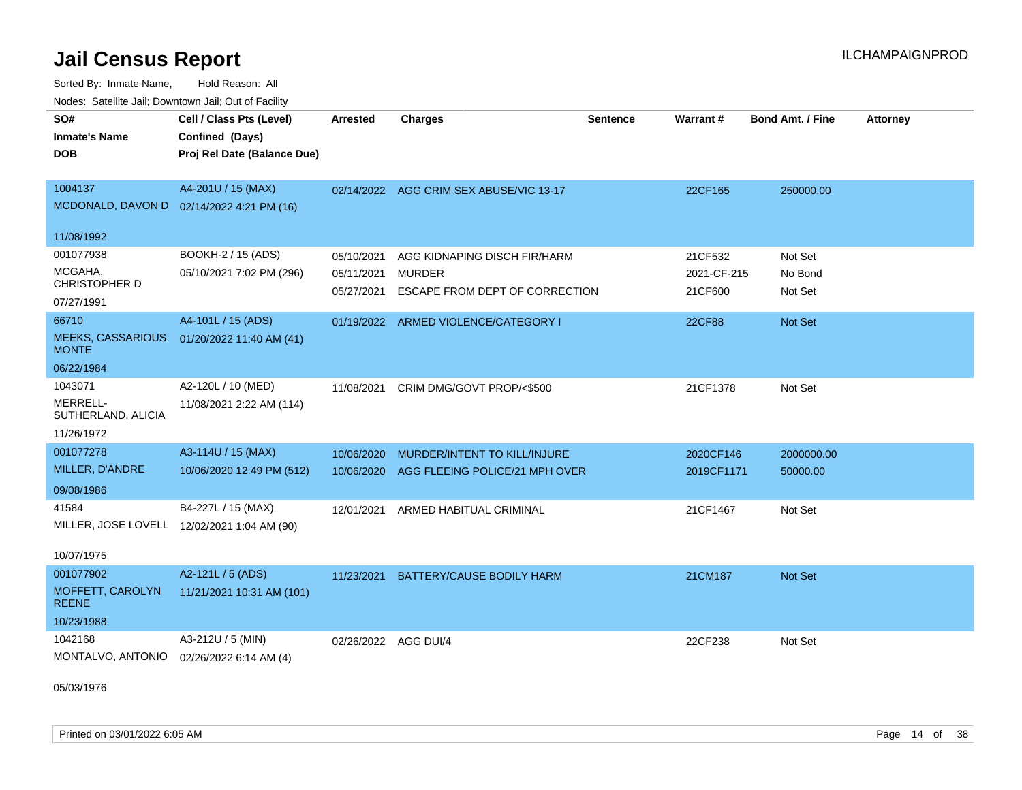Sorted By: Inmate Name, Hold Reason: All Nodes: Satellite Jail; Downtown Jail; Out of Facility

| SO#                                      | Cell / Class Pts (Level)                    | <b>Arrested</b>      | <b>Charges</b>                            | <b>Sentence</b> | Warrant#      | <b>Bond Amt. / Fine</b> | <b>Attorney</b> |
|------------------------------------------|---------------------------------------------|----------------------|-------------------------------------------|-----------------|---------------|-------------------------|-----------------|
| <b>Inmate's Name</b>                     | Confined (Days)                             |                      |                                           |                 |               |                         |                 |
| <b>DOB</b>                               | Proj Rel Date (Balance Due)                 |                      |                                           |                 |               |                         |                 |
|                                          |                                             |                      |                                           |                 |               |                         |                 |
| 1004137                                  | A4-201U / 15 (MAX)                          |                      | 02/14/2022 AGG CRIM SEX ABUSE/VIC 13-17   |                 | 22CF165       | 250000.00               |                 |
|                                          | MCDONALD, DAVON D  02/14/2022 4:21 PM (16)  |                      |                                           |                 |               |                         |                 |
| 11/08/1992                               |                                             |                      |                                           |                 |               |                         |                 |
| 001077938                                | BOOKH-2 / 15 (ADS)                          | 05/10/2021           | AGG KIDNAPING DISCH FIR/HARM              |                 | 21CF532       | Not Set                 |                 |
| MCGAHA,                                  | 05/10/2021 7:02 PM (296)                    | 05/11/2021           | <b>MURDER</b>                             |                 | 2021-CF-215   | No Bond                 |                 |
| CHRISTOPHER D                            |                                             |                      |                                           |                 |               |                         |                 |
| 07/27/1991                               |                                             |                      | 05/27/2021 ESCAPE FROM DEPT OF CORRECTION |                 | 21CF600       | Not Set                 |                 |
| 66710                                    | A4-101L / 15 (ADS)                          |                      | 01/19/2022 ARMED VIOLENCE/CATEGORY I      |                 | <b>22CF88</b> | Not Set                 |                 |
| <b>MEEKS, CASSARIOUS</b><br><b>MONTE</b> | 01/20/2022 11:40 AM (41)                    |                      |                                           |                 |               |                         |                 |
| 06/22/1984                               |                                             |                      |                                           |                 |               |                         |                 |
| 1043071                                  | A2-120L / 10 (MED)                          | 11/08/2021           | CRIM DMG/GOVT PROP/<\$500                 |                 | 21CF1378      | Not Set                 |                 |
| MERRELL-<br>SUTHERLAND, ALICIA           | 11/08/2021 2:22 AM (114)                    |                      |                                           |                 |               |                         |                 |
| 11/26/1972                               |                                             |                      |                                           |                 |               |                         |                 |
| 001077278                                | A3-114U / 15 (MAX)                          | 10/06/2020           | MURDER/INTENT TO KILL/INJURE              |                 | 2020CF146     | 2000000.00              |                 |
| MILLER, D'ANDRE                          | 10/06/2020 12:49 PM (512)                   | 10/06/2020           | AGG FLEEING POLICE/21 MPH OVER            |                 | 2019CF1171    | 50000.00                |                 |
| 09/08/1986                               |                                             |                      |                                           |                 |               |                         |                 |
| 41584                                    | B4-227L / 15 (MAX)                          | 12/01/2021           | ARMED HABITUAL CRIMINAL                   |                 | 21CF1467      | Not Set                 |                 |
|                                          | MILLER, JOSE LOVELL 12/02/2021 1:04 AM (90) |                      |                                           |                 |               |                         |                 |
|                                          |                                             |                      |                                           |                 |               |                         |                 |
| 10/07/1975                               |                                             |                      |                                           |                 |               |                         |                 |
| 001077902                                | A2-121L / 5 (ADS)                           | 11/23/2021           | <b>BATTERY/CAUSE BODILY HARM</b>          |                 | 21CM187       | Not Set                 |                 |
| MOFFETT, CAROLYN<br><b>REENE</b>         | 11/21/2021 10:31 AM (101)                   |                      |                                           |                 |               |                         |                 |
| 10/23/1988                               |                                             |                      |                                           |                 |               |                         |                 |
| 1042168                                  | A3-212U / 5 (MIN)                           | 02/26/2022 AGG DUI/4 |                                           |                 | 22CF238       | Not Set                 |                 |
| MONTALVO, ANTONIO                        | 02/26/2022 6:14 AM (4)                      |                      |                                           |                 |               |                         |                 |
|                                          |                                             |                      |                                           |                 |               |                         |                 |

05/03/1976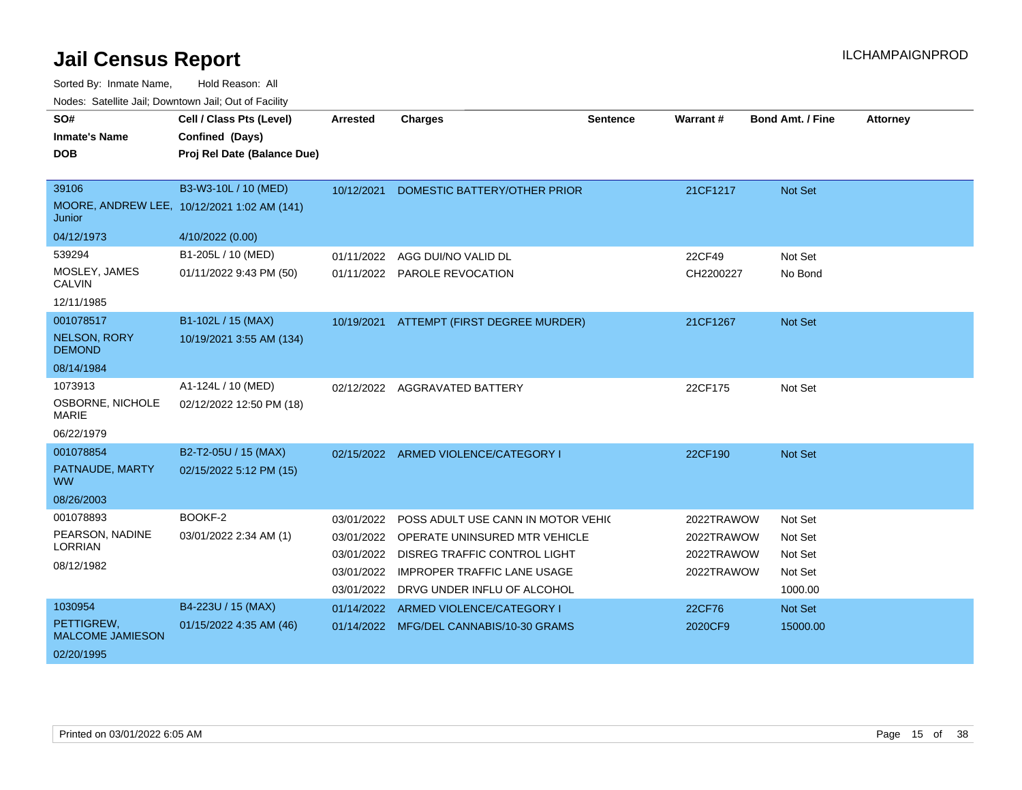| SO#<br><b>Inmate's Name</b><br><b>DOB</b> | Cell / Class Pts (Level)<br>Confined (Days)<br>Proj Rel Date (Balance Due) | <b>Arrested</b>          | <b>Charges</b>                                                       | <b>Sentence</b> | <b>Warrant#</b>          | <b>Bond Amt. / Fine</b> | <b>Attorney</b> |
|-------------------------------------------|----------------------------------------------------------------------------|--------------------------|----------------------------------------------------------------------|-----------------|--------------------------|-------------------------|-----------------|
| 39106<br>Junior                           | B3-W3-10L / 10 (MED)<br>MOORE, ANDREW LEE, 10/12/2021 1:02 AM (141)        | 10/12/2021               | DOMESTIC BATTERY/OTHER PRIOR                                         |                 | 21CF1217                 | Not Set                 |                 |
| 04/12/1973<br>539294                      | 4/10/2022 (0.00)<br>B1-205L / 10 (MED)                                     | 01/11/2022               | AGG DUI/NO VALID DL                                                  |                 | 22CF49                   | Not Set                 |                 |
| MOSLEY, JAMES<br><b>CALVIN</b>            | 01/11/2022 9:43 PM (50)                                                    |                          | 01/11/2022 PAROLE REVOCATION                                         |                 | CH2200227                | No Bond                 |                 |
| 12/11/1985                                |                                                                            |                          |                                                                      |                 |                          |                         |                 |
| 001078517                                 | B1-102L / 15 (MAX)                                                         |                          | 10/19/2021 ATTEMPT (FIRST DEGREE MURDER)                             |                 | 21CF1267                 | Not Set                 |                 |
| <b>NELSON, RORY</b><br><b>DEMOND</b>      | 10/19/2021 3:55 AM (134)                                                   |                          |                                                                      |                 |                          |                         |                 |
| 08/14/1984                                |                                                                            |                          |                                                                      |                 |                          |                         |                 |
| 1073913                                   | A1-124L / 10 (MED)                                                         |                          | 02/12/2022 AGGRAVATED BATTERY                                        |                 | 22CF175                  | Not Set                 |                 |
| OSBORNE, NICHOLE<br>MARIE                 | 02/12/2022 12:50 PM (18)                                                   |                          |                                                                      |                 |                          |                         |                 |
| 06/22/1979                                |                                                                            |                          |                                                                      |                 |                          |                         |                 |
| 001078854                                 | B2-T2-05U / 15 (MAX)                                                       |                          | 02/15/2022 ARMED VIOLENCE/CATEGORY I                                 |                 | 22CF190                  | <b>Not Set</b>          |                 |
| PATNAUDE, MARTY<br><b>WW</b>              | 02/15/2022 5:12 PM (15)                                                    |                          |                                                                      |                 |                          |                         |                 |
| 08/26/2003                                |                                                                            |                          |                                                                      |                 |                          |                         |                 |
| 001078893                                 | BOOKF-2                                                                    | 03/01/2022               | POSS ADULT USE CANN IN MOTOR VEHIC                                   |                 | 2022TRAWOW               | Not Set                 |                 |
| PEARSON, NADINE<br><b>LORRIAN</b>         | 03/01/2022 2:34 AM (1)                                                     | 03/01/2022<br>03/01/2022 | OPERATE UNINSURED MTR VEHICLE<br><b>DISREG TRAFFIC CONTROL LIGHT</b> |                 | 2022TRAWOW<br>2022TRAWOW | Not Set<br>Not Set      |                 |
| 08/12/1982                                |                                                                            | 03/01/2022               | <b>IMPROPER TRAFFIC LANE USAGE</b>                                   |                 | 2022TRAWOW               | Not Set                 |                 |
|                                           |                                                                            | 03/01/2022               | DRVG UNDER INFLU OF ALCOHOL                                          |                 |                          | 1000.00                 |                 |
| 1030954                                   | B4-223U / 15 (MAX)                                                         | 01/14/2022               | ARMED VIOLENCE/CATEGORY I                                            |                 | 22CF76                   | Not Set                 |                 |
| PETTIGREW,<br><b>MALCOME JAMIESON</b>     | 01/15/2022 4:35 AM (46)                                                    |                          | 01/14/2022 MFG/DEL CANNABIS/10-30 GRAMS                              |                 | 2020CF9                  | 15000.00                |                 |
| 02/20/1995                                |                                                                            |                          |                                                                      |                 |                          |                         |                 |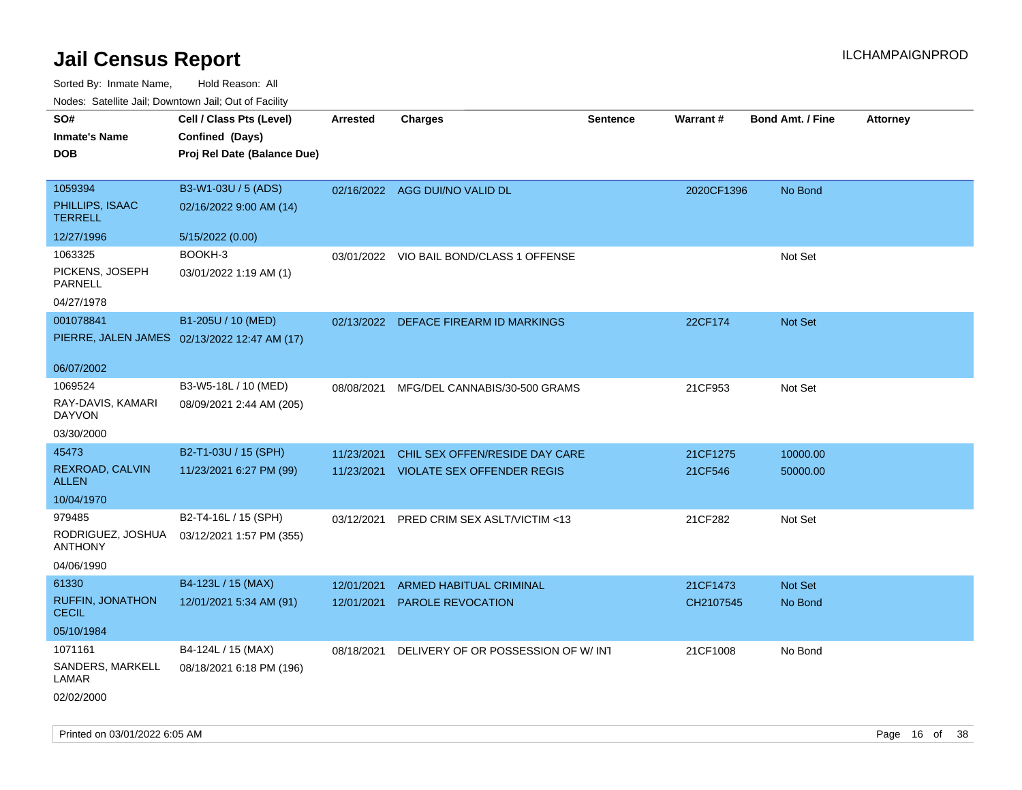| roaco. Catolino cali, Downtown cali, Out of Facility |                                              |                 |                                          |                 |            |                         |                 |
|------------------------------------------------------|----------------------------------------------|-----------------|------------------------------------------|-----------------|------------|-------------------------|-----------------|
| SO#                                                  | Cell / Class Pts (Level)                     | <b>Arrested</b> | <b>Charges</b>                           | <b>Sentence</b> | Warrant#   | <b>Bond Amt. / Fine</b> | <b>Attorney</b> |
| <b>Inmate's Name</b>                                 | Confined (Days)                              |                 |                                          |                 |            |                         |                 |
| DOB                                                  | Proj Rel Date (Balance Due)                  |                 |                                          |                 |            |                         |                 |
|                                                      |                                              |                 |                                          |                 |            |                         |                 |
| 1059394                                              | B3-W1-03U / 5 (ADS)                          |                 | 02/16/2022 AGG DUI/NO VALID DL           |                 | 2020CF1396 | No Bond                 |                 |
| PHILLIPS, ISAAC<br><b>TERRELL</b>                    | 02/16/2022 9:00 AM (14)                      |                 |                                          |                 |            |                         |                 |
| 12/27/1996                                           | 5/15/2022 (0.00)                             |                 |                                          |                 |            |                         |                 |
| 1063325                                              | BOOKH-3                                      |                 | 03/01/2022 VIO BAIL BOND/CLASS 1 OFFENSE |                 |            | Not Set                 |                 |
| PICKENS, JOSEPH<br>PARNELL                           | 03/01/2022 1:19 AM (1)                       |                 |                                          |                 |            |                         |                 |
| 04/27/1978                                           |                                              |                 |                                          |                 |            |                         |                 |
| 001078841                                            | B1-205U / 10 (MED)                           |                 | 02/13/2022 DEFACE FIREARM ID MARKINGS    |                 | 22CF174    | Not Set                 |                 |
|                                                      | PIERRE, JALEN JAMES 02/13/2022 12:47 AM (17) |                 |                                          |                 |            |                         |                 |
|                                                      |                                              |                 |                                          |                 |            |                         |                 |
| 06/07/2002                                           |                                              |                 |                                          |                 |            |                         |                 |
| 1069524                                              | B3-W5-18L / 10 (MED)                         | 08/08/2021      | MFG/DEL CANNABIS/30-500 GRAMS            |                 | 21CF953    | Not Set                 |                 |
| RAY-DAVIS, KAMARI<br>DAYVON                          | 08/09/2021 2:44 AM (205)                     |                 |                                          |                 |            |                         |                 |
| 03/30/2000                                           |                                              |                 |                                          |                 |            |                         |                 |
| 45473                                                | B2-T1-03U / 15 (SPH)                         | 11/23/2021      | CHIL SEX OFFEN/RESIDE DAY CARE           |                 | 21CF1275   | 10000.00                |                 |
| REXROAD, CALVIN<br><b>ALLEN</b>                      | 11/23/2021 6:27 PM (99)                      | 11/23/2021      | <b>VIOLATE SEX OFFENDER REGIS</b>        |                 | 21CF546    | 50000.00                |                 |
| 10/04/1970                                           |                                              |                 |                                          |                 |            |                         |                 |
| 979485                                               | B2-T4-16L / 15 (SPH)                         | 03/12/2021      | PRED CRIM SEX ASLT/VICTIM <13            |                 | 21CF282    | Not Set                 |                 |
| RODRIGUEZ, JOSHUA<br><b>ANTHONY</b>                  | 03/12/2021 1:57 PM (355)                     |                 |                                          |                 |            |                         |                 |
| 04/06/1990                                           |                                              |                 |                                          |                 |            |                         |                 |
| 61330                                                | B4-123L / 15 (MAX)                           | 12/01/2021      | ARMED HABITUAL CRIMINAL                  |                 | 21CF1473   | Not Set                 |                 |
| RUFFIN, JONATHON<br><b>CECIL</b>                     | 12/01/2021 5:34 AM (91)                      | 12/01/2021      | PAROLE REVOCATION                        |                 | CH2107545  | No Bond                 |                 |
| 05/10/1984                                           |                                              |                 |                                          |                 |            |                         |                 |
| 1071161                                              | B4-124L / 15 (MAX)                           | 08/18/2021      | DELIVERY OF OR POSSESSION OF W/INT       |                 | 21CF1008   | No Bond                 |                 |
| SANDERS, MARKELL<br>LAMAR                            | 08/18/2021 6:18 PM (196)                     |                 |                                          |                 |            |                         |                 |
| 02/02/2000                                           |                                              |                 |                                          |                 |            |                         |                 |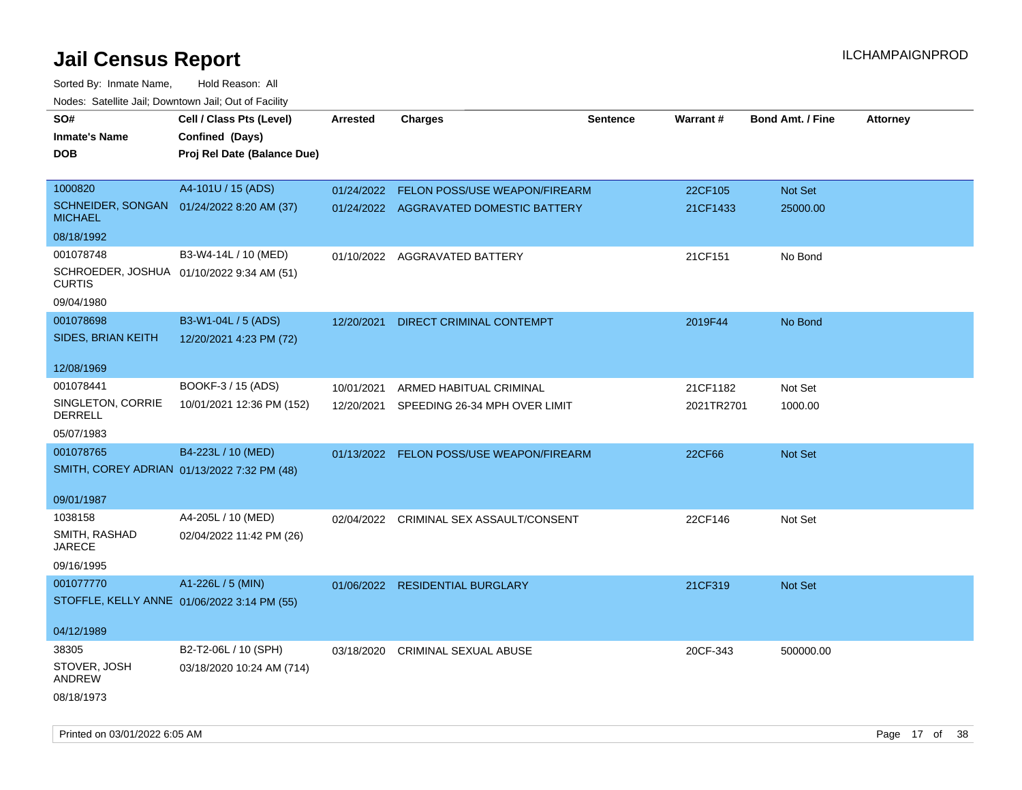| roaco. Catolino dall, Downtown dall, Out of Fability        |                             |            |                                          |                 |            |                         |                 |
|-------------------------------------------------------------|-----------------------------|------------|------------------------------------------|-----------------|------------|-------------------------|-----------------|
| SO#                                                         | Cell / Class Pts (Level)    | Arrested   | <b>Charges</b>                           | <b>Sentence</b> | Warrant#   | <b>Bond Amt. / Fine</b> | <b>Attorney</b> |
| <b>Inmate's Name</b>                                        | Confined (Days)             |            |                                          |                 |            |                         |                 |
| <b>DOB</b>                                                  | Proj Rel Date (Balance Due) |            |                                          |                 |            |                         |                 |
|                                                             |                             |            |                                          |                 |            |                         |                 |
| 1000820                                                     | A4-101U / 15 (ADS)          | 01/24/2022 | FELON POSS/USE WEAPON/FIREARM            |                 | 22CF105    | Not Set                 |                 |
| SCHNEIDER, SONGAN 01/24/2022 8:20 AM (37)<br><b>MICHAEL</b> |                             |            | 01/24/2022 AGGRAVATED DOMESTIC BATTERY   |                 | 21CF1433   | 25000.00                |                 |
| 08/18/1992                                                  |                             |            |                                          |                 |            |                         |                 |
| 001078748                                                   | B3-W4-14L / 10 (MED)        |            | 01/10/2022 AGGRAVATED BATTERY            |                 | 21CF151    | No Bond                 |                 |
| SCHROEDER, JOSHUA 01/10/2022 9:34 AM (51)<br><b>CURTIS</b>  |                             |            |                                          |                 |            |                         |                 |
| 09/04/1980                                                  |                             |            |                                          |                 |            |                         |                 |
| 001078698                                                   | B3-W1-04L / 5 (ADS)         | 12/20/2021 | <b>DIRECT CRIMINAL CONTEMPT</b>          |                 | 2019F44    | No Bond                 |                 |
| SIDES, BRIAN KEITH                                          | 12/20/2021 4:23 PM (72)     |            |                                          |                 |            |                         |                 |
|                                                             |                             |            |                                          |                 |            |                         |                 |
| 12/08/1969                                                  |                             |            |                                          |                 |            |                         |                 |
| 001078441                                                   | BOOKF-3 / 15 (ADS)          | 10/01/2021 | ARMED HABITUAL CRIMINAL                  |                 | 21CF1182   | Not Set                 |                 |
| SINGLETON, CORRIE<br><b>DERRELL</b>                         | 10/01/2021 12:36 PM (152)   | 12/20/2021 | SPEEDING 26-34 MPH OVER LIMIT            |                 | 2021TR2701 | 1000.00                 |                 |
| 05/07/1983                                                  |                             |            |                                          |                 |            |                         |                 |
| 001078765                                                   | B4-223L / 10 (MED)          |            | 01/13/2022 FELON POSS/USE WEAPON/FIREARM |                 | 22CF66     | <b>Not Set</b>          |                 |
| SMITH, COREY ADRIAN 01/13/2022 7:32 PM (48)                 |                             |            |                                          |                 |            |                         |                 |
|                                                             |                             |            |                                          |                 |            |                         |                 |
| 09/01/1987                                                  |                             |            |                                          |                 |            |                         |                 |
| 1038158                                                     | A4-205L / 10 (MED)          |            | 02/04/2022 CRIMINAL SEX ASSAULT/CONSENT  |                 | 22CF146    | Not Set                 |                 |
| SMITH, RASHAD<br>JARECE                                     | 02/04/2022 11:42 PM (26)    |            |                                          |                 |            |                         |                 |
| 09/16/1995                                                  |                             |            |                                          |                 |            |                         |                 |
| 001077770                                                   | A1-226L / 5 (MIN)           |            | 01/06/2022 RESIDENTIAL BURGLARY          |                 | 21CF319    | <b>Not Set</b>          |                 |
| STOFFLE, KELLY ANNE 01/06/2022 3:14 PM (55)                 |                             |            |                                          |                 |            |                         |                 |
|                                                             |                             |            |                                          |                 |            |                         |                 |
| 04/12/1989                                                  |                             |            |                                          |                 |            |                         |                 |
| 38305                                                       | B2-T2-06L / 10 (SPH)        |            | 03/18/2020 CRIMINAL SEXUAL ABUSE         |                 | 20CF-343   | 500000.00               |                 |
| STOVER, JOSH<br><b>ANDREW</b>                               | 03/18/2020 10:24 AM (714)   |            |                                          |                 |            |                         |                 |
| 08/18/1973                                                  |                             |            |                                          |                 |            |                         |                 |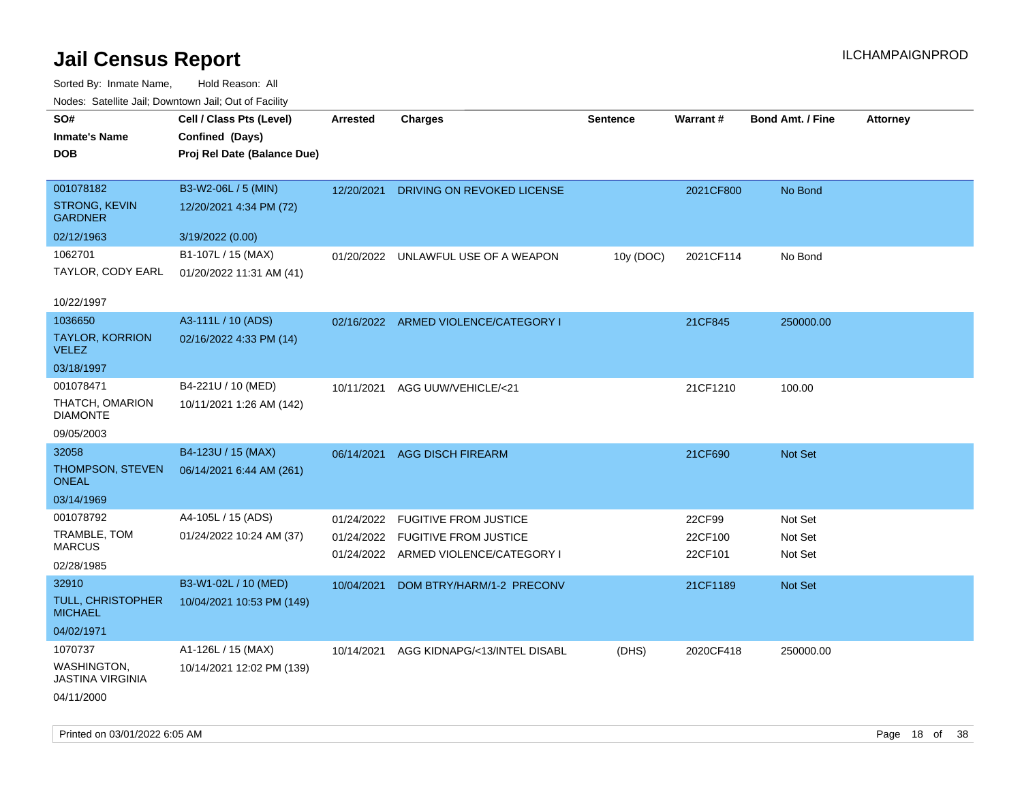| roacs. Catellite Jall, Downtown Jall, Out of Facility |                             |            |                                      |                 |           |                         |                 |
|-------------------------------------------------------|-----------------------------|------------|--------------------------------------|-----------------|-----------|-------------------------|-----------------|
| SO#                                                   | Cell / Class Pts (Level)    | Arrested   | <b>Charges</b>                       | <b>Sentence</b> | Warrant#  | <b>Bond Amt. / Fine</b> | <b>Attorney</b> |
| <b>Inmate's Name</b>                                  | Confined (Days)             |            |                                      |                 |           |                         |                 |
| <b>DOB</b>                                            | Proj Rel Date (Balance Due) |            |                                      |                 |           |                         |                 |
|                                                       |                             |            |                                      |                 |           |                         |                 |
| 001078182                                             | B3-W2-06L / 5 (MIN)         | 12/20/2021 | DRIVING ON REVOKED LICENSE           |                 | 2021CF800 | No Bond                 |                 |
| <b>STRONG, KEVIN</b><br><b>GARDNER</b>                | 12/20/2021 4:34 PM (72)     |            |                                      |                 |           |                         |                 |
| 02/12/1963                                            | 3/19/2022 (0.00)            |            |                                      |                 |           |                         |                 |
| 1062701                                               | B1-107L / 15 (MAX)          |            | 01/20/2022 UNLAWFUL USE OF A WEAPON  | 10y (DOC)       | 2021CF114 | No Bond                 |                 |
| TAYLOR, CODY EARL                                     | 01/20/2022 11:31 AM (41)    |            |                                      |                 |           |                         |                 |
|                                                       |                             |            |                                      |                 |           |                         |                 |
| 10/22/1997                                            |                             |            |                                      |                 |           |                         |                 |
| 1036650                                               | A3-111L / 10 (ADS)          |            | 02/16/2022 ARMED VIOLENCE/CATEGORY I |                 | 21CF845   | 250000.00               |                 |
| <b>TAYLOR, KORRION</b><br><b>VELEZ</b>                | 02/16/2022 4:33 PM (14)     |            |                                      |                 |           |                         |                 |
| 03/18/1997                                            |                             |            |                                      |                 |           |                         |                 |
| 001078471                                             | B4-221U / 10 (MED)          | 10/11/2021 | AGG UUW/VEHICLE/<21                  |                 | 21CF1210  | 100.00                  |                 |
| THATCH, OMARION<br><b>DIAMONTE</b>                    | 10/11/2021 1:26 AM (142)    |            |                                      |                 |           |                         |                 |
| 09/05/2003                                            |                             |            |                                      |                 |           |                         |                 |
| 32058                                                 | B4-123U / 15 (MAX)          |            | 06/14/2021 AGG DISCH FIREARM         |                 | 21CF690   | Not Set                 |                 |
| THOMPSON, STEVEN<br><b>ONEAL</b>                      | 06/14/2021 6:44 AM (261)    |            |                                      |                 |           |                         |                 |
| 03/14/1969                                            |                             |            |                                      |                 |           |                         |                 |
| 001078792                                             | A4-105L / 15 (ADS)          | 01/24/2022 | <b>FUGITIVE FROM JUSTICE</b>         |                 | 22CF99    | Not Set                 |                 |
| TRAMBLE, TOM                                          | 01/24/2022 10:24 AM (37)    |            | 01/24/2022 FUGITIVE FROM JUSTICE     |                 | 22CF100   | Not Set                 |                 |
| <b>MARCUS</b>                                         |                             |            | 01/24/2022 ARMED VIOLENCE/CATEGORY I |                 | 22CF101   | Not Set                 |                 |
| 02/28/1985                                            |                             |            |                                      |                 |           |                         |                 |
| 32910                                                 | B3-W1-02L / 10 (MED)        | 10/04/2021 | DOM BTRY/HARM/1-2 PRECONV            |                 | 21CF1189  | Not Set                 |                 |
| TULL, CHRISTOPHER<br><b>MICHAEL</b>                   | 10/04/2021 10:53 PM (149)   |            |                                      |                 |           |                         |                 |
| 04/02/1971                                            |                             |            |                                      |                 |           |                         |                 |
| 1070737                                               | A1-126L / 15 (MAX)          | 10/14/2021 | AGG KIDNAPG/<13/INTEL DISABL         | (DHS)           | 2020CF418 | 250000.00               |                 |
| <b>WASHINGTON,</b><br><b>JASTINA VIRGINIA</b>         | 10/14/2021 12:02 PM (139)   |            |                                      |                 |           |                         |                 |
| 04/11/2000                                            |                             |            |                                      |                 |           |                         |                 |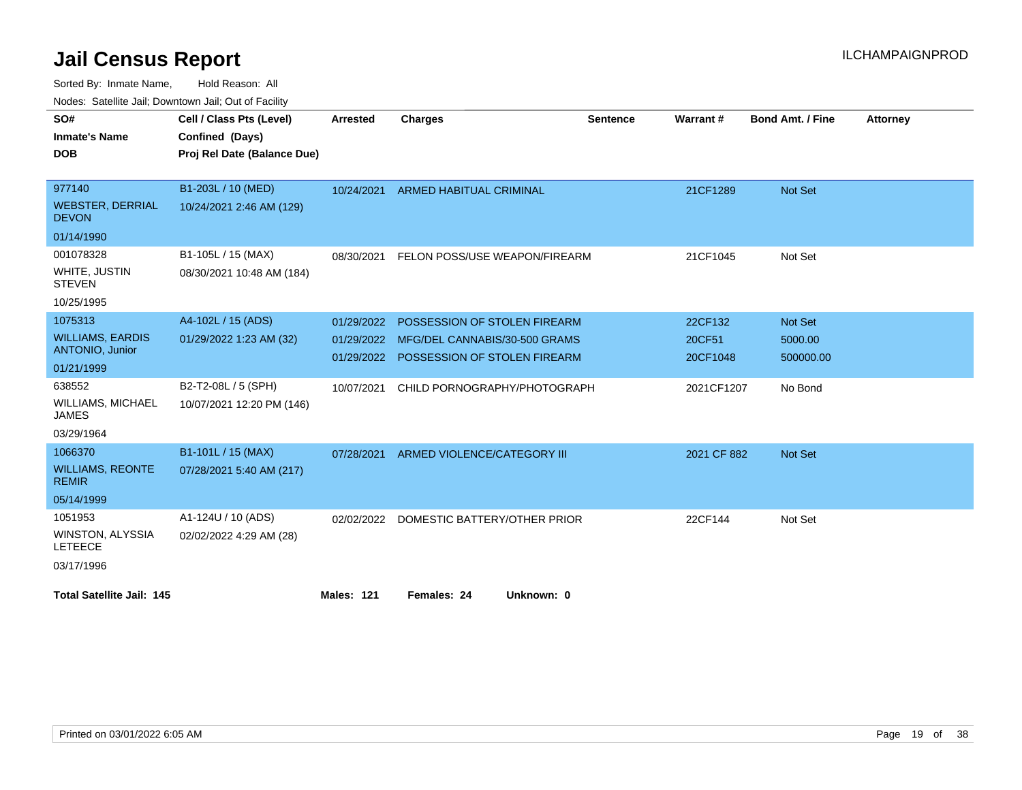Sorted By: Inmate Name, Hold Reason: All

Nodes: Satellite Jail; Downtown Jail; Out of Facility

| SO#                                       | Cell / Class Pts (Level)    | <b>Arrested</b>   | <b>Charges</b>                 | <b>Sentence</b> | Warrant#    | Bond Amt. / Fine | <b>Attorney</b> |
|-------------------------------------------|-----------------------------|-------------------|--------------------------------|-----------------|-------------|------------------|-----------------|
| <b>Inmate's Name</b>                      | Confined (Days)             |                   |                                |                 |             |                  |                 |
| <b>DOB</b>                                | Proj Rel Date (Balance Due) |                   |                                |                 |             |                  |                 |
|                                           |                             |                   |                                |                 |             |                  |                 |
| 977140                                    | B1-203L / 10 (MED)          | 10/24/2021        | <b>ARMED HABITUAL CRIMINAL</b> |                 | 21CF1289    | Not Set          |                 |
| <b>WEBSTER, DERRIAL</b><br><b>DEVON</b>   | 10/24/2021 2:46 AM (129)    |                   |                                |                 |             |                  |                 |
| 01/14/1990                                |                             |                   |                                |                 |             |                  |                 |
| 001078328                                 | B1-105L / 15 (MAX)          | 08/30/2021        | FELON POSS/USE WEAPON/FIREARM  |                 | 21CF1045    | Not Set          |                 |
| WHITE, JUSTIN<br><b>STEVEN</b>            | 08/30/2021 10:48 AM (184)   |                   |                                |                 |             |                  |                 |
| 10/25/1995                                |                             |                   |                                |                 |             |                  |                 |
| 1075313                                   | A4-102L / 15 (ADS)          | 01/29/2022        | POSSESSION OF STOLEN FIREARM   |                 | 22CF132     | Not Set          |                 |
| <b>WILLIAMS, EARDIS</b>                   | 01/29/2022 1:23 AM (32)     | 01/29/2022        | MFG/DEL CANNABIS/30-500 GRAMS  |                 | 20CF51      | 5000.00          |                 |
| ANTONIO, Junior                           |                             | 01/29/2022        | POSSESSION OF STOLEN FIREARM   |                 | 20CF1048    | 500000.00        |                 |
| 01/21/1999                                |                             |                   |                                |                 |             |                  |                 |
| 638552                                    | B2-T2-08L / 5 (SPH)         | 10/07/2021        | CHILD PORNOGRAPHY/PHOTOGRAPH   |                 | 2021CF1207  | No Bond          |                 |
| <b>WILLIAMS, MICHAEL</b><br><b>JAMES</b>  | 10/07/2021 12:20 PM (146)   |                   |                                |                 |             |                  |                 |
| 03/29/1964                                |                             |                   |                                |                 |             |                  |                 |
| 1066370                                   | B1-101L / 15 (MAX)          | 07/28/2021        | ARMED VIOLENCE/CATEGORY III    |                 | 2021 CF 882 | Not Set          |                 |
| <b>WILLIAMS, REONTE</b><br><b>REMIR</b>   | 07/28/2021 5:40 AM (217)    |                   |                                |                 |             |                  |                 |
| 05/14/1999                                |                             |                   |                                |                 |             |                  |                 |
| 1051953                                   | A1-124U / 10 (ADS)          | 02/02/2022        | DOMESTIC BATTERY/OTHER PRIOR   |                 | 22CF144     | Not Set          |                 |
| <b>WINSTON, ALYSSIA</b><br><b>LETEECE</b> | 02/02/2022 4:29 AM (28)     |                   |                                |                 |             |                  |                 |
| 03/17/1996                                |                             |                   |                                |                 |             |                  |                 |
| <b>Total Satellite Jail: 145</b>          |                             | <b>Males: 121</b> | Females: 24<br>Unknown: 0      |                 |             |                  |                 |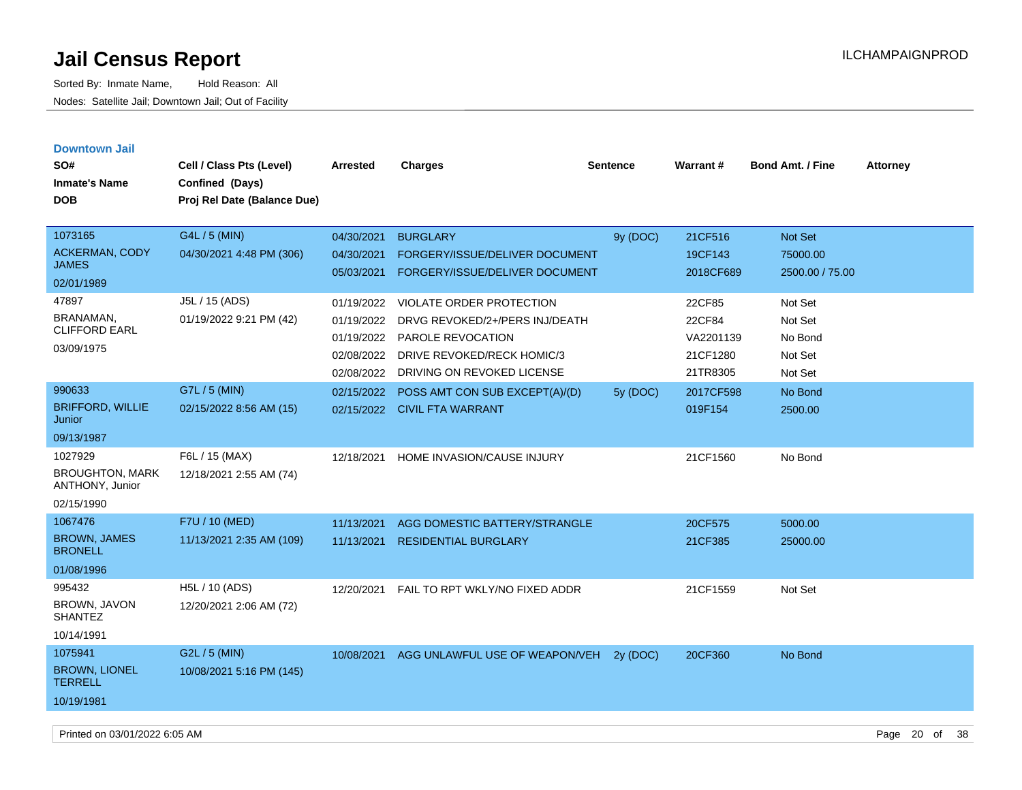| <b>Downtown Jail</b>                      |                                           |            |                                 |                 |                 |                         |                 |
|-------------------------------------------|-------------------------------------------|------------|---------------------------------|-----------------|-----------------|-------------------------|-----------------|
| SO#                                       | Cell / Class Pts (Level)                  | Arrested   | <b>Charges</b>                  | <b>Sentence</b> | <b>Warrant#</b> | <b>Bond Amt. / Fine</b> | <b>Attorney</b> |
| <b>Inmate's Name</b>                      | Confined (Days)                           |            |                                 |                 |                 |                         |                 |
| <b>DOB</b>                                | Proj Rel Date (Balance Due)               |            |                                 |                 |                 |                         |                 |
|                                           |                                           |            |                                 |                 |                 |                         |                 |
| 1073165                                   | G4L / 5 (MIN)                             | 04/30/2021 | <b>BURGLARY</b>                 | 9y (DOC)        | 21CF516         | Not Set                 |                 |
| <b>ACKERMAN, CODY</b>                     | 04/30/2021 4:48 PM (306)                  | 04/30/2021 | FORGERY/ISSUE/DELIVER DOCUMENT  |                 | 19CF143         | 75000.00                |                 |
| <b>JAMES</b>                              |                                           | 05/03/2021 | FORGERY/ISSUE/DELIVER DOCUMENT  |                 | 2018CF689       | 2500.00 / 75.00         |                 |
| 02/01/1989                                |                                           |            |                                 |                 |                 |                         |                 |
| 47897                                     | J5L / 15 (ADS)                            | 01/19/2022 | <b>VIOLATE ORDER PROTECTION</b> |                 | 22CF85          | Not Set                 |                 |
| BRANAMAN,<br><b>CLIFFORD EARL</b>         | 01/19/2022 9:21 PM (42)                   | 01/19/2022 | DRVG REVOKED/2+/PERS INJ/DEATH  |                 | 22CF84          | Not Set                 |                 |
|                                           |                                           | 01/19/2022 | PAROLE REVOCATION               |                 | VA2201139       | No Bond                 |                 |
| 03/09/1975                                |                                           | 02/08/2022 | DRIVE REVOKED/RECK HOMIC/3      |                 | 21CF1280        | Not Set                 |                 |
|                                           |                                           | 02/08/2022 | DRIVING ON REVOKED LICENSE      |                 | 21TR8305        | Not Set                 |                 |
| 990633                                    | G7L / 5 (MIN)                             | 02/15/2022 | POSS AMT CON SUB EXCEPT(A)/(D)  | 5y (DOC)        | 2017CF598       | No Bond                 |                 |
| <b>BRIFFORD, WILLIE</b><br>Junior         | 02/15/2022 8:56 AM (15)                   |            | 02/15/2022 CIVIL FTA WARRANT    |                 | 019F154         | 2500.00                 |                 |
| 09/13/1987                                |                                           |            |                                 |                 |                 |                         |                 |
| 1027929                                   | F6L / 15 (MAX)                            | 12/18/2021 | HOME INVASION/CAUSE INJURY      |                 | 21CF1560        | No Bond                 |                 |
| <b>BROUGHTON, MARK</b><br>ANTHONY, Junior | 12/18/2021 2:55 AM (74)                   |            |                                 |                 |                 |                         |                 |
| 02/15/1990                                |                                           |            |                                 |                 |                 |                         |                 |
| 1067476                                   | F7U / 10 (MED)                            | 11/13/2021 | AGG DOMESTIC BATTERY/STRANGLE   |                 | 20CF575         | 5000.00                 |                 |
| <b>BROWN, JAMES</b><br><b>BRONELL</b>     | 11/13/2021 2:35 AM (109)                  | 11/13/2021 | <b>RESIDENTIAL BURGLARY</b>     |                 | 21CF385         | 25000.00                |                 |
| 01/08/1996                                |                                           |            |                                 |                 |                 |                         |                 |
| 995432<br>BROWN, JAVON<br><b>SHANTEZ</b>  | H5L / 10 (ADS)<br>12/20/2021 2:06 AM (72) | 12/20/2021 | FAIL TO RPT WKLY/NO FIXED ADDR  |                 | 21CF1559        | Not Set                 |                 |
| 10/14/1991                                |                                           |            |                                 |                 |                 |                         |                 |
| 1075941                                   | G2L / 5 (MIN)                             | 10/08/2021 | AGG UNLAWFUL USE OF WEAPON/VEH  | 2v(DOC)         | 20CF360         | No Bond                 |                 |
| <b>BROWN, LIONEL</b><br><b>TERRELL</b>    | 10/08/2021 5:16 PM (145)                  |            |                                 |                 |                 |                         |                 |
| 10/19/1981                                |                                           |            |                                 |                 |                 |                         |                 |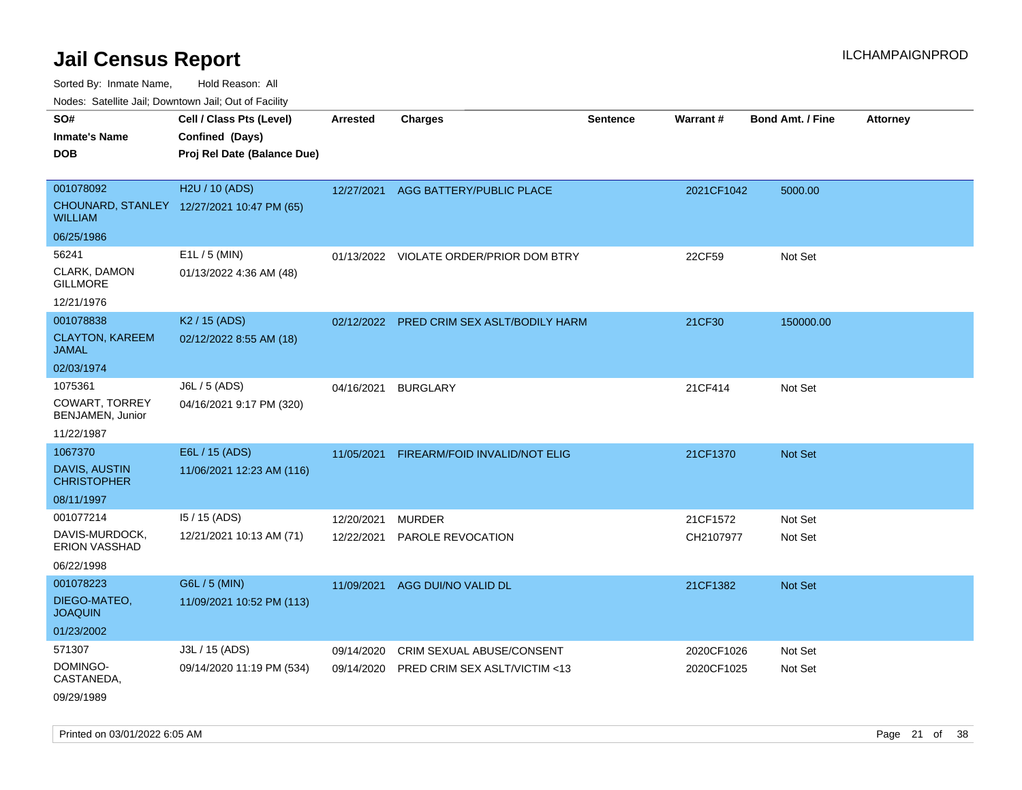Sorted By: Inmate Name, Hold Reason: All

Nodes: Satellite Jail; Downtown Jail; Out of Facility

| SO#<br><b>Inmate's Name</b><br><b>DOB</b>                            | Cell / Class Pts (Level)<br>Confined (Days)<br>Proj Rel Date (Balance Due) | <b>Arrested</b>          | <b>Charges</b>                                             | <b>Sentence</b> | <b>Warrant#</b>          | <b>Bond Amt. / Fine</b> | <b>Attorney</b> |
|----------------------------------------------------------------------|----------------------------------------------------------------------------|--------------------------|------------------------------------------------------------|-----------------|--------------------------|-------------------------|-----------------|
| 001078092<br><b>WILLIAM</b>                                          | H2U / 10 (ADS)<br>CHOUNARD, STANLEY 12/27/2021 10:47 PM (65)               | 12/27/2021               | AGG BATTERY/PUBLIC PLACE                                   |                 | 2021CF1042               | 5000.00                 |                 |
| 06/25/1986<br>56241<br>CLARK, DAMON<br><b>GILLMORE</b><br>12/21/1976 | E1L / 5 (MIN)<br>01/13/2022 4:36 AM (48)                                   |                          | 01/13/2022 VIOLATE ORDER/PRIOR DOM BTRY                    |                 | 22CF59                   | Not Set                 |                 |
| 001078838<br><b>CLAYTON, KAREEM</b><br><b>JAMAL</b><br>02/03/1974    | K <sub>2</sub> / 15 (ADS)<br>02/12/2022 8:55 AM (18)                       |                          | 02/12/2022 PRED CRIM SEX ASLT/BODILY HARM                  |                 | 21CF30                   | 150000.00               |                 |
| 1075361<br><b>COWART, TORREY</b><br>BENJAMEN, Junior<br>11/22/1987   | J6L / 5 (ADS)<br>04/16/2021 9:17 PM (320)                                  | 04/16/2021               | <b>BURGLARY</b>                                            |                 | 21CF414                  | Not Set                 |                 |
| 1067370<br><b>DAVIS, AUSTIN</b><br><b>CHRISTOPHER</b><br>08/11/1997  | E6L / 15 (ADS)<br>11/06/2021 12:23 AM (116)                                | 11/05/2021               | FIREARM/FOID INVALID/NOT ELIG                              |                 | 21CF1370                 | <b>Not Set</b>          |                 |
| 001077214<br>DAVIS-MURDOCK,<br>ERION VASSHAD<br>06/22/1998           | 15 / 15 (ADS)<br>12/21/2021 10:13 AM (71)                                  | 12/20/2021<br>12/22/2021 | <b>MURDER</b><br>PAROLE REVOCATION                         |                 | 21CF1572<br>CH2107977    | Not Set<br>Not Set      |                 |
| 001078223<br>DIEGO-MATEO,<br><b>JOAQUIN</b><br>01/23/2002            | G6L / 5 (MIN)<br>11/09/2021 10:52 PM (113)                                 | 11/09/2021               | AGG DUI/NO VALID DL                                        |                 | 21CF1382                 | Not Set                 |                 |
| 571307<br>DOMINGO-<br>CASTANEDA,<br>09/29/1989                       | J3L / 15 (ADS)<br>09/14/2020 11:19 PM (534)                                | 09/14/2020<br>09/14/2020 | CRIM SEXUAL ABUSE/CONSENT<br>PRED CRIM SEX ASLT/VICTIM <13 |                 | 2020CF1026<br>2020CF1025 | Not Set<br>Not Set      |                 |

Printed on 03/01/2022 6:05 AM **Page 21 of 38**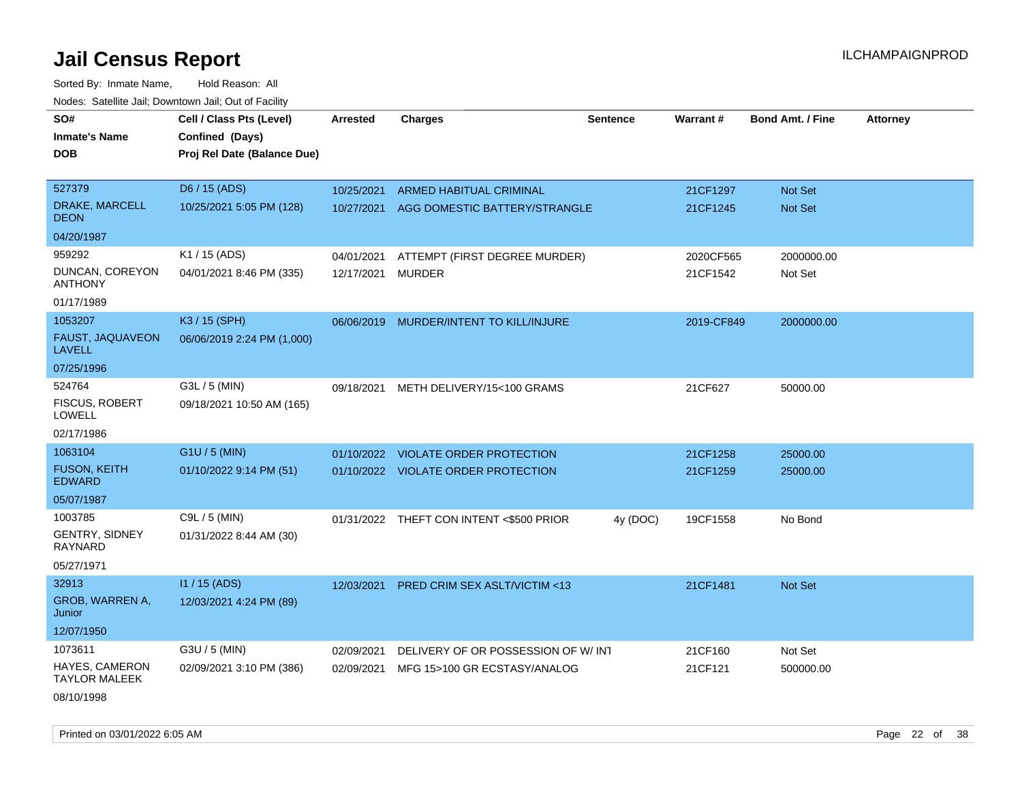| roaco. Catolino cali, Domntonn cali, Out of Facility |                             |                 |                                          |                 |            |                         |                 |
|------------------------------------------------------|-----------------------------|-----------------|------------------------------------------|-----------------|------------|-------------------------|-----------------|
| SO#                                                  | Cell / Class Pts (Level)    | <b>Arrested</b> | <b>Charges</b>                           | <b>Sentence</b> | Warrant#   | <b>Bond Amt. / Fine</b> | <b>Attorney</b> |
| <b>Inmate's Name</b>                                 | Confined (Days)             |                 |                                          |                 |            |                         |                 |
| <b>DOB</b>                                           | Proj Rel Date (Balance Due) |                 |                                          |                 |            |                         |                 |
|                                                      |                             |                 |                                          |                 |            |                         |                 |
| 527379                                               | D6 / 15 (ADS)               | 10/25/2021      | ARMED HABITUAL CRIMINAL                  |                 | 21CF1297   | Not Set                 |                 |
| DRAKE, MARCELL<br><b>DEON</b>                        | 10/25/2021 5:05 PM (128)    |                 | 10/27/2021 AGG DOMESTIC BATTERY/STRANGLE |                 | 21CF1245   | Not Set                 |                 |
| 04/20/1987                                           |                             |                 |                                          |                 |            |                         |                 |
| 959292                                               | K1 / 15 (ADS)               | 04/01/2021      | ATTEMPT (FIRST DEGREE MURDER)            |                 | 2020CF565  | 2000000.00              |                 |
| DUNCAN, COREYON<br><b>ANTHONY</b>                    | 04/01/2021 8:46 PM (335)    | 12/17/2021      | <b>MURDER</b>                            |                 | 21CF1542   | Not Set                 |                 |
| 01/17/1989                                           |                             |                 |                                          |                 |            |                         |                 |
| 1053207                                              | K3 / 15 (SPH)               |                 | 06/06/2019 MURDER/INTENT TO KILL/INJURE  |                 | 2019-CF849 | 2000000.00              |                 |
| FAUST, JAQUAVEON<br><b>LAVELL</b>                    | 06/06/2019 2:24 PM (1,000)  |                 |                                          |                 |            |                         |                 |
| 07/25/1996                                           |                             |                 |                                          |                 |            |                         |                 |
| 524764                                               | G3L / 5 (MIN)               | 09/18/2021      | METH DELIVERY/15<100 GRAMS               |                 | 21CF627    | 50000.00                |                 |
| <b>FISCUS, ROBERT</b><br><b>LOWELL</b>               | 09/18/2021 10:50 AM (165)   |                 |                                          |                 |            |                         |                 |
| 02/17/1986                                           |                             |                 |                                          |                 |            |                         |                 |
| 1063104                                              | G1U / 5 (MIN)               | 01/10/2022      | <b>VIOLATE ORDER PROTECTION</b>          |                 | 21CF1258   | 25000.00                |                 |
| <b>FUSON, KEITH</b><br><b>EDWARD</b>                 | 01/10/2022 9:14 PM (51)     |                 | 01/10/2022 VIOLATE ORDER PROTECTION      |                 | 21CF1259   | 25000.00                |                 |
| 05/07/1987                                           |                             |                 |                                          |                 |            |                         |                 |
| 1003785                                              | C9L / 5 (MIN)               |                 | 01/31/2022 THEFT CON INTENT <\$500 PRIOR | 4y (DOC)        | 19CF1558   | No Bond                 |                 |
| <b>GENTRY, SIDNEY</b><br>RAYNARD                     | 01/31/2022 8:44 AM (30)     |                 |                                          |                 |            |                         |                 |
| 05/27/1971                                           |                             |                 |                                          |                 |            |                         |                 |
| 32913                                                | I1 / 15 (ADS)               | 12/03/2021      | PRED CRIM SEX ASLT/VICTIM <13            |                 | 21CF1481   | Not Set                 |                 |
| GROB, WARREN A,<br>Junior                            | 12/03/2021 4:24 PM (89)     |                 |                                          |                 |            |                         |                 |
| 12/07/1950                                           |                             |                 |                                          |                 |            |                         |                 |
| 1073611                                              | G3U / 5 (MIN)               | 02/09/2021      | DELIVERY OF OR POSSESSION OF W/INT       |                 | 21CF160    | Not Set                 |                 |
| HAYES, CAMERON<br><b>TAYLOR MALEEK</b>               | 02/09/2021 3:10 PM (386)    | 02/09/2021      | MFG 15>100 GR ECSTASY/ANALOG             |                 | 21CF121    | 500000.00               |                 |
| 08/10/1998                                           |                             |                 |                                          |                 |            |                         |                 |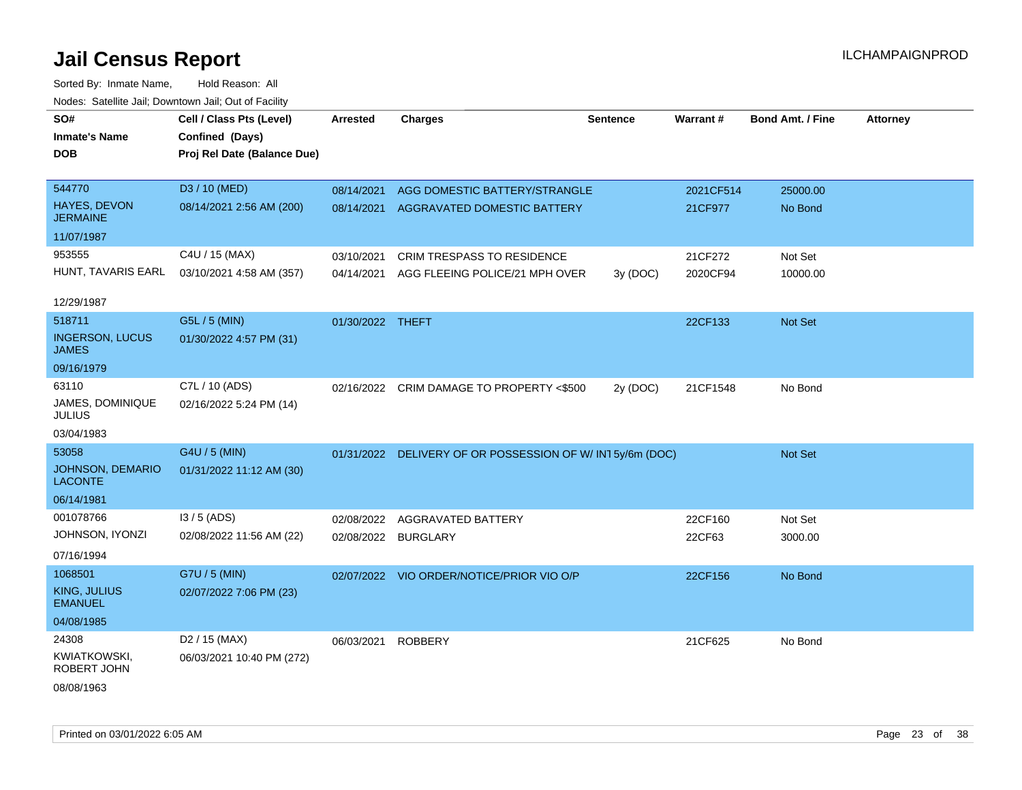| SO#                                       | Cell / Class Pts (Level)    | <b>Arrested</b>     | <b>Charges</b>                                | <b>Sentence</b> | Warrant#  | <b>Bond Amt. / Fine</b> | <b>Attorney</b> |
|-------------------------------------------|-----------------------------|---------------------|-----------------------------------------------|-----------------|-----------|-------------------------|-----------------|
| <b>Inmate's Name</b>                      | Confined (Days)             |                     |                                               |                 |           |                         |                 |
| <b>DOB</b>                                | Proj Rel Date (Balance Due) |                     |                                               |                 |           |                         |                 |
|                                           |                             |                     |                                               |                 |           |                         |                 |
| 544770                                    | D3 / 10 (MED)               | 08/14/2021          | AGG DOMESTIC BATTERY/STRANGLE                 |                 | 2021CF514 | 25000.00                |                 |
| HAYES, DEVON<br><b>JERMAINE</b>           | 08/14/2021 2:56 AM (200)    |                     | 08/14/2021 AGGRAVATED DOMESTIC BATTERY        |                 | 21CF977   | No Bond                 |                 |
| 11/07/1987                                |                             |                     |                                               |                 |           |                         |                 |
| 953555                                    | C4U / 15 (MAX)              | 03/10/2021          | <b>CRIM TRESPASS TO RESIDENCE</b>             |                 | 21CF272   | Not Set                 |                 |
| HUNT, TAVARIS EARL                        | 03/10/2021 4:58 AM (357)    | 04/14/2021          | AGG FLEEING POLICE/21 MPH OVER                | 3y (DOC)        | 2020CF94  | 10000.00                |                 |
|                                           |                             |                     |                                               |                 |           |                         |                 |
| 12/29/1987                                |                             |                     |                                               |                 |           |                         |                 |
| 518711                                    | G5L / 5 (MIN)               | 01/30/2022 THEFT    |                                               |                 | 22CF133   | Not Set                 |                 |
| <b>INGERSON, LUCUS</b><br><b>JAMES</b>    | 01/30/2022 4:57 PM (31)     |                     |                                               |                 |           |                         |                 |
| 09/16/1979                                |                             |                     |                                               |                 |           |                         |                 |
| 63110                                     | C7L / 10 (ADS)              |                     | 02/16/2022 CRIM DAMAGE TO PROPERTY <\$500     | 2y (DOC)        | 21CF1548  | No Bond                 |                 |
| JAMES, DOMINIQUE<br><b>JULIUS</b>         | 02/16/2022 5:24 PM (14)     |                     |                                               |                 |           |                         |                 |
| 03/04/1983                                |                             |                     |                                               |                 |           |                         |                 |
| 53058                                     | G4U / 5 (MIN)               | 01/31/2022          | DELIVERY OF OR POSSESSION OF W/IN15y/6m (DOC) |                 |           | Not Set                 |                 |
| <b>JOHNSON, DEMARIO</b><br><b>LACONTE</b> | 01/31/2022 11:12 AM (30)    |                     |                                               |                 |           |                         |                 |
| 06/14/1981                                |                             |                     |                                               |                 |           |                         |                 |
| 001078766                                 | I3 / 5 (ADS)                | 02/08/2022          | AGGRAVATED BATTERY                            |                 | 22CF160   | Not Set                 |                 |
| JOHNSON, IYONZI                           | 02/08/2022 11:56 AM (22)    | 02/08/2022 BURGLARY |                                               |                 | 22CF63    | 3000.00                 |                 |
| 07/16/1994                                |                             |                     |                                               |                 |           |                         |                 |
| 1068501                                   | G7U / 5 (MIN)               |                     | 02/07/2022 VIO ORDER/NOTICE/PRIOR VIO O/P     |                 | 22CF156   | No Bond                 |                 |
| <b>KING, JULIUS</b><br><b>EMANUEL</b>     | 02/07/2022 7:06 PM (23)     |                     |                                               |                 |           |                         |                 |
| 04/08/1985                                |                             |                     |                                               |                 |           |                         |                 |
| 24308                                     | D <sub>2</sub> / 15 (MAX)   | 06/03/2021 ROBBERY  |                                               |                 | 21CF625   | No Bond                 |                 |
| KWIATKOWSKI,<br>ROBERT JOHN               | 06/03/2021 10:40 PM (272)   |                     |                                               |                 |           |                         |                 |
| 08/08/1963                                |                             |                     |                                               |                 |           |                         |                 |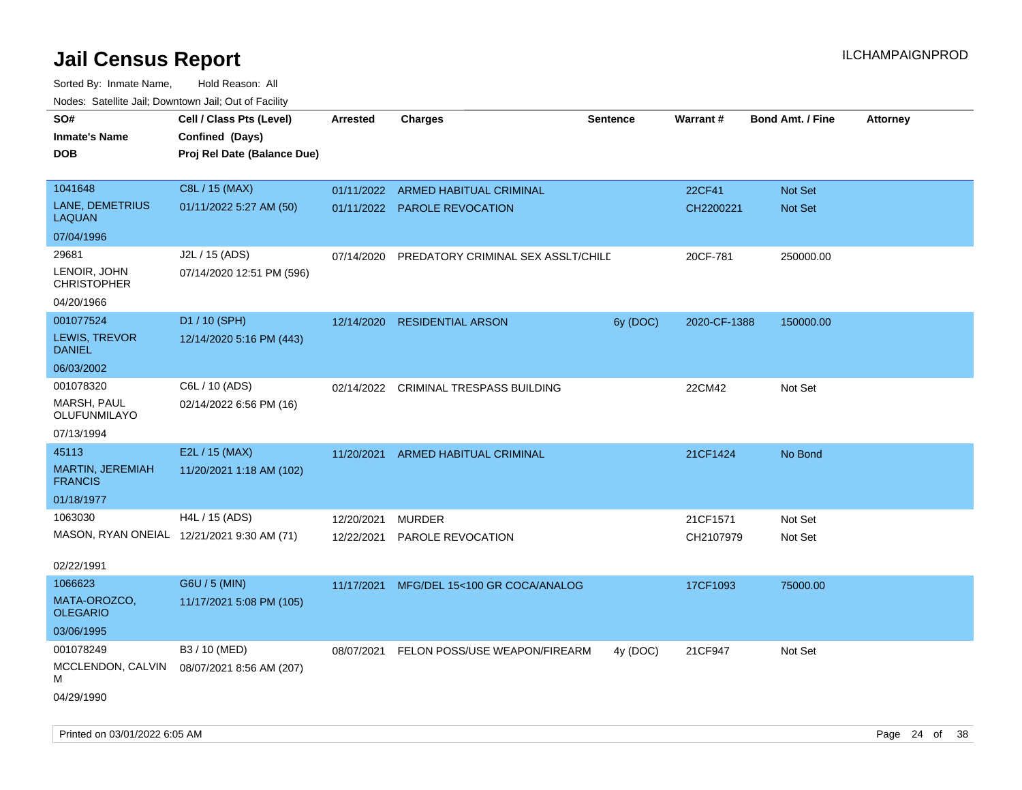| rougs. Calcing Jan, Downtown Jan, Out of Facility |                                             |                 |                                       |                 |              |                         |                 |
|---------------------------------------------------|---------------------------------------------|-----------------|---------------------------------------|-----------------|--------------|-------------------------|-----------------|
| SO#<br><b>Inmate's Name</b>                       | Cell / Class Pts (Level)<br>Confined (Days) | <b>Arrested</b> | <b>Charges</b>                        | <b>Sentence</b> | Warrant#     | <b>Bond Amt. / Fine</b> | <b>Attorney</b> |
| <b>DOB</b>                                        | Proj Rel Date (Balance Due)                 |                 |                                       |                 |              |                         |                 |
| 1041648                                           | C8L / 15 (MAX)                              | 01/11/2022      | ARMED HABITUAL CRIMINAL               |                 | 22CF41       | <b>Not Set</b>          |                 |
| LANE, DEMETRIUS<br>LAQUAN                         | 01/11/2022 5:27 AM (50)                     |                 | 01/11/2022 PAROLE REVOCATION          |                 | CH2200221    | <b>Not Set</b>          |                 |
| 07/04/1996                                        |                                             |                 |                                       |                 |              |                         |                 |
| 29681                                             | J2L / 15 (ADS)                              | 07/14/2020      | PREDATORY CRIMINAL SEX ASSLT/CHILD    |                 | 20CF-781     | 250000.00               |                 |
| LENOIR, JOHN<br><b>CHRISTOPHER</b>                | 07/14/2020 12:51 PM (596)                   |                 |                                       |                 |              |                         |                 |
| 04/20/1966                                        |                                             |                 |                                       |                 |              |                         |                 |
| 001077524                                         | D1 / 10 (SPH)                               | 12/14/2020      | <b>RESIDENTIAL ARSON</b>              | 6y (DOC)        | 2020-CF-1388 | 150000.00               |                 |
| LEWIS, TREVOR<br><b>DANIEL</b>                    | 12/14/2020 5:16 PM (443)                    |                 |                                       |                 |              |                         |                 |
| 06/03/2002                                        |                                             |                 |                                       |                 |              |                         |                 |
| 001078320                                         | C6L / 10 (ADS)                              |                 | 02/14/2022 CRIMINAL TRESPASS BUILDING |                 | 22CM42       | Not Set                 |                 |
| MARSH, PAUL<br>OLUFUNMILAYO                       | 02/14/2022 6:56 PM (16)                     |                 |                                       |                 |              |                         |                 |
| 07/13/1994                                        |                                             |                 |                                       |                 |              |                         |                 |
| 45113                                             | E2L / 15 (MAX)                              | 11/20/2021      | <b>ARMED HABITUAL CRIMINAL</b>        |                 | 21CF1424     | No Bond                 |                 |
| MARTIN, JEREMIAH<br><b>FRANCIS</b>                | 11/20/2021 1:18 AM (102)                    |                 |                                       |                 |              |                         |                 |
| 01/18/1977                                        |                                             |                 |                                       |                 |              |                         |                 |
| 1063030                                           | H4L / 15 (ADS)                              | 12/20/2021      | <b>MURDER</b>                         |                 | 21CF1571     | Not Set                 |                 |
|                                                   | MASON, RYAN ONEIAL 12/21/2021 9:30 AM (71)  | 12/22/2021      | PAROLE REVOCATION                     |                 | CH2107979    | Not Set                 |                 |
| 02/22/1991                                        |                                             |                 |                                       |                 |              |                         |                 |
| 1066623                                           | G6U / 5 (MIN)                               | 11/17/2021      | MFG/DEL 15<100 GR COCA/ANALOG         |                 | 17CF1093     | 75000.00                |                 |
| MATA-OROZCO,<br><b>OLEGARIO</b>                   | 11/17/2021 5:08 PM (105)                    |                 |                                       |                 |              |                         |                 |
| 03/06/1995                                        |                                             |                 |                                       |                 |              |                         |                 |
| 001078249                                         | B3 / 10 (MED)                               | 08/07/2021      | FELON POSS/USE WEAPON/FIREARM         | 4y (DOC)        | 21CF947      | Not Set                 |                 |
| MCCLENDON, CALVIN<br>М                            | 08/07/2021 8:56 AM (207)                    |                 |                                       |                 |              |                         |                 |
| 04/29/1990                                        |                                             |                 |                                       |                 |              |                         |                 |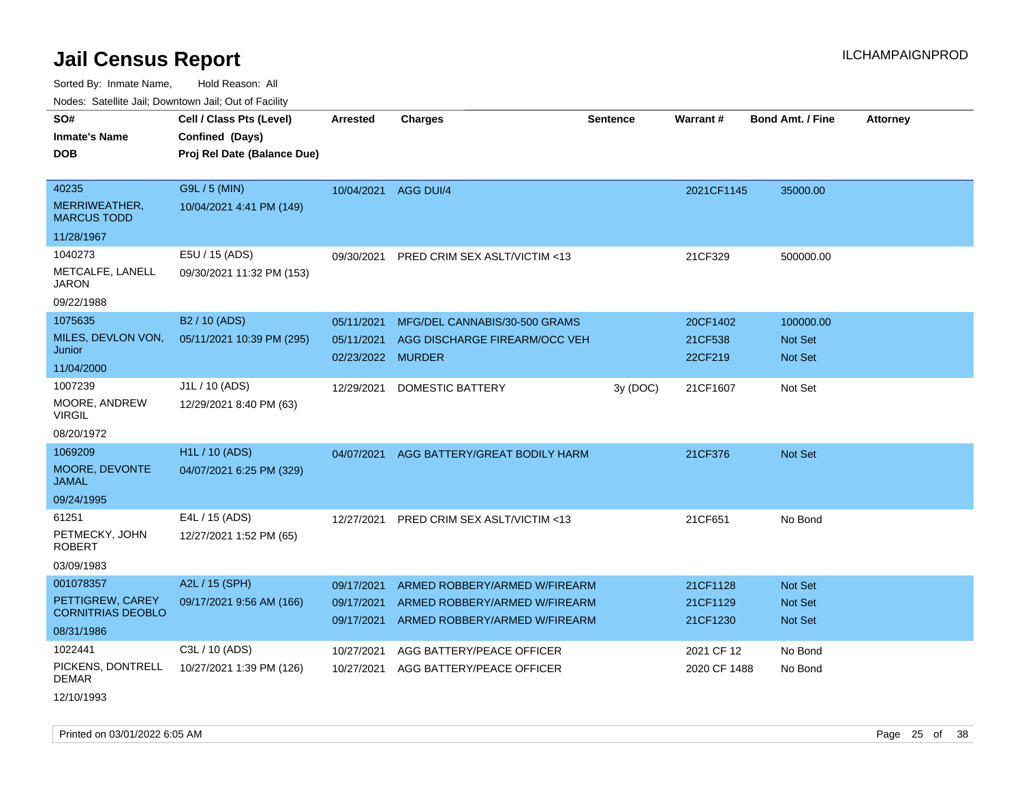Sorted By: Inmate Name, Hold Reason: All

Nodes: Satellite Jail; Downtown Jail; Out of Facility

| SO#                                 | Cell / Class Pts (Level)    | <b>Arrested</b>      | <b>Charges</b>                | <b>Sentence</b> | <b>Warrant#</b> | <b>Bond Amt. / Fine</b> | <b>Attorney</b> |
|-------------------------------------|-----------------------------|----------------------|-------------------------------|-----------------|-----------------|-------------------------|-----------------|
| <b>Inmate's Name</b>                | Confined (Days)             |                      |                               |                 |                 |                         |                 |
| <b>DOB</b>                          | Proj Rel Date (Balance Due) |                      |                               |                 |                 |                         |                 |
|                                     |                             |                      |                               |                 |                 |                         |                 |
| 40235                               | G9L / 5 (MIN)               | 10/04/2021 AGG DUI/4 |                               |                 | 2021CF1145      | 35000.00                |                 |
| MERRIWEATHER,<br><b>MARCUS TODD</b> | 10/04/2021 4:41 PM (149)    |                      |                               |                 |                 |                         |                 |
| 11/28/1967                          |                             |                      |                               |                 |                 |                         |                 |
| 1040273                             | E5U / 15 (ADS)              | 09/30/2021           | PRED CRIM SEX ASLT/VICTIM <13 |                 | 21CF329         | 500000.00               |                 |
| METCALFE, LANELL<br><b>JARON</b>    | 09/30/2021 11:32 PM (153)   |                      |                               |                 |                 |                         |                 |
| 09/22/1988                          |                             |                      |                               |                 |                 |                         |                 |
| 1075635                             | B2 / 10 (ADS)               | 05/11/2021           | MFG/DEL CANNABIS/30-500 GRAMS |                 | 20CF1402        | 100000.00               |                 |
| MILES, DEVLON VON,                  | 05/11/2021 10:39 PM (295)   | 05/11/2021           | AGG DISCHARGE FIREARM/OCC VEH |                 | 21CF538         | <b>Not Set</b>          |                 |
| Junior                              |                             | 02/23/2022 MURDER    |                               |                 | 22CF219         | <b>Not Set</b>          |                 |
| 11/04/2000                          |                             |                      |                               |                 |                 |                         |                 |
| 1007239                             | J1L / 10 (ADS)              | 12/29/2021           | <b>DOMESTIC BATTERY</b>       | 3y (DOC)        | 21CF1607        | Not Set                 |                 |
| MOORE, ANDREW<br><b>VIRGIL</b>      | 12/29/2021 8:40 PM (63)     |                      |                               |                 |                 |                         |                 |
| 08/20/1972                          |                             |                      |                               |                 |                 |                         |                 |
| 1069209                             | H <sub>1</sub> L / 10 (ADS) | 04/07/2021           | AGG BATTERY/GREAT BODILY HARM |                 | 21CF376         | <b>Not Set</b>          |                 |
| MOORE, DEVONTE<br><b>JAMAL</b>      | 04/07/2021 6:25 PM (329)    |                      |                               |                 |                 |                         |                 |
| 09/24/1995                          |                             |                      |                               |                 |                 |                         |                 |
| 61251                               | E4L / 15 (ADS)              | 12/27/2021           | PRED CRIM SEX ASLT/VICTIM <13 |                 | 21CF651         | No Bond                 |                 |
| PETMECKY, JOHN<br><b>ROBERT</b>     | 12/27/2021 1:52 PM (65)     |                      |                               |                 |                 |                         |                 |
| 03/09/1983                          |                             |                      |                               |                 |                 |                         |                 |
| 001078357                           | A2L / 15 (SPH)              | 09/17/2021           | ARMED ROBBERY/ARMED W/FIREARM |                 | 21CF1128        | <b>Not Set</b>          |                 |
| PETTIGREW, CAREY                    | 09/17/2021 9:56 AM (166)    | 09/17/2021           | ARMED ROBBERY/ARMED W/FIREARM |                 | 21CF1129        | Not Set                 |                 |
| <b>CORNITRIAS DEOBLO</b>            |                             | 09/17/2021           | ARMED ROBBERY/ARMED W/FIREARM |                 | 21CF1230        | <b>Not Set</b>          |                 |
| 08/31/1986                          |                             |                      |                               |                 |                 |                         |                 |
| 1022441                             | C3L / 10 (ADS)              | 10/27/2021           | AGG BATTERY/PEACE OFFICER     |                 | 2021 CF 12      | No Bond                 |                 |
| PICKENS, DONTRELL<br><b>DEMAR</b>   | 10/27/2021 1:39 PM (126)    | 10/27/2021           | AGG BATTERY/PEACE OFFICER     |                 | 2020 CF 1488    | No Bond                 |                 |
|                                     |                             |                      |                               |                 |                 |                         |                 |

12/10/1993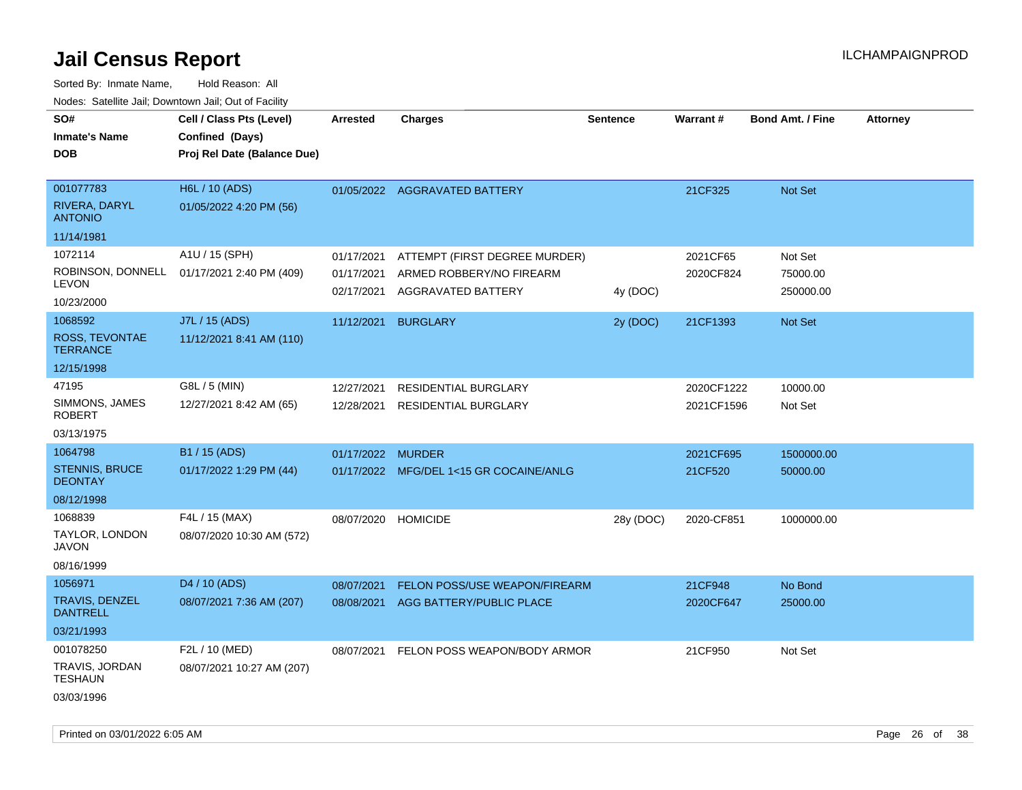| rougs. Calcinic Jan, Downtown Jan, Out of Facility |                                                                            |                     |                                                           |                 |            |                         |                 |
|----------------------------------------------------|----------------------------------------------------------------------------|---------------------|-----------------------------------------------------------|-----------------|------------|-------------------------|-----------------|
| SO#<br><b>Inmate's Name</b><br><b>DOB</b>          | Cell / Class Pts (Level)<br>Confined (Days)<br>Proj Rel Date (Balance Due) | <b>Arrested</b>     | <b>Charges</b>                                            | <b>Sentence</b> | Warrant#   | <b>Bond Amt. / Fine</b> | <b>Attorney</b> |
|                                                    |                                                                            |                     |                                                           |                 |            |                         |                 |
| 001077783                                          | H6L / 10 (ADS)                                                             |                     | 01/05/2022 AGGRAVATED BATTERY                             |                 | 21CF325    | Not Set                 |                 |
| RIVERA, DARYL<br><b>ANTONIO</b>                    | 01/05/2022 4:20 PM (56)                                                    |                     |                                                           |                 |            |                         |                 |
| 11/14/1981                                         |                                                                            |                     |                                                           |                 |            |                         |                 |
| 1072114                                            | A1U / 15 (SPH)                                                             | 01/17/2021          | ATTEMPT (FIRST DEGREE MURDER)                             |                 | 2021CF65   | Not Set                 |                 |
| LEVON                                              | ROBINSON, DONNELL 01/17/2021 2:40 PM (409)                                 | 01/17/2021          | ARMED ROBBERY/NO FIREARM<br>02/17/2021 AGGRAVATED BATTERY | 4y (DOC)        | 2020CF824  | 75000.00<br>250000.00   |                 |
| 10/23/2000                                         |                                                                            |                     |                                                           |                 |            |                         |                 |
| 1068592                                            | J7L / 15 (ADS)                                                             | 11/12/2021          | <b>BURGLARY</b>                                           | 2y (DOC)        | 21CF1393   | Not Set                 |                 |
| ROSS, TEVONTAE<br><b>TERRANCE</b>                  | 11/12/2021 8:41 AM (110)                                                   |                     |                                                           |                 |            |                         |                 |
| 12/15/1998                                         |                                                                            |                     |                                                           |                 |            |                         |                 |
| 47195                                              | G8L / 5 (MIN)                                                              | 12/27/2021          | <b>RESIDENTIAL BURGLARY</b>                               |                 | 2020CF1222 | 10000.00                |                 |
| SIMMONS, JAMES<br>ROBERT                           | 12/27/2021 8:42 AM (65)                                                    | 12/28/2021          | <b>RESIDENTIAL BURGLARY</b>                               |                 | 2021CF1596 | Not Set                 |                 |
| 03/13/1975                                         |                                                                            |                     |                                                           |                 |            |                         |                 |
| 1064798                                            | B1 / 15 (ADS)                                                              | 01/17/2022          | MURDER                                                    |                 | 2021CF695  | 1500000.00              |                 |
| STENNIS, BRUCE<br><b>DEONTAY</b>                   | 01/17/2022 1:29 PM (44)                                                    |                     | 01/17/2022 MFG/DEL 1<15 GR COCAINE/ANLG                   |                 | 21CF520    | 50000.00                |                 |
| 08/12/1998                                         |                                                                            |                     |                                                           |                 |            |                         |                 |
| 1068839                                            | F4L / 15 (MAX)                                                             | 08/07/2020 HOMICIDE |                                                           | 28y (DOC)       | 2020-CF851 | 1000000.00              |                 |
| TAYLOR, LONDON<br>JAVON                            | 08/07/2020 10:30 AM (572)                                                  |                     |                                                           |                 |            |                         |                 |
| 08/16/1999                                         |                                                                            |                     |                                                           |                 |            |                         |                 |
| 1056971                                            | D4 / 10 (ADS)                                                              | 08/07/2021          | FELON POSS/USE WEAPON/FIREARM                             |                 | 21CF948    | No Bond                 |                 |
| <b>TRAVIS, DENZEL</b><br><b>DANTRELL</b>           | 08/07/2021 7:36 AM (207)                                                   | 08/08/2021          | AGG BATTERY/PUBLIC PLACE                                  |                 | 2020CF647  | 25000.00                |                 |
| 03/21/1993                                         |                                                                            |                     |                                                           |                 |            |                         |                 |
| 001078250                                          | F2L / 10 (MED)                                                             | 08/07/2021          | FELON POSS WEAPON/BODY ARMOR                              |                 | 21CF950    | Not Set                 |                 |
| TRAVIS, JORDAN<br>TESHAUN                          | 08/07/2021 10:27 AM (207)                                                  |                     |                                                           |                 |            |                         |                 |
| 03/03/1996                                         |                                                                            |                     |                                                           |                 |            |                         |                 |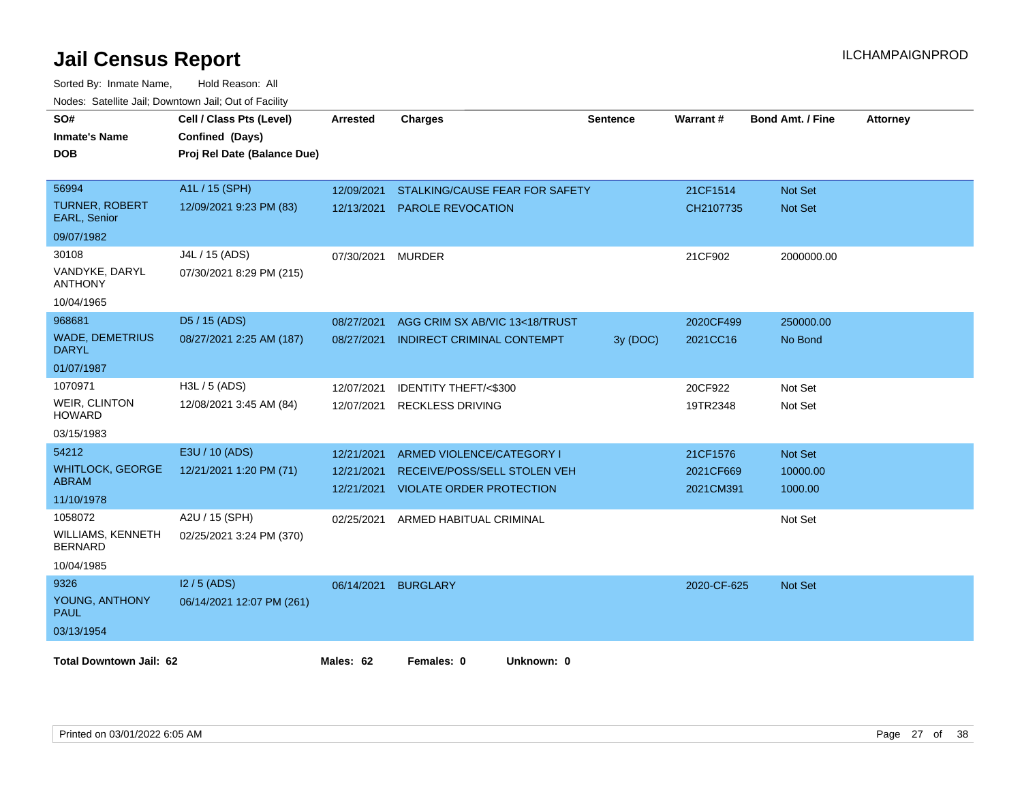| SO#<br><b>Inmate's Name</b><br><b>DOB</b>    | Cell / Class Pts (Level)<br>Confined (Days)<br>Proj Rel Date (Balance Due) | Arrested   | <b>Charges</b>                      | <b>Sentence</b> | <b>Warrant#</b> | <b>Bond Amt. / Fine</b> | <b>Attorney</b> |
|----------------------------------------------|----------------------------------------------------------------------------|------------|-------------------------------------|-----------------|-----------------|-------------------------|-----------------|
| 56994                                        | A1L / 15 (SPH)                                                             | 12/09/2021 | STALKING/CAUSE FEAR FOR SAFETY      |                 | 21CF1514        | <b>Not Set</b>          |                 |
| <b>TURNER, ROBERT</b><br><b>EARL, Senior</b> | 12/09/2021 9:23 PM (83)                                                    | 12/13/2021 | <b>PAROLE REVOCATION</b>            |                 | CH2107735       | Not Set                 |                 |
| 09/07/1982                                   |                                                                            |            |                                     |                 |                 |                         |                 |
| 30108                                        | J4L / 15 (ADS)                                                             | 07/30/2021 | <b>MURDER</b>                       |                 | 21CF902         | 2000000.00              |                 |
| VANDYKE, DARYL<br><b>ANTHONY</b>             | 07/30/2021 8:29 PM (215)                                                   |            |                                     |                 |                 |                         |                 |
| 10/04/1965                                   |                                                                            |            |                                     |                 |                 |                         |                 |
| 968681                                       | D5 / 15 (ADS)                                                              | 08/27/2021 | AGG CRIM SX AB/VIC 13<18/TRUST      |                 | 2020CF499       | 250000.00               |                 |
| <b>WADE, DEMETRIUS</b><br><b>DARYL</b>       | 08/27/2021 2:25 AM (187)                                                   | 08/27/2021 | INDIRECT CRIMINAL CONTEMPT          | 3y (DOC)        | 2021CC16        | No Bond                 |                 |
| 01/07/1987                                   |                                                                            |            |                                     |                 |                 |                         |                 |
| 1070971                                      | H3L / 5 (ADS)                                                              | 12/07/2021 | IDENTITY THEFT/<\$300               |                 | 20CF922         | Not Set                 |                 |
| <b>WEIR, CLINTON</b><br><b>HOWARD</b>        | 12/08/2021 3:45 AM (84)                                                    | 12/07/2021 | <b>RECKLESS DRIVING</b>             |                 | 19TR2348        | Not Set                 |                 |
| 03/15/1983                                   |                                                                            |            |                                     |                 |                 |                         |                 |
| 54212                                        | E3U / 10 (ADS)                                                             | 12/21/2021 | ARMED VIOLENCE/CATEGORY I           |                 | 21CF1576        | <b>Not Set</b>          |                 |
| <b>WHITLOCK, GEORGE</b>                      | 12/21/2021 1:20 PM (71)                                                    | 12/21/2021 | RECEIVE/POSS/SELL STOLEN VEH        |                 | 2021CF669       | 10000.00                |                 |
| <b>ABRAM</b><br>11/10/1978                   |                                                                            |            | 12/21/2021 VIOLATE ORDER PROTECTION |                 | 2021CM391       | 1000.00                 |                 |
| 1058072                                      | A2U / 15 (SPH)                                                             | 02/25/2021 | ARMED HABITUAL CRIMINAL             |                 |                 | Not Set                 |                 |
| WILLIAMS, KENNETH<br><b>BERNARD</b>          | 02/25/2021 3:24 PM (370)                                                   |            |                                     |                 |                 |                         |                 |
| 10/04/1985                                   |                                                                            |            |                                     |                 |                 |                         |                 |
| 9326                                         | $12/5$ (ADS)                                                               |            | 06/14/2021 BURGLARY                 |                 | 2020-CF-625     | <b>Not Set</b>          |                 |
| YOUNG, ANTHONY<br><b>PAUL</b>                | 06/14/2021 12:07 PM (261)                                                  |            |                                     |                 |                 |                         |                 |
| 03/13/1954                                   |                                                                            |            |                                     |                 |                 |                         |                 |
| <b>Total Downtown Jail: 62</b>               |                                                                            | Males: 62  | Females: 0<br>Unknown: 0            |                 |                 |                         |                 |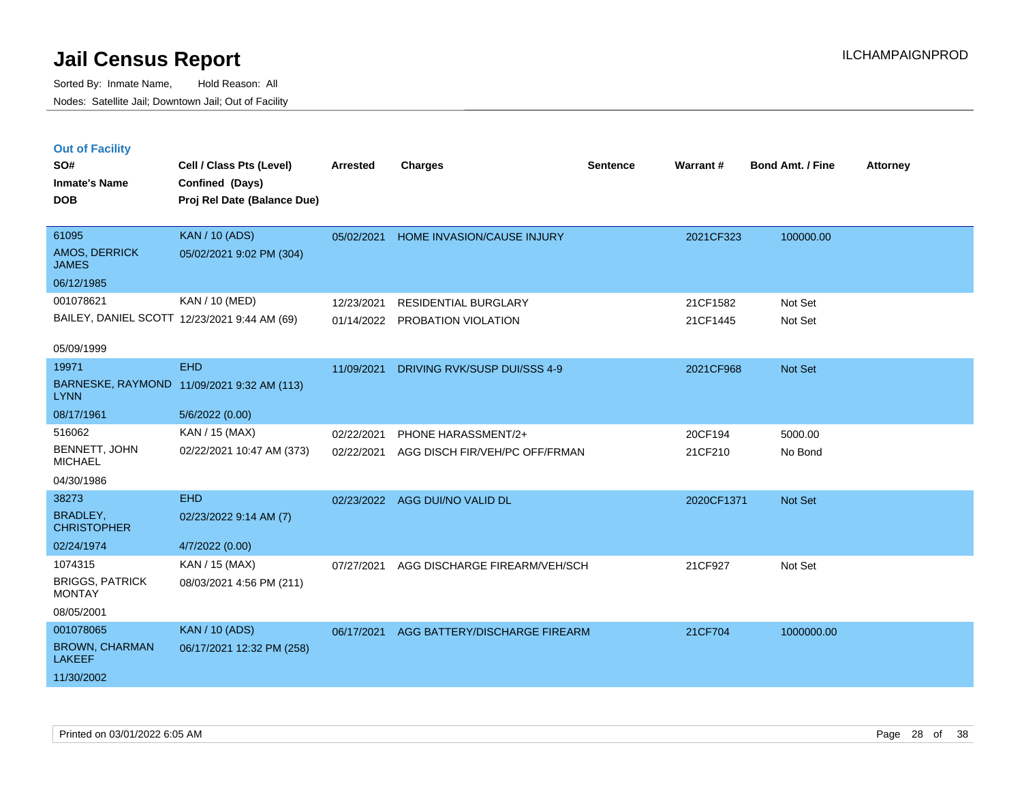**Out of Facility**

Sorted By: Inmate Name, Hold Reason: All Nodes: Satellite Jail; Downtown Jail; Out of Facility

| SO#                             | Cell / Class Pts (Level)                     | Arrested   | Charges                           | <b>Sentence</b> | Warrant#  | <b>Bond Amt. / Fine</b> | <b>Attorney</b> |
|---------------------------------|----------------------------------------------|------------|-----------------------------------|-----------------|-----------|-------------------------|-----------------|
| <b>Inmate's Name</b>            | Confined (Days)                              |            |                                   |                 |           |                         |                 |
| <b>DOB</b>                      | Proj Rel Date (Balance Due)                  |            |                                   |                 |           |                         |                 |
|                                 |                                              |            |                                   |                 |           |                         |                 |
| 61095                           | <b>KAN / 10 (ADS)</b>                        | 05/02/2021 | <b>HOME INVASION/CAUSE INJURY</b> |                 | 2021CF323 | 100000.00               |                 |
| AMOS, DERRICK<br><b>JAMES</b>   | 05/02/2021 9:02 PM (304)                     |            |                                   |                 |           |                         |                 |
| 06/12/1985                      |                                              |            |                                   |                 |           |                         |                 |
| 001078621                       | KAN / 10 (MED)                               | 12/23/2021 | <b>RESIDENTIAL BURGLARY</b>       |                 | 21CF1582  | Not Set                 |                 |
|                                 | BAILEY, DANIEL SCOTT 12/23/2021 9:44 AM (69) | 01/14/2022 | PROBATION VIOLATION               |                 | 21CF1445  | Not Set                 |                 |
| 05/09/1999                      |                                              |            |                                   |                 |           |                         |                 |
| 19971                           | <b>EHD</b>                                   | 11/09/2021 | DRIVING RVK/SUSP DUI/SSS 4-9      |                 | 2021CF968 | Not Set                 |                 |
| <b>LYNN</b>                     | BARNESKE, RAYMOND 11/09/2021 9:32 AM (113)   |            |                                   |                 |           |                         |                 |
| 08/17/1961                      | 5/6/2022(0.00)                               |            |                                   |                 |           |                         |                 |
| 516062                          | KAN / 15 (MAX)                               | 02/22/2021 | PHONE HARASSMENT/2+               |                 | 20CF194   | 5000.00                 |                 |
| BENNETT, JOHN<br><b>MICHAEL</b> | 02/22/2021 10:47 AM (373)                    | 02/22/2021 | AGG DISCH FIR/VEH/PC OFF/FRMAN    |                 | 21CF210   | No Bond                 |                 |
| 0.10011000                      |                                              |            |                                   |                 |           |                         |                 |

04/30/1986

| 04/30/1986                              |                           |            |                               |            |            |
|-----------------------------------------|---------------------------|------------|-------------------------------|------------|------------|
| 38273                                   | EHD                       | 02/23/2022 | AGG DUI/NO VALID DL           | 2020CF1371 | Not Set    |
| BRADLEY,<br><b>CHRISTOPHER</b>          | 02/23/2022 9:14 AM (7)    |            |                               |            |            |
| 02/24/1974                              | 4/7/2022 (0.00)           |            |                               |            |            |
| 1074315                                 | KAN / 15 (MAX)            | 07/27/2021 | AGG DISCHARGE FIREARM/VEH/SCH | 21CF927    | Not Set    |
| <b>BRIGGS, PATRICK</b><br><b>MONTAY</b> | 08/03/2021 4:56 PM (211)  |            |                               |            |            |
| 08/05/2001                              |                           |            |                               |            |            |
| 001078065                               | <b>KAN</b> / 10 (ADS)     | 06/17/2021 | AGG BATTERY/DISCHARGE FIREARM | 21CF704    | 1000000.00 |
| <b>BROWN, CHARMAN</b><br><b>LAKEEF</b>  | 06/17/2021 12:32 PM (258) |            |                               |            |            |
| 11/30/2002                              |                           |            |                               |            |            |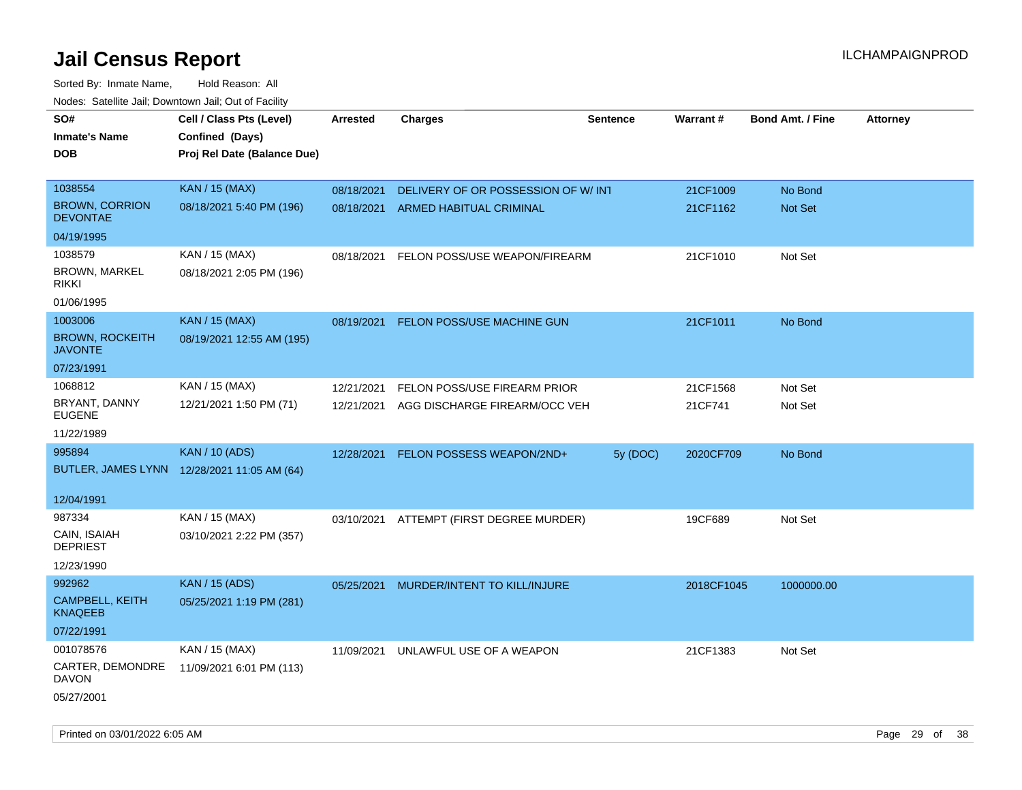Sorted By: Inmate Name, Hold Reason: All Nodes: Satellite Jail; Downtown Jail; Out of Facility

| Todoo. Catolino can, Bowritown can, Oat or I domt<br>SO#<br><b>Inmate's Name</b><br><b>DOB</b> | Cell / Class Pts (Level)<br>Confined (Days)<br>Proj Rel Date (Balance Due) | Arrested   | <b>Charges</b>                           | <b>Sentence</b> | <b>Warrant#</b> | <b>Bond Amt. / Fine</b> | <b>Attorney</b> |
|------------------------------------------------------------------------------------------------|----------------------------------------------------------------------------|------------|------------------------------------------|-----------------|-----------------|-------------------------|-----------------|
| 1038554                                                                                        | <b>KAN / 15 (MAX)</b>                                                      | 08/18/2021 | DELIVERY OF OR POSSESSION OF W/ INT      |                 | 21CF1009        | No Bond                 |                 |
| <b>BROWN, CORRION</b><br><b>DEVONTAE</b>                                                       | 08/18/2021 5:40 PM (196)                                                   | 08/18/2021 | ARMED HABITUAL CRIMINAL                  |                 | 21CF1162        | <b>Not Set</b>          |                 |
| 04/19/1995                                                                                     |                                                                            |            |                                          |                 |                 |                         |                 |
| 1038579                                                                                        | KAN / 15 (MAX)                                                             | 08/18/2021 | FELON POSS/USE WEAPON/FIREARM            |                 | 21CF1010        | Not Set                 |                 |
| <b>BROWN, MARKEL</b><br><b>RIKKI</b>                                                           | 08/18/2021 2:05 PM (196)                                                   |            |                                          |                 |                 |                         |                 |
| 01/06/1995                                                                                     |                                                                            |            |                                          |                 |                 |                         |                 |
| 1003006                                                                                        | <b>KAN / 15 (MAX)</b>                                                      | 08/19/2021 | FELON POSS/USE MACHINE GUN               |                 | 21CF1011        | No Bond                 |                 |
| <b>BROWN, ROCKEITH</b><br><b>JAVONTE</b>                                                       | 08/19/2021 12:55 AM (195)                                                  |            |                                          |                 |                 |                         |                 |
| 07/23/1991                                                                                     |                                                                            |            |                                          |                 |                 |                         |                 |
| 1068812                                                                                        | KAN / 15 (MAX)                                                             | 12/21/2021 | FELON POSS/USE FIREARM PRIOR             |                 | 21CF1568        | Not Set                 |                 |
| BRYANT, DANNY<br><b>EUGENE</b>                                                                 | 12/21/2021 1:50 PM (71)                                                    | 12/21/2021 | AGG DISCHARGE FIREARM/OCC VEH            |                 | 21CF741         | Not Set                 |                 |
| 11/22/1989                                                                                     |                                                                            |            |                                          |                 |                 |                         |                 |
| 995894                                                                                         | <b>KAN / 10 (ADS)</b>                                                      | 12/28/2021 | FELON POSSESS WEAPON/2ND+                | 5y (DOC)        | 2020CF709       | No Bond                 |                 |
|                                                                                                | BUTLER, JAMES LYNN 12/28/2021 11:05 AM (64)                                |            |                                          |                 |                 |                         |                 |
| 12/04/1991                                                                                     |                                                                            |            |                                          |                 |                 |                         |                 |
| 987334                                                                                         | KAN / 15 (MAX)                                                             |            | 03/10/2021 ATTEMPT (FIRST DEGREE MURDER) |                 | 19CF689         | Not Set                 |                 |
| CAIN, ISAIAH<br><b>DEPRIEST</b>                                                                | 03/10/2021 2:22 PM (357)                                                   |            |                                          |                 |                 |                         |                 |
| 12/23/1990                                                                                     |                                                                            |            |                                          |                 |                 |                         |                 |
| 992962                                                                                         | <b>KAN</b> / 15 (ADS)                                                      | 05/25/2021 | MURDER/INTENT TO KILL/INJURE             |                 | 2018CF1045      | 1000000.00              |                 |
| CAMPBELL, KEITH<br><b>KNAQEEB</b>                                                              | 05/25/2021 1:19 PM (281)                                                   |            |                                          |                 |                 |                         |                 |
| 07/22/1991                                                                                     |                                                                            |            |                                          |                 |                 |                         |                 |
| 001078576                                                                                      | KAN / 15 (MAX)                                                             | 11/09/2021 | UNLAWFUL USE OF A WEAPON                 |                 | 21CF1383        | Not Set                 |                 |
| CARTER, DEMONDRE<br><b>DAVON</b>                                                               | 11/09/2021 6:01 PM (113)                                                   |            |                                          |                 |                 |                         |                 |
| 05/27/2001                                                                                     |                                                                            |            |                                          |                 |                 |                         |                 |

Printed on 03/01/2022 6:05 AM Page 29 of 38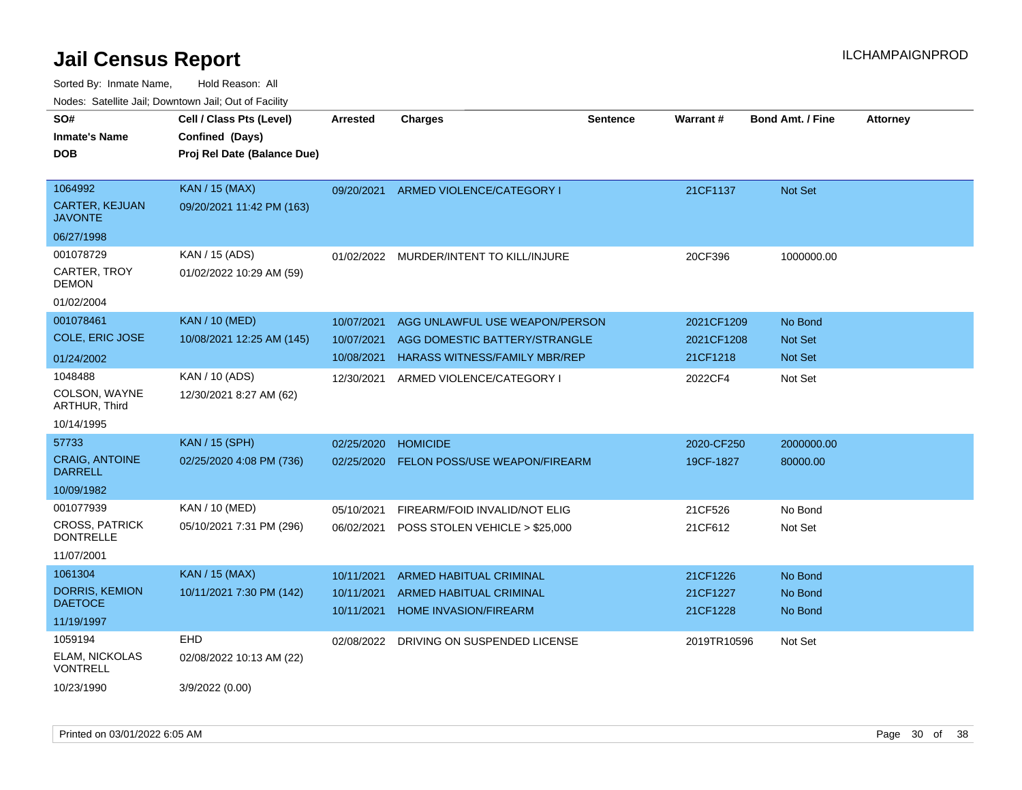| SO#<br>Inmate's Name<br>DOB               | Cell / Class Pts (Level)<br>Confined (Days)<br>Proj Rel Date (Balance Due) | <b>Arrested</b> | <b>Charges</b>                          | <b>Sentence</b> | Warrant#    | <b>Bond Amt. / Fine</b> | <b>Attorney</b> |
|-------------------------------------------|----------------------------------------------------------------------------|-----------------|-----------------------------------------|-----------------|-------------|-------------------------|-----------------|
|                                           |                                                                            |                 |                                         |                 |             |                         |                 |
|                                           |                                                                            |                 |                                         |                 |             |                         |                 |
|                                           |                                                                            |                 |                                         |                 |             |                         |                 |
|                                           |                                                                            |                 |                                         |                 |             |                         |                 |
| 1064992                                   | <b>KAN / 15 (MAX)</b>                                                      | 09/20/2021      | ARMED VIOLENCE/CATEGORY I               |                 | 21CF1137    | <b>Not Set</b>          |                 |
| <b>CARTER, KEJUAN</b><br>JAVONTE          | 09/20/2021 11:42 PM (163)                                                  |                 |                                         |                 |             |                         |                 |
| 06/27/1998                                |                                                                            |                 |                                         |                 |             |                         |                 |
| 001078729                                 | KAN / 15 (ADS)                                                             |                 | 01/02/2022 MURDER/INTENT TO KILL/INJURE |                 | 20CF396     | 1000000.00              |                 |
| CARTER, TROY<br>DEMON                     | 01/02/2022 10:29 AM (59)                                                   |                 |                                         |                 |             |                         |                 |
| 01/02/2004                                |                                                                            |                 |                                         |                 |             |                         |                 |
| 001078461                                 | <b>KAN / 10 (MED)</b>                                                      | 10/07/2021      | AGG UNLAWFUL USE WEAPON/PERSON          |                 | 2021CF1209  | No Bond                 |                 |
| COLE, ERIC JOSE                           | 10/08/2021 12:25 AM (145)                                                  | 10/07/2021      | AGG DOMESTIC BATTERY/STRANGLE           |                 | 2021CF1208  | <b>Not Set</b>          |                 |
| 01/24/2002                                |                                                                            | 10/08/2021      | <b>HARASS WITNESS/FAMILY MBR/REP</b>    |                 | 21CF1218    | <b>Not Set</b>          |                 |
| 1048488                                   | KAN / 10 (ADS)                                                             | 12/30/2021      | ARMED VIOLENCE/CATEGORY I               |                 | 2022CF4     | Not Set                 |                 |
| COLSON, WAYNE<br>ARTHUR, Third            | 12/30/2021 8:27 AM (62)                                                    |                 |                                         |                 |             |                         |                 |
| 10/14/1995                                |                                                                            |                 |                                         |                 |             |                         |                 |
| 57733                                     | <b>KAN / 15 (SPH)</b>                                                      | 02/25/2020      | <b>HOMICIDE</b>                         |                 | 2020-CF250  | 2000000.00              |                 |
| <b>CRAIG, ANTOINE</b><br><b>DARRELL</b>   | 02/25/2020 4:08 PM (736)                                                   | 02/25/2020      | FELON POSS/USE WEAPON/FIREARM           |                 | 19CF-1827   | 80000.00                |                 |
| 10/09/1982                                |                                                                            |                 |                                         |                 |             |                         |                 |
| 001077939                                 | KAN / 10 (MED)                                                             | 05/10/2021      | FIREARM/FOID INVALID/NOT ELIG           |                 | 21CF526     | No Bond                 |                 |
| <b>CROSS, PATRICK</b><br><b>DONTRELLE</b> | 05/10/2021 7:31 PM (296)                                                   | 06/02/2021      | POSS STOLEN VEHICLE > \$25,000          |                 | 21CF612     | Not Set                 |                 |
| 11/07/2001                                |                                                                            |                 |                                         |                 |             |                         |                 |
| 1061304                                   | <b>KAN / 15 (MAX)</b>                                                      | 10/11/2021      | ARMED HABITUAL CRIMINAL                 |                 | 21CF1226    | No Bond                 |                 |
| DORRIS, KEMION                            | 10/11/2021 7:30 PM (142)                                                   | 10/11/2021      | ARMED HABITUAL CRIMINAL                 |                 | 21CF1227    | No Bond                 |                 |
| <b>DAETOCE</b>                            |                                                                            | 10/11/2021      | <b>HOME INVASION/FIREARM</b>            |                 | 21CF1228    | No Bond                 |                 |
| 11/19/1997                                |                                                                            |                 |                                         |                 |             |                         |                 |
| 1059194                                   | EHD                                                                        | 02/08/2022      | DRIVING ON SUSPENDED LICENSE            |                 | 2019TR10596 | Not Set                 |                 |
| ELAM, NICKOLAS<br>VONTRELL                | 02/08/2022 10:13 AM (22)                                                   |                 |                                         |                 |             |                         |                 |
| 10/23/1990                                | 3/9/2022 (0.00)                                                            |                 |                                         |                 |             |                         |                 |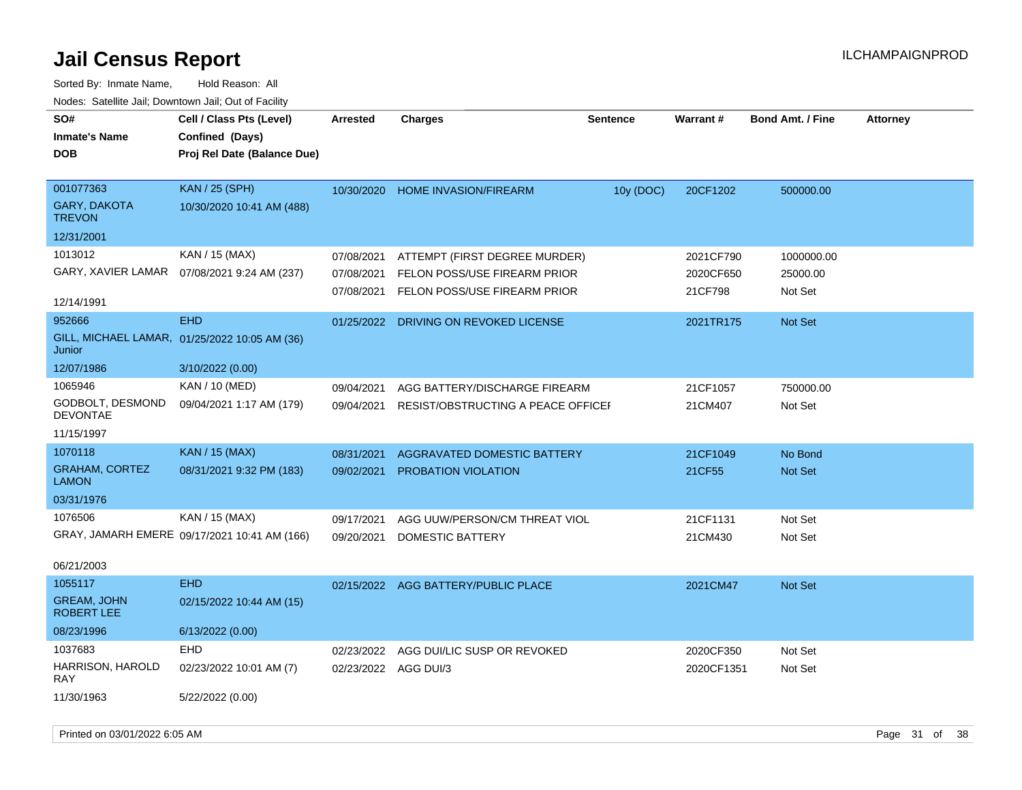| SO#                                     | Cell / Class Pts (Level)                      | Arrested             | <b>Charges</b>                      | <b>Sentence</b> | Warrant#   | <b>Bond Amt. / Fine</b> | <b>Attorney</b> |
|-----------------------------------------|-----------------------------------------------|----------------------|-------------------------------------|-----------------|------------|-------------------------|-----------------|
| <b>Inmate's Name</b>                    | Confined (Days)                               |                      |                                     |                 |            |                         |                 |
| <b>DOB</b>                              | Proj Rel Date (Balance Due)                   |                      |                                     |                 |            |                         |                 |
|                                         |                                               |                      |                                     |                 |            |                         |                 |
| 001077363                               | KAN / 25 (SPH)                                | 10/30/2020           | HOME INVASION/FIREARM               | 10y (DOC)       | 20CF1202   | 500000.00               |                 |
| <b>GARY, DAKOTA</b><br><b>TREVON</b>    | 10/30/2020 10:41 AM (488)                     |                      |                                     |                 |            |                         |                 |
| 12/31/2001                              |                                               |                      |                                     |                 |            |                         |                 |
| 1013012                                 | KAN / 15 (MAX)                                | 07/08/2021           | ATTEMPT (FIRST DEGREE MURDER)       |                 | 2021CF790  | 1000000.00              |                 |
|                                         | GARY, XAVIER LAMAR  07/08/2021 9:24 AM (237)  | 07/08/2021           | FELON POSS/USE FIREARM PRIOR        |                 | 2020CF650  | 25000.00                |                 |
|                                         |                                               | 07/08/2021           | FELON POSS/USE FIREARM PRIOR        |                 | 21CF798    | Not Set                 |                 |
| 12/14/1991                              |                                               |                      |                                     |                 |            |                         |                 |
| 952666                                  | <b>EHD</b>                                    | 01/25/2022           | DRIVING ON REVOKED LICENSE          |                 | 2021TR175  | Not Set                 |                 |
| Junior                                  | GILL, MICHAEL LAMAR, 01/25/2022 10:05 AM (36) |                      |                                     |                 |            |                         |                 |
| 12/07/1986                              | 3/10/2022 (0.00)                              |                      |                                     |                 |            |                         |                 |
| 1065946                                 | KAN / 10 (MED)                                | 09/04/2021           | AGG BATTERY/DISCHARGE FIREARM       |                 | 21CF1057   | 750000.00               |                 |
| GODBOLT, DESMOND<br><b>DEVONTAE</b>     | 09/04/2021 1:17 AM (179)                      | 09/04/2021           | RESIST/OBSTRUCTING A PEACE OFFICEF  |                 | 21CM407    | Not Set                 |                 |
| 11/15/1997                              |                                               |                      |                                     |                 |            |                         |                 |
| 1070118                                 | <b>KAN / 15 (MAX)</b>                         | 08/31/2021           | AGGRAVATED DOMESTIC BATTERY         |                 | 21CF1049   | No Bond                 |                 |
| <b>GRAHAM, CORTEZ</b><br><b>LAMON</b>   | 08/31/2021 9:32 PM (183)                      | 09/02/2021           | PROBATION VIOLATION                 |                 | 21CF55     | Not Set                 |                 |
| 03/31/1976                              |                                               |                      |                                     |                 |            |                         |                 |
| 1076506                                 | KAN / 15 (MAX)                                | 09/17/2021           | AGG UUW/PERSON/CM THREAT VIOL       |                 | 21CF1131   | Not Set                 |                 |
|                                         | GRAY, JAMARH EMERE 09/17/2021 10:41 AM (166)  | 09/20/2021           | DOMESTIC BATTERY                    |                 | 21CM430    | Not Set                 |                 |
|                                         |                                               |                      |                                     |                 |            |                         |                 |
| 06/21/2003                              |                                               |                      |                                     |                 |            |                         |                 |
| 1055117                                 | <b>EHD</b>                                    |                      | 02/15/2022 AGG BATTERY/PUBLIC PLACE |                 | 2021CM47   | <b>Not Set</b>          |                 |
| <b>GREAM, JOHN</b><br><b>ROBERT LEE</b> | 02/15/2022 10:44 AM (15)                      |                      |                                     |                 |            |                         |                 |
| 08/23/1996                              | 6/13/2022 (0.00)                              |                      |                                     |                 |            |                         |                 |
| 1037683                                 | <b>EHD</b>                                    | 02/23/2022           | AGG DUI/LIC SUSP OR REVOKED         |                 | 2020CF350  | Not Set                 |                 |
| HARRISON, HAROLD<br>RAY                 | 02/23/2022 10:01 AM (7)                       | 02/23/2022 AGG DUI/3 |                                     |                 | 2020CF1351 | Not Set                 |                 |
| 11/30/1963                              | 5/22/2022 (0.00)                              |                      |                                     |                 |            |                         |                 |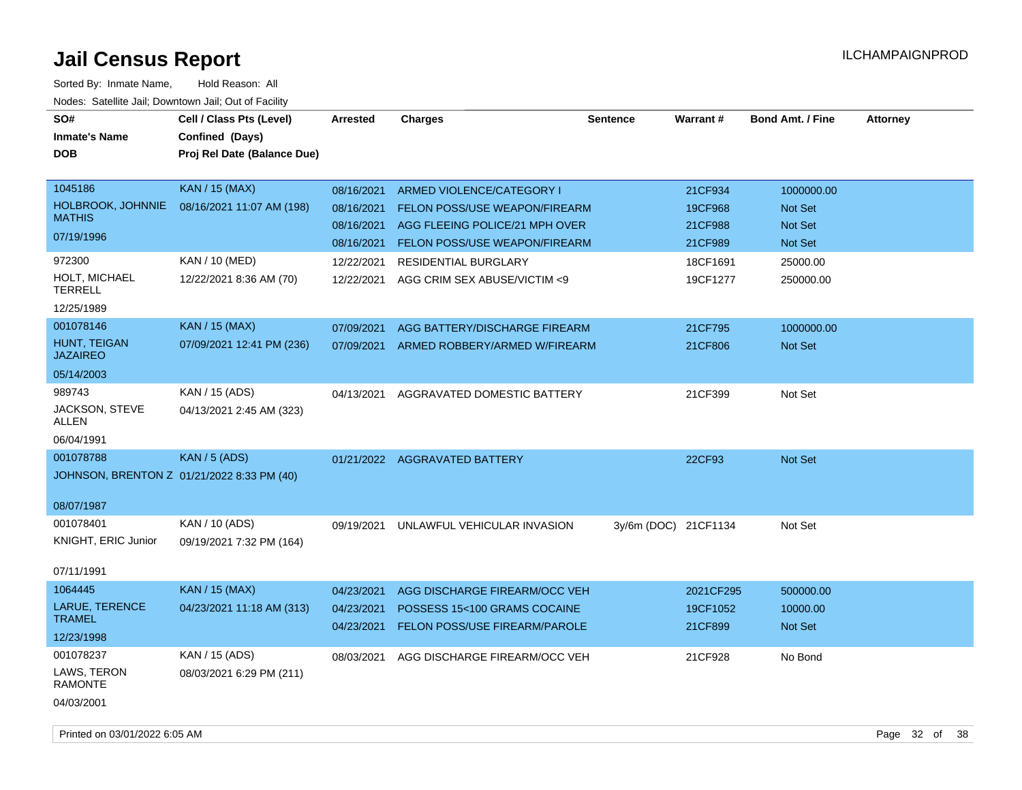| SO#<br><b>Inmate's Name</b><br><b>DOB</b>                   | Cell / Class Pts (Level)<br>Confined (Days)<br>Proj Rel Date (Balance Due) | <b>Arrested</b>                                      | <b>Charges</b>                                                                                                                | <b>Sentence</b>      | <b>Warrant#</b>                          | <b>Bond Amt. / Fine</b>                            | <b>Attorney</b> |
|-------------------------------------------------------------|----------------------------------------------------------------------------|------------------------------------------------------|-------------------------------------------------------------------------------------------------------------------------------|----------------------|------------------------------------------|----------------------------------------------------|-----------------|
| 1045186<br>HOLBROOK, JOHNNIE<br><b>MATHIS</b><br>07/19/1996 | <b>KAN / 15 (MAX)</b><br>08/16/2021 11:07 AM (198)                         | 08/16/2021<br>08/16/2021<br>08/16/2021<br>08/16/2021 | ARMED VIOLENCE/CATEGORY I<br>FELON POSS/USE WEAPON/FIREARM<br>AGG FLEEING POLICE/21 MPH OVER<br>FELON POSS/USE WEAPON/FIREARM |                      | 21CF934<br>19CF968<br>21CF988<br>21CF989 | 1000000.00<br>Not Set<br><b>Not Set</b><br>Not Set |                 |
| 972300<br>HOLT, MICHAEL<br><b>TERRELL</b><br>12/25/1989     | KAN / 10 (MED)<br>12/22/2021 8:36 AM (70)                                  | 12/22/2021<br>12/22/2021                             | <b>RESIDENTIAL BURGLARY</b><br>AGG CRIM SEX ABUSE/VICTIM <9                                                                   |                      | 18CF1691<br>19CF1277                     | 25000.00<br>250000.00                              |                 |
| 001078146<br>HUNT, TEIGAN<br><b>JAZAIREO</b><br>05/14/2003  | <b>KAN / 15 (MAX)</b><br>07/09/2021 12:41 PM (236)                         | 07/09/2021<br>07/09/2021                             | AGG BATTERY/DISCHARGE FIREARM<br>ARMED ROBBERY/ARMED W/FIREARM                                                                |                      | 21CF795<br>21CF806                       | 1000000.00<br>Not Set                              |                 |
| 989743<br>JACKSON, STEVE<br><b>ALLEN</b><br>06/04/1991      | KAN / 15 (ADS)<br>04/13/2021 2:45 AM (323)                                 | 04/13/2021                                           | AGGRAVATED DOMESTIC BATTERY                                                                                                   |                      | 21CF399                                  | Not Set                                            |                 |
| 001078788<br>08/07/1987                                     | KAN / 5 (ADS)<br>JOHNSON, BRENTON Z 01/21/2022 8:33 PM (40)                |                                                      | 01/21/2022 AGGRAVATED BATTERY                                                                                                 |                      | 22CF93                                   | <b>Not Set</b>                                     |                 |
| 001078401<br>KNIGHT, ERIC Junior<br>07/11/1991              | KAN / 10 (ADS)<br>09/19/2021 7:32 PM (164)                                 | 09/19/2021                                           | UNLAWFUL VEHICULAR INVASION                                                                                                   | 3y/6m (DOC) 21CF1134 |                                          | Not Set                                            |                 |
| 1064445<br>LARUE, TERENCE<br><b>TRAMEL</b><br>12/23/1998    | <b>KAN / 15 (MAX)</b><br>04/23/2021 11:18 AM (313)                         | 04/23/2021<br>04/23/2021<br>04/23/2021               | AGG DISCHARGE FIREARM/OCC VEH<br>POSSESS 15<100 GRAMS COCAINE<br>FELON POSS/USE FIREARM/PAROLE                                |                      | 2021CF295<br>19CF1052<br>21CF899         | 500000.00<br>10000.00<br>Not Set                   |                 |
| 001078237<br>LAWS, TERON<br><b>RAMONTE</b><br>04/03/2001    | KAN / 15 (ADS)<br>08/03/2021 6:29 PM (211)                                 | 08/03/2021                                           | AGG DISCHARGE FIREARM/OCC VEH                                                                                                 |                      | 21CF928                                  | No Bond                                            |                 |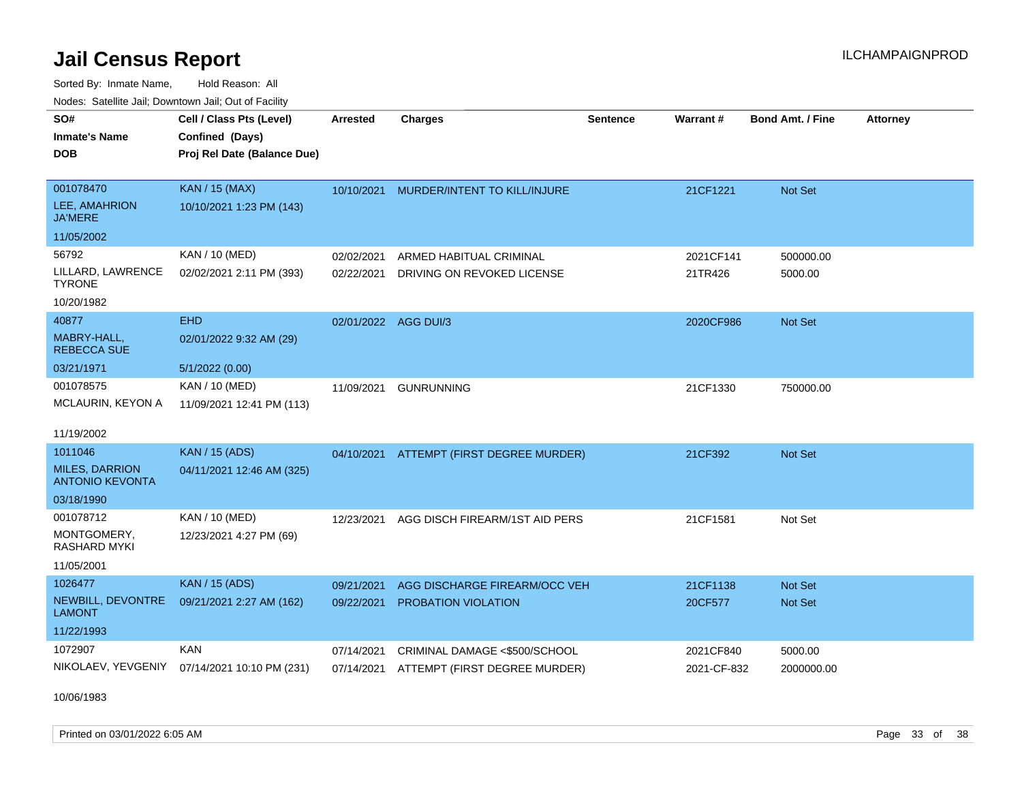Sorted By: Inmate Name, Hold Reason: All Nodes: Satellite Jail; Downtown Jail; Out of Facility

| rouco. Calcinic Jan, Downtown Jan, Out of Facility |                                                                            |                      |                                          |                 |                 |                         |                 |
|----------------------------------------------------|----------------------------------------------------------------------------|----------------------|------------------------------------------|-----------------|-----------------|-------------------------|-----------------|
| SO#<br>Inmate's Name<br>DOB                        | Cell / Class Pts (Level)<br>Confined (Days)<br>Proj Rel Date (Balance Due) | <b>Arrested</b>      | <b>Charges</b>                           | <b>Sentence</b> | <b>Warrant#</b> | <b>Bond Amt. / Fine</b> | <b>Attorney</b> |
|                                                    |                                                                            |                      |                                          |                 |                 |                         |                 |
| 001078470<br>LEE, AMAHRION<br><b>JA'MERE</b>       | <b>KAN / 15 (MAX)</b><br>10/10/2021 1:23 PM (143)                          |                      | 10/10/2021 MURDER/INTENT TO KILL/INJURE  |                 | 21CF1221        | <b>Not Set</b>          |                 |
| 11/05/2002                                         |                                                                            |                      |                                          |                 |                 |                         |                 |
| 56792                                              | KAN / 10 (MED)                                                             | 02/02/2021           | ARMED HABITUAL CRIMINAL                  |                 | 2021CF141       | 500000.00               |                 |
| LILLARD, LAWRENCE<br>TYRONE                        | 02/02/2021 2:11 PM (393)                                                   | 02/22/2021           | DRIVING ON REVOKED LICENSE               |                 | 21TR426         | 5000.00                 |                 |
| 10/20/1982                                         |                                                                            |                      |                                          |                 |                 |                         |                 |
| 40877                                              | <b>EHD</b>                                                                 | 02/01/2022 AGG DUI/3 |                                          |                 | 2020CF986       | <b>Not Set</b>          |                 |
| MABRY-HALL,<br><b>REBECCA SUE</b>                  | 02/01/2022 9:32 AM (29)                                                    |                      |                                          |                 |                 |                         |                 |
| 03/21/1971                                         | 5/1/2022 (0.00)                                                            |                      |                                          |                 |                 |                         |                 |
| 001078575                                          | KAN / 10 (MED)                                                             | 11/09/2021           | <b>GUNRUNNING</b>                        |                 | 21CF1330        | 750000.00               |                 |
| MCLAURIN, KEYON A                                  | 11/09/2021 12:41 PM (113)                                                  |                      |                                          |                 |                 |                         |                 |
|                                                    |                                                                            |                      |                                          |                 |                 |                         |                 |
| 11/19/2002                                         |                                                                            |                      |                                          |                 |                 |                         |                 |
| 1011046<br><b>MILES, DARRION</b>                   | <b>KAN</b> / 15 (ADS)                                                      |                      | 04/10/2021 ATTEMPT (FIRST DEGREE MURDER) |                 | 21CF392         | <b>Not Set</b>          |                 |
| ANTONIO KEVONTA                                    | 04/11/2021 12:46 AM (325)                                                  |                      |                                          |                 |                 |                         |                 |
| 03/18/1990                                         |                                                                            |                      |                                          |                 |                 |                         |                 |
| 001078712                                          | KAN / 10 (MED)                                                             | 12/23/2021           | AGG DISCH FIREARM/1ST AID PERS           |                 | 21CF1581        | Not Set                 |                 |
| MONTGOMERY,<br><b>RASHARD MYKI</b>                 | 12/23/2021 4:27 PM (69)                                                    |                      |                                          |                 |                 |                         |                 |
| 11/05/2001                                         |                                                                            |                      |                                          |                 |                 |                         |                 |
| 1026477                                            | <b>KAN / 15 (ADS)</b>                                                      | 09/21/2021           | AGG DISCHARGE FIREARM/OCC VEH            |                 | 21CF1138        | <b>Not Set</b>          |                 |
| NEWBILL, DEVONTRE<br>LAMONT                        | 09/21/2021 2:27 AM (162)                                                   | 09/22/2021           | PROBATION VIOLATION                      |                 | 20CF577         | <b>Not Set</b>          |                 |
| 11/22/1993                                         |                                                                            |                      |                                          |                 |                 |                         |                 |
| 1072907                                            | <b>KAN</b>                                                                 | 07/14/2021           | CRIMINAL DAMAGE <\$500/SCHOOL            |                 | 2021CF840       | 5000.00                 |                 |
|                                                    | NIKOLAEV, YEVGENIY 07/14/2021 10:10 PM (231)                               | 07/14/2021           | ATTEMPT (FIRST DEGREE MURDER)            |                 | 2021-CF-832     | 2000000.00              |                 |

10/06/1983

Printed on 03/01/2022 6:05 AM **Page 33** of 38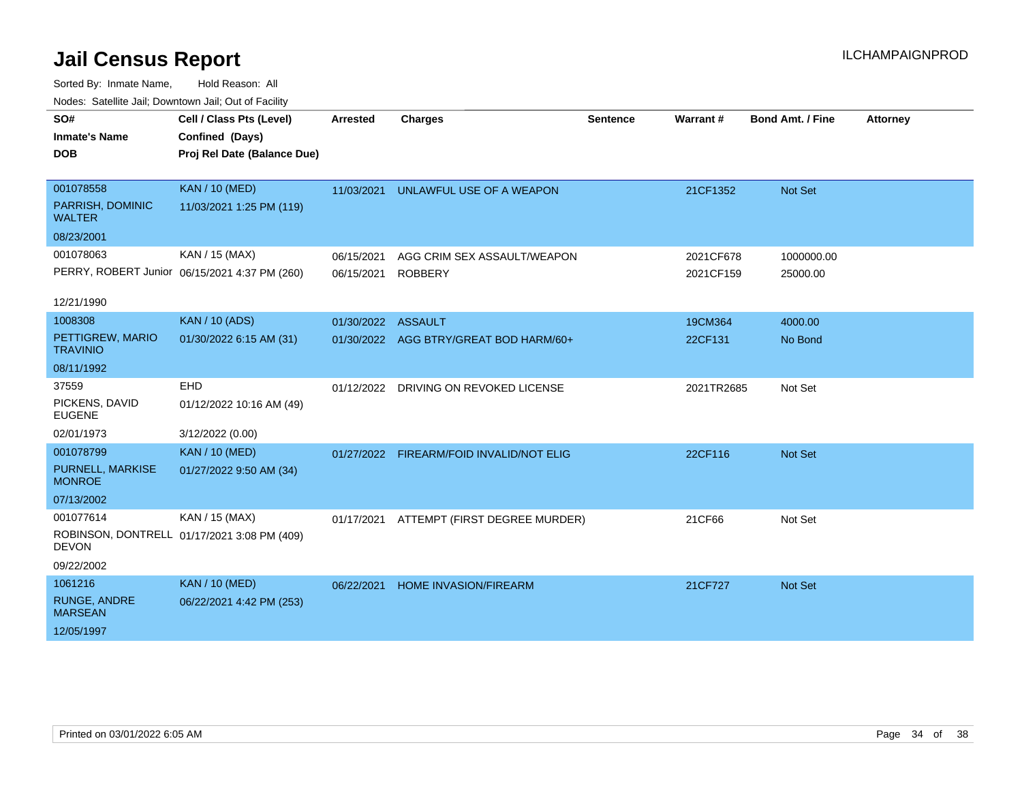| roaco. Calcinio dan, Domnomi dan, Cal or Fability |                                               |            |                                          |                 |            |                         |                 |
|---------------------------------------------------|-----------------------------------------------|------------|------------------------------------------|-----------------|------------|-------------------------|-----------------|
| SO#                                               | Cell / Class Pts (Level)                      | Arrested   | <b>Charges</b>                           | <b>Sentence</b> | Warrant#   | <b>Bond Amt. / Fine</b> | <b>Attorney</b> |
| <b>Inmate's Name</b>                              | Confined (Days)                               |            |                                          |                 |            |                         |                 |
| <b>DOB</b>                                        | Proj Rel Date (Balance Due)                   |            |                                          |                 |            |                         |                 |
|                                                   |                                               |            |                                          |                 |            |                         |                 |
| 001078558                                         | <b>KAN / 10 (MED)</b>                         | 11/03/2021 | UNLAWFUL USE OF A WEAPON                 |                 | 21CF1352   | Not Set                 |                 |
| PARRISH, DOMINIC<br><b>WALTER</b>                 | 11/03/2021 1:25 PM (119)                      |            |                                          |                 |            |                         |                 |
| 08/23/2001                                        |                                               |            |                                          |                 |            |                         |                 |
| 001078063                                         | KAN / 15 (MAX)                                | 06/15/2021 | AGG CRIM SEX ASSAULT/WEAPON              |                 | 2021CF678  | 1000000.00              |                 |
|                                                   | PERRY, ROBERT Junior 06/15/2021 4:37 PM (260) | 06/15/2021 | <b>ROBBERY</b>                           |                 | 2021CF159  | 25000.00                |                 |
|                                                   |                                               |            |                                          |                 |            |                         |                 |
| 12/21/1990                                        |                                               |            |                                          |                 |            |                         |                 |
| 1008308                                           | <b>KAN / 10 (ADS)</b>                         | 01/30/2022 | <b>ASSAULT</b>                           |                 | 19CM364    | 4000.00                 |                 |
| PETTIGREW, MARIO<br><b>TRAVINIO</b>               | 01/30/2022 6:15 AM (31)                       |            | 01/30/2022 AGG BTRY/GREAT BOD HARM/60+   |                 | 22CF131    | No Bond                 |                 |
| 08/11/1992                                        |                                               |            |                                          |                 |            |                         |                 |
| 37559                                             | EHD                                           |            | 01/12/2022 DRIVING ON REVOKED LICENSE    |                 | 2021TR2685 | Not Set                 |                 |
| PICKENS, DAVID<br><b>EUGENE</b>                   | 01/12/2022 10:16 AM (49)                      |            |                                          |                 |            |                         |                 |
| 02/01/1973                                        | 3/12/2022 (0.00)                              |            |                                          |                 |            |                         |                 |
| 001078799                                         | <b>KAN / 10 (MED)</b>                         |            | 01/27/2022 FIREARM/FOID INVALID/NOT ELIG |                 | 22CF116    | Not Set                 |                 |
| PURNELL, MARKISE<br><b>MONROE</b>                 | 01/27/2022 9:50 AM (34)                       |            |                                          |                 |            |                         |                 |
| 07/13/2002                                        |                                               |            |                                          |                 |            |                         |                 |
| 001077614                                         | KAN / 15 (MAX)                                | 01/17/2021 | ATTEMPT (FIRST DEGREE MURDER)            |                 | 21CF66     | Not Set                 |                 |
| <b>DEVON</b>                                      | ROBINSON, DONTRELL 01/17/2021 3:08 PM (409)   |            |                                          |                 |            |                         |                 |
| 09/22/2002                                        |                                               |            |                                          |                 |            |                         |                 |
| 1061216                                           | <b>KAN / 10 (MED)</b>                         | 06/22/2021 | <b>HOME INVASION/FIREARM</b>             |                 | 21CF727    | <b>Not Set</b>          |                 |
| <b>RUNGE, ANDRE</b><br><b>MARSEAN</b>             | 06/22/2021 4:42 PM (253)                      |            |                                          |                 |            |                         |                 |
| 12/05/1997                                        |                                               |            |                                          |                 |            |                         |                 |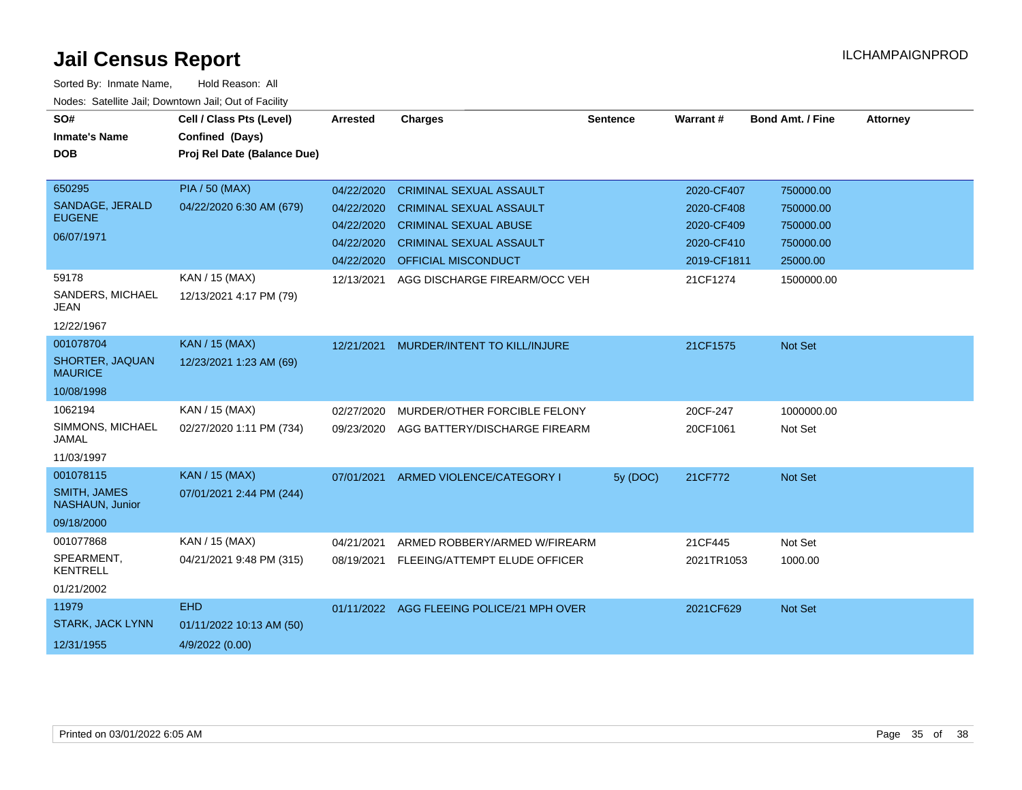| SO#<br><b>Inmate's Name</b><br><b>DOB</b> | Cell / Class Pts (Level)<br>Confined (Days)<br>Proj Rel Date (Balance Due) | <b>Arrested</b> | <b>Charges</b>                            | <b>Sentence</b> | <b>Warrant#</b> | <b>Bond Amt. / Fine</b> | <b>Attorney</b> |
|-------------------------------------------|----------------------------------------------------------------------------|-----------------|-------------------------------------------|-----------------|-----------------|-------------------------|-----------------|
|                                           |                                                                            |                 |                                           |                 |                 |                         |                 |
| 650295                                    | <b>PIA / 50 (MAX)</b>                                                      | 04/22/2020      | <b>CRIMINAL SEXUAL ASSAULT</b>            |                 | 2020-CF407      | 750000.00               |                 |
| SANDAGE, JERALD                           | 04/22/2020 6:30 AM (679)                                                   | 04/22/2020      | <b>CRIMINAL SEXUAL ASSAULT</b>            |                 | 2020-CF408      | 750000.00               |                 |
| <b>EUGENE</b>                             |                                                                            | 04/22/2020      | <b>CRIMINAL SEXUAL ABUSE</b>              |                 | 2020-CF409      | 750000.00               |                 |
| 06/07/1971                                |                                                                            | 04/22/2020      | <b>CRIMINAL SEXUAL ASSAULT</b>            |                 | 2020-CF410      | 750000.00               |                 |
|                                           |                                                                            | 04/22/2020      | OFFICIAL MISCONDUCT                       |                 | 2019-CF1811     | 25000.00                |                 |
| 59178                                     | KAN / 15 (MAX)                                                             | 12/13/2021      | AGG DISCHARGE FIREARM/OCC VEH             |                 | 21CF1274        | 1500000.00              |                 |
| SANDERS, MICHAEL<br><b>JEAN</b>           | 12/13/2021 4:17 PM (79)                                                    |                 |                                           |                 |                 |                         |                 |
| 12/22/1967                                |                                                                            |                 |                                           |                 |                 |                         |                 |
| 001078704                                 | <b>KAN / 15 (MAX)</b>                                                      | 12/21/2021      | MURDER/INTENT TO KILL/INJURE              |                 | 21CF1575        | Not Set                 |                 |
| SHORTER, JAQUAN<br><b>MAURICE</b>         | 12/23/2021 1:23 AM (69)                                                    |                 |                                           |                 |                 |                         |                 |
| 10/08/1998                                |                                                                            |                 |                                           |                 |                 |                         |                 |
| 1062194                                   | KAN / 15 (MAX)                                                             | 02/27/2020      | MURDER/OTHER FORCIBLE FELONY              |                 | 20CF-247        | 1000000.00              |                 |
| SIMMONS, MICHAEL<br>JAMAL                 | 02/27/2020 1:11 PM (734)                                                   | 09/23/2020      | AGG BATTERY/DISCHARGE FIREARM             |                 | 20CF1061        | Not Set                 |                 |
| 11/03/1997                                |                                                                            |                 |                                           |                 |                 |                         |                 |
| 001078115                                 | <b>KAN / 15 (MAX)</b>                                                      | 07/01/2021      | ARMED VIOLENCE/CATEGORY I                 | 5y (DOC)        | 21CF772         | Not Set                 |                 |
| <b>SMITH, JAMES</b><br>NASHAUN, Junior    | 07/01/2021 2:44 PM (244)                                                   |                 |                                           |                 |                 |                         |                 |
| 09/18/2000                                |                                                                            |                 |                                           |                 |                 |                         |                 |
| 001077868                                 | KAN / 15 (MAX)                                                             | 04/21/2021      | ARMED ROBBERY/ARMED W/FIREARM             |                 | 21CF445         | Not Set                 |                 |
| SPEARMENT,<br><b>KENTRELL</b>             | 04/21/2021 9:48 PM (315)                                                   | 08/19/2021      | FLEEING/ATTEMPT ELUDE OFFICER             |                 | 2021TR1053      | 1000.00                 |                 |
| 01/21/2002                                |                                                                            |                 |                                           |                 |                 |                         |                 |
| 11979                                     | <b>EHD</b>                                                                 |                 | 01/11/2022 AGG FLEEING POLICE/21 MPH OVER |                 | 2021CF629       | Not Set                 |                 |
| <b>STARK, JACK LYNN</b>                   | 01/11/2022 10:13 AM (50)                                                   |                 |                                           |                 |                 |                         |                 |
| 12/31/1955                                | 4/9/2022 (0.00)                                                            |                 |                                           |                 |                 |                         |                 |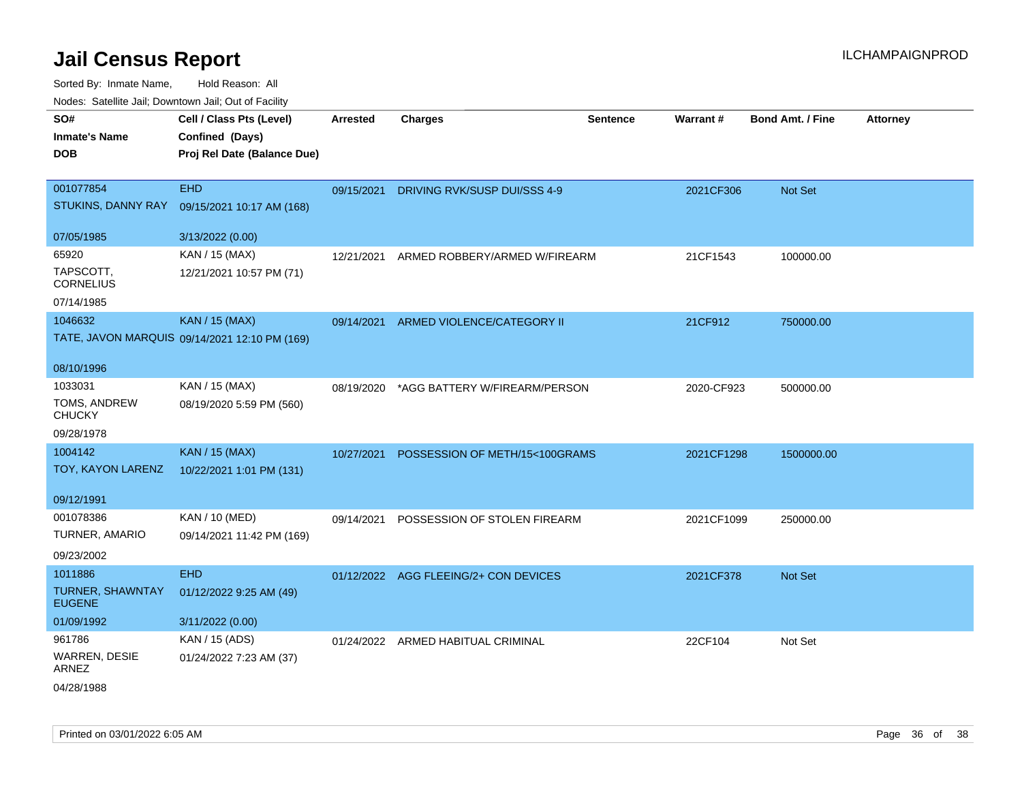| SO#                                      | Cell / Class Pts (Level)                      | <b>Arrested</b> | <b>Charges</b>                 | <b>Sentence</b> | Warrant#   | <b>Bond Amt. / Fine</b> | <b>Attorney</b> |
|------------------------------------------|-----------------------------------------------|-----------------|--------------------------------|-----------------|------------|-------------------------|-----------------|
| <b>Inmate's Name</b>                     | Confined (Days)                               |                 |                                |                 |            |                         |                 |
| <b>DOB</b>                               | Proj Rel Date (Balance Due)                   |                 |                                |                 |            |                         |                 |
|                                          |                                               |                 |                                |                 |            |                         |                 |
| 001077854                                | <b>EHD</b>                                    | 09/15/2021      | DRIVING RVK/SUSP DUI/SSS 4-9   |                 | 2021CF306  | Not Set                 |                 |
| STUKINS, DANNY RAY                       | 09/15/2021 10:17 AM (168)                     |                 |                                |                 |            |                         |                 |
| 07/05/1985                               | 3/13/2022 (0.00)                              |                 |                                |                 |            |                         |                 |
| 65920                                    | KAN / 15 (MAX)                                | 12/21/2021      | ARMED ROBBERY/ARMED W/FIREARM  |                 | 21CF1543   | 100000.00               |                 |
| TAPSCOTT,<br><b>CORNELIUS</b>            | 12/21/2021 10:57 PM (71)                      |                 |                                |                 |            |                         |                 |
| 07/14/1985                               |                                               |                 |                                |                 |            |                         |                 |
| 1046632                                  | <b>KAN / 15 (MAX)</b>                         | 09/14/2021      | ARMED VIOLENCE/CATEGORY II     |                 | 21CF912    | 750000.00               |                 |
|                                          | TATE, JAVON MARQUIS 09/14/2021 12:10 PM (169) |                 |                                |                 |            |                         |                 |
|                                          |                                               |                 |                                |                 |            |                         |                 |
| 08/10/1996                               |                                               |                 |                                |                 |            |                         |                 |
| 1033031                                  | KAN / 15 (MAX)                                | 08/19/2020      | *AGG BATTERY W/FIREARM/PERSON  |                 | 2020-CF923 | 500000.00               |                 |
| TOMS, ANDREW<br><b>CHUCKY</b>            | 08/19/2020 5:59 PM (560)                      |                 |                                |                 |            |                         |                 |
| 09/28/1978                               |                                               |                 |                                |                 |            |                         |                 |
| 1004142                                  | <b>KAN / 15 (MAX)</b>                         | 10/27/2021      | POSSESSION OF METH/15<100GRAMS |                 | 2021CF1298 | 1500000.00              |                 |
| TOY, KAYON LARENZ                        | 10/22/2021 1:01 PM (131)                      |                 |                                |                 |            |                         |                 |
|                                          |                                               |                 |                                |                 |            |                         |                 |
| 09/12/1991                               |                                               |                 |                                |                 |            |                         |                 |
| 001078386                                | KAN / 10 (MED)                                | 09/14/2021      | POSSESSION OF STOLEN FIREARM   |                 | 2021CF1099 | 250000.00               |                 |
| <b>TURNER, AMARIO</b>                    | 09/14/2021 11:42 PM (169)                     |                 |                                |                 |            |                         |                 |
| 09/23/2002                               |                                               |                 |                                |                 |            |                         |                 |
| 1011886                                  | <b>EHD</b>                                    | 01/12/2022      | AGG FLEEING/2+ CON DEVICES     |                 | 2021CF378  | <b>Not Set</b>          |                 |
| <b>TURNER, SHAWNTAY</b><br><b>EUGENE</b> | 01/12/2022 9:25 AM (49)                       |                 |                                |                 |            |                         |                 |
| 01/09/1992                               | 3/11/2022 (0.00)                              |                 |                                |                 |            |                         |                 |
| 961786                                   | KAN / 15 (ADS)                                | 01/24/2022      | ARMED HABITUAL CRIMINAL        |                 | 22CF104    | Not Set                 |                 |
| <b>WARREN, DESIE</b><br>ARNEZ            | 01/24/2022 7:23 AM (37)                       |                 |                                |                 |            |                         |                 |
| 04/28/1988                               |                                               |                 |                                |                 |            |                         |                 |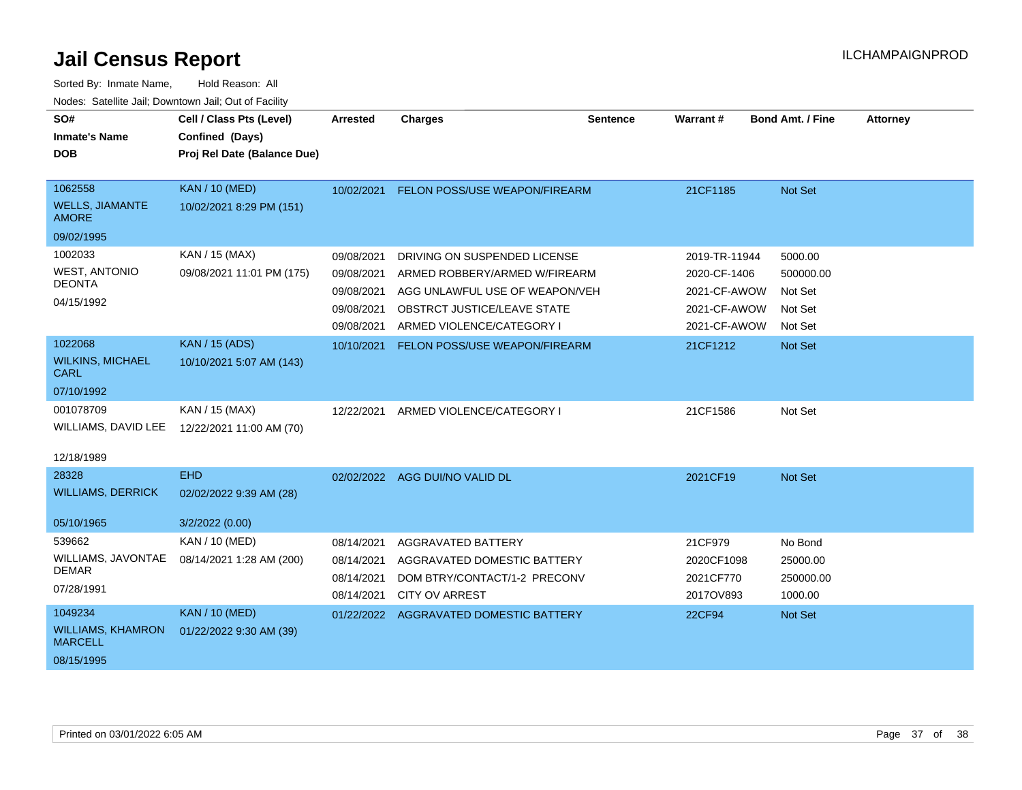| SO#                                        | Cell / Class Pts (Level)    | <b>Arrested</b> | <b>Charges</b>                 | <b>Sentence</b> | Warrant#      | <b>Bond Amt. / Fine</b> | <b>Attorney</b> |
|--------------------------------------------|-----------------------------|-----------------|--------------------------------|-----------------|---------------|-------------------------|-----------------|
| <b>Inmate's Name</b>                       | Confined (Days)             |                 |                                |                 |               |                         |                 |
| <b>DOB</b>                                 | Proj Rel Date (Balance Due) |                 |                                |                 |               |                         |                 |
|                                            |                             |                 |                                |                 |               |                         |                 |
| 1062558                                    | <b>KAN / 10 (MED)</b>       | 10/02/2021      | FELON POSS/USE WEAPON/FIREARM  |                 | 21CF1185      | Not Set                 |                 |
| <b>WELLS, JIAMANTE</b><br><b>AMORE</b>     | 10/02/2021 8:29 PM (151)    |                 |                                |                 |               |                         |                 |
| 09/02/1995                                 |                             |                 |                                |                 |               |                         |                 |
| 1002033                                    | KAN / 15 (MAX)              | 09/08/2021      | DRIVING ON SUSPENDED LICENSE   |                 | 2019-TR-11944 | 5000.00                 |                 |
| <b>WEST, ANTONIO</b>                       | 09/08/2021 11:01 PM (175)   | 09/08/2021      | ARMED ROBBERY/ARMED W/FIREARM  |                 | 2020-CF-1406  | 500000.00               |                 |
| <b>DEONTA</b>                              |                             | 09/08/2021      | AGG UNLAWFUL USE OF WEAPON/VEH |                 | 2021-CF-AWOW  | Not Set                 |                 |
| 04/15/1992                                 |                             | 09/08/2021      | OBSTRCT JUSTICE/LEAVE STATE    |                 | 2021-CF-AWOW  | Not Set                 |                 |
|                                            |                             | 09/08/2021      | ARMED VIOLENCE/CATEGORY I      |                 | 2021-CF-AWOW  | Not Set                 |                 |
| 1022068                                    | <b>KAN / 15 (ADS)</b>       | 10/10/2021      | FELON POSS/USE WEAPON/FIREARM  |                 | 21CF1212      | Not Set                 |                 |
| <b>WILKINS, MICHAEL</b><br><b>CARL</b>     | 10/10/2021 5:07 AM (143)    |                 |                                |                 |               |                         |                 |
| 07/10/1992                                 |                             |                 |                                |                 |               |                         |                 |
| 001078709                                  | KAN / 15 (MAX)              | 12/22/2021      | ARMED VIOLENCE/CATEGORY I      |                 | 21CF1586      | Not Set                 |                 |
| WILLIAMS, DAVID LEE                        | 12/22/2021 11:00 AM (70)    |                 |                                |                 |               |                         |                 |
| 12/18/1989                                 |                             |                 |                                |                 |               |                         |                 |
| 28328                                      | <b>EHD</b>                  |                 | 02/02/2022 AGG DUI/NO VALID DL |                 | 2021CF19      | Not Set                 |                 |
| <b>WILLIAMS, DERRICK</b>                   | 02/02/2022 9:39 AM (28)     |                 |                                |                 |               |                         |                 |
| 05/10/1965                                 |                             |                 |                                |                 |               |                         |                 |
| 539662                                     | 3/2/2022 (0.00)             |                 |                                |                 |               |                         |                 |
| WILLIAMS, JAVONTAE                         | KAN / 10 (MED)              | 08/14/2021      | AGGRAVATED BATTERY             |                 | 21CF979       | No Bond                 |                 |
| <b>DEMAR</b>                               | 08/14/2021 1:28 AM (200)    | 08/14/2021      | AGGRAVATED DOMESTIC BATTERY    |                 | 2020CF1098    | 25000.00                |                 |
| 07/28/1991                                 |                             | 08/14/2021      | DOM BTRY/CONTACT/1-2 PRECONV   |                 | 2021CF770     | 250000.00               |                 |
|                                            |                             | 08/14/2021      | <b>CITY OV ARREST</b>          |                 | 2017OV893     | 1000.00                 |                 |
| 1049234                                    | <b>KAN / 10 (MED)</b>       | 01/22/2022      | AGGRAVATED DOMESTIC BATTERY    |                 | <b>22CF94</b> | Not Set                 |                 |
| <b>WILLIAMS, KHAMRON</b><br><b>MARCELL</b> | 01/22/2022 9:30 AM (39)     |                 |                                |                 |               |                         |                 |
| 08/15/1995                                 |                             |                 |                                |                 |               |                         |                 |